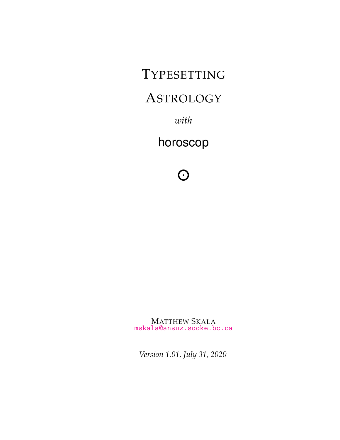TYPESETTING

# **ASTROLOGY**

*with*

horoscop

 $\Omega$ 

MATTHEW SKALA [mskala@ansuz.sooke.bc.ca](mailto:mskala@ansuz.sooke.bc.ca)

*Version 1.01, July 31, 2020*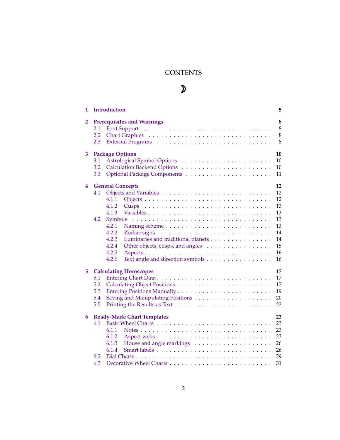# **CONTENTS**

# $\mathcal{D}$

| 1      | <b>Introduction</b>                                                                                                                                                                                                                             | 5                                                                    |
|--------|-------------------------------------------------------------------------------------------------------------------------------------------------------------------------------------------------------------------------------------------------|----------------------------------------------------------------------|
| 2      | <b>Prerequisites and Warnings</b><br>2.1<br>2.2<br>2.3                                                                                                                                                                                          | 8<br>8<br>8<br>8                                                     |
| 3      | <b>Package Options</b><br>3.1<br>3.2<br>3.3                                                                                                                                                                                                     | 10<br>10<br>10<br>11                                                 |
| 4      | <b>General Concepts</b><br>4.1<br>4.1.1<br>4.1.2<br>4.1.3<br>4.2<br>Symbols<br>4.2.1<br>4.2.2<br>4.2.3<br>Luminaries and traditional planets<br>Other objects, cusps, and angles<br>4.2.4<br>4.2.5<br>Text angle and direction symbols<br>4.2.6 | 12<br>12<br>12<br>13<br>13<br>13<br>13<br>14<br>14<br>15<br>16<br>16 |
| 5<br>6 | <b>Calculating Horoscopes</b><br>5.1<br>5.2<br>5.3<br>5.4<br>5.5<br><b>Ready-Made Chart Templates</b>                                                                                                                                           | 17<br>17<br>17<br>19<br>20<br>22<br>23                               |
|        | 6.1<br>6.1.1<br>6.1.2<br>6.1.3<br>6.1.4<br>6.2<br>6.3                                                                                                                                                                                           | 23<br>23<br>23<br>26<br>26<br>29<br>31                               |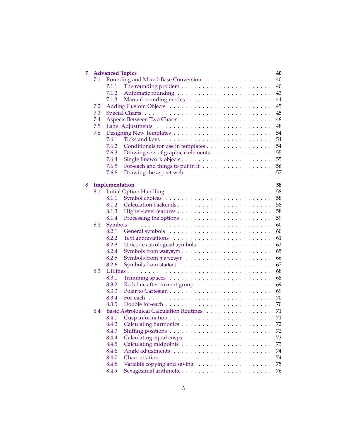| 7 |     | <b>Advanced Topics</b> | 40                                            |
|---|-----|------------------------|-----------------------------------------------|
|   | 7.1 |                        | Rounding and Mixed-Base Conversion<br>40      |
|   |     | 7.1.1                  | 40                                            |
|   |     | 7.1.2                  | 43                                            |
|   |     | 7.1.3                  | 44                                            |
|   | 7.2 |                        | 45                                            |
|   | 7.3 |                        | 45                                            |
|   | 7.4 |                        | 48                                            |
|   | 7.5 |                        | 48                                            |
|   | 7.6 |                        | 54                                            |
|   |     | 7.6.1                  | 54                                            |
|   |     | 7.6.2                  | Conditionals for use in templates<br>54       |
|   |     | 7.6.3                  | Drawing sets of graphical elements<br>55      |
|   |     | 7.6.4                  | 55                                            |
|   |     | 7.6.5                  | 56                                            |
|   |     | 7.6.6                  | 57                                            |
| 8 |     | Implementation         | 58                                            |
|   | 8.1 |                        | 58                                            |
|   |     | 8.1.1                  | 58                                            |
|   |     | 8.1.2                  | 58<br>Calculation backends                    |
|   |     | 8.1.3                  | 58                                            |
|   |     | 8.1.4                  | 59                                            |
|   | 8.2 | Symbols                | 60                                            |
|   |     | 8.2.1                  | 60                                            |
|   |     | 8.2.2                  | 61                                            |
|   |     | 8.2.3                  | 62                                            |
|   |     | 8.2.4                  | 65                                            |
|   |     | 8.2.5                  | 66                                            |
|   |     | 8.2.6                  | 67                                            |
|   | 8.3 |                        | 68                                            |
|   |     | 8.3.1                  | 68                                            |
|   |     | 8.3.2                  | 69                                            |
|   |     | 8.3.3                  | 69                                            |
|   |     | 8.3.4                  | 70                                            |
|   |     | 8.3.5                  | 70                                            |
|   | 8.4 |                        | Basic Astrological Calculation Routines<br>71 |
|   |     |                        | 71                                            |
|   |     |                        |                                               |
|   |     | 8.4.2                  | 72<br>72                                      |
|   |     | 8.4.3                  |                                               |
|   |     | 8.4.4                  | 73                                            |
|   |     | 8.4.5                  | 73                                            |
|   |     | 8.4.6                  | 74                                            |
|   |     | 8.4.7                  | 74                                            |
|   |     | 8.4.8                  | Variable copying and saving<br>75             |
|   |     | 8.4.9                  | 76                                            |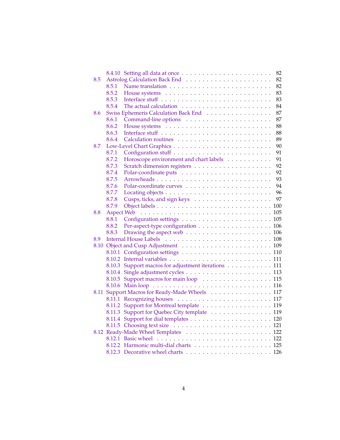|      |                   | 82                                           |
|------|-------------------|----------------------------------------------|
| 8.5  |                   | 82                                           |
|      | 8.5.1             | 82                                           |
|      | 8.5.2             | 83                                           |
|      | 8.5.3             | 83                                           |
|      | 8.5.4             | 84                                           |
| 8.6  |                   | 87<br>Swiss Ephemeris Calculation Back End   |
|      | 8.6.1             | 87                                           |
|      | 8.6.2             | 88                                           |
|      | 8.6.3             | 88                                           |
|      | 8.6.4             | 89                                           |
| 8.7  |                   | 90                                           |
|      | 8.7.1             | 91                                           |
|      | 8.7.2             | Horoscope environment and chart labels<br>91 |
|      | 8.7.3             | 92                                           |
|      | 8.7.4             | 92                                           |
|      | 8.7.5             | 93                                           |
|      | 8.7.6             | 94                                           |
|      | 8.7.7             | 96                                           |
|      | 8.7.8             | 97                                           |
|      | 8.7.9             |                                              |
| 8.8  | <b>Aspect Web</b> |                                              |
|      | 8.8.1             |                                              |
|      | 8.8.2             | Per-aspect-type configuration 106            |
|      | 8.8.3             |                                              |
| 8.9  |                   |                                              |
| 8.10 |                   |                                              |
|      |                   |                                              |
|      | 8.10.2            |                                              |
|      | 8.10.3            | Support macros for adjustment iterations 111 |
|      | 8.10.4            |                                              |
|      |                   |                                              |
|      |                   |                                              |
| 8.11 |                   | Support Macros for Ready-Made Wheels 117     |
|      | 8.11.1            |                                              |
|      |                   | 8.11.2 Support for Montreal template 119     |
|      | 8.11.3            | Support for Quebec City template 119         |
|      | 8.11.4            |                                              |
|      |                   |                                              |
|      |                   |                                              |
|      |                   |                                              |
|      |                   |                                              |
|      |                   |                                              |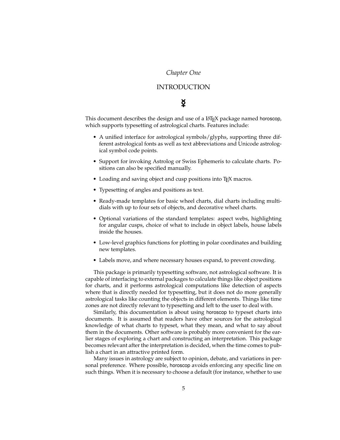### *Chapter One*

### INTRODUCTION

# $\boldsymbol{\breve{\mathsf{g}}}$

<span id="page-4-0"></span>This document describes the design and use of a LATEX package named horoscop, which supports typesetting of astrological charts. Features include:

- A unified interface for astrological symbols/glyphs, supporting three different astrological fonts as well as text abbreviations and Unicode astrological symbol code points.
- Support for invoking Astrolog or Swiss Ephemeris to calculate charts. Positions can also be specified manually.
- Loading and saving object and cusp positions into T<sub>F</sub>X macros.
- Typesetting of angles and positions as text.
- Ready-made templates for basic wheel charts, dial charts including multidials with up to four sets of objects, and decorative wheel charts.
- Optional variations of the standard templates: aspect webs, highlighting for angular cusps, choice of what to include in object labels, house labels inside the houses.
- Low-level graphics functions for plotting in polar coordinates and building new templates.
- Labels move, and where necessary houses expand, to prevent crowding.

This package is primarily typesetting software, not astrological software. It is capable of interfacing to external packages to calculate things like object positions for charts, and it performs astrological computations like detection of aspects where that is directly needed for typesetting, but it does not do more generally astrological tasks like counting the objects in different elements. Things like time zones are not directly relevant to typesetting and left to the user to deal with.

Similarly, this documentation is about using horoscop to typeset charts into documents. It is assumed that readers have other sources for the astrological knowledge of what charts to typeset, what they mean, and what to say about them in the documents. Other software is probably more convenient for the earlier stages of exploring a chart and constructing an interpretation. This package becomes relevant after the interpretation is decided, when the time comes to publish a chart in an attractive printed form.

Many issues in astrology are subject to opinion, debate, and variations in personal preference. Where possible, horoscop avoids enforcing any specific line on such things. When it is necessary to choose a default (for instance, whether to use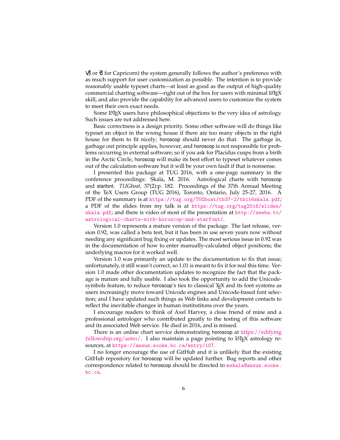$\vartheta$  or  $\vec{\sigma}$  for Capricorn) the system generally follows the author's preference with as much support for user customization as possible. The intention is to provide reasonably usable typeset charts—at least as good as the output of high-quality commercial charting software—right out of the box for users with minimal LATEX skill, and also provide the capability for advanced users to customize the system to meet their own exact needs.

Some LATEX users have philosophical objections to the very idea of astrology. Such issues are not addressed here.

Basic correctness is a design priority. Some other software will do things like typeset an object in the wrong house if there are too many objects in the right house for them to fit nicely; horoscop should never do that. The garbage in, garbage out principle applies, however, and horoscop is not responsible for problems occurring in external software; so if you ask for Placidus cusps from a birth in the Arctic Circle, horoscop will make its best effort to typeset whatever comes out of the calculation software but it will be your own fault if that is nonsense.

I presented this package at TUG 2016, with a one-page summary in the conference proceedings: Skala, M. 2016. Astrological charts with horoscop and starfont. *TUGboat,* 37(2):p. 182. Proceedings of the 37th Annual Meeting of the TeX Users Group (TUG 2016), Toronto, Ontario, July 25-27, 2016. A PDF of the summary is at <https://tug.org/TUGboat/tb37-2/tb116skala.pdf>; a PDF of the slides from my talk is at [https://tug.org/tug2016/slides/](https://tug.org/tug2016/slides/skala.pdf) [skala.pdf](https://tug.org/tug2016/slides/skala.pdf); and there is video of most of the presentation at [http://zeeba.tv/](http://zeeba.tv/astrological-charts-with-horoscop-and-starfont/) [astrological-charts-with-horoscop-and-starfont/](http://zeeba.tv/astrological-charts-with-horoscop-and-starfont/).

Version 1.0 represents a mature version of the package. The last release, version 0.92, was called a beta test, but it has been in use seven years now without needing any significant bug fixing or updates. The most serious issue in 0.92 was in the documentation of how to enter manually-calculated object positions; the underlying macros for it worked well.

Version 1.0 was primarily an update to the documentation to fix that issue; unfortunately, it still wasn't correct, so 1.01 is meant to fix it for real this time. Version 1.0 made other documentation updates to recognize the fact that the package is mature and fully usable. I also took the opportunity to add the Unicodesymbols feature, to reduce horoscop's ties to classical T<sub>E</sub>X and its font systems as users increasingly move toward Unicode engines and Unicode-based font selection; and I have updated such things as Web links and development contacts to reflect the inevitable changes in human institutitons over the years.

I encourage readers to think of Axel Harvey, a close friend of mine and a professional astrologer who contributed greatly to the testing of this software and its associated Web service. He died in 2016, and is missed.

There is an online chart service demonstrating horoscop at h[ttps://edifying](https://edifyingfellowship.org/astro/) f[ellowship.org/astro/.](https://edifyingfellowship.org/astro/) I also maintain a page pointing to LATEX astrology resources, at <https://ansuz.sooke.bc.ca/entry/107>.

I no longer encourage the use of GitHub and it is unlikely that the existing GitHub repository for horoscop will be updated further. Bug reports and other correspondence related to horoscop should be directed to [mskala@ansuz.sooke.](mailto:mskala@ansuz.sooke.bc.ca) [bc.ca](mailto:mskala@ansuz.sooke.bc.ca).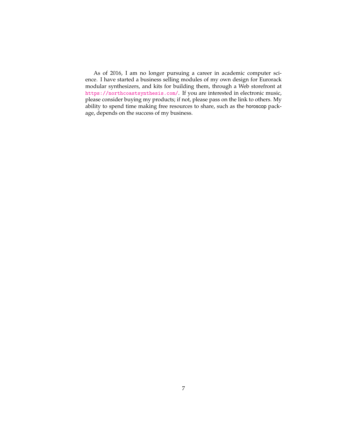As of 2016, I am no longer pursuing a career in academic computer science. I have started a business selling modules of my own design for Eurorack modular synthesizers, and kits for building them, through a Web storefront at <https://northcoastsynthesis.com/>. If you are interested in electronic music, please consider buying my products; if not, please pass on the link to others. My ability to spend time making free resources to share, such as the horoscop package, depends on the success of my business.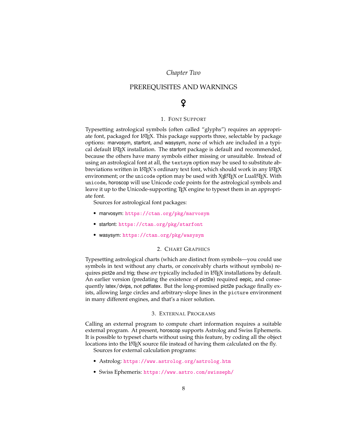### *Chapter Two*

### <span id="page-7-0"></span>PREREQUISITES AND WARNINGS

# g

### 1. FONT SUPPORT

<span id="page-7-1"></span>Typesetting astrological symbols (often called "glyphs") requires an appropriate font, packaged for LAT<sub>EX</sub>. This package supports three, selectable by package options: marvosym, starfont, and wasysym, none of which are included in a typical default LATEX installation. The starfont package is default and recommended, because the others have many symbols either missing or unsuitable. Instead of using an astrological font at all, the textsym option may be used to substitute abbreviations written in LATEX's ordinary text font, which should work in any LATEX environment; or the unicode option may be used with X $\frac{1}{4}$ AT<sub>E</sub>X or LuaLAT<sub>E</sub>X. With unicode, horoscop will use Unicode code points for the astrological symbols and leave it up to the Unicode-supporting TEX engine to typeset them in an appropriate font.

Sources for astrological font packages:

- marvosym: <https://ctan.org/pkg/marvosym>
- starfont: <https://ctan.org/pkg/starfont>
- wasysym: <https://ctan.org/pkg/wasysym>

### 2. CHART GRAPHICS

<span id="page-7-2"></span>Typesetting astrological charts (which are distinct from symbols—you could use symbols in text without any charts, or conceivably charts without symbols) requires pict2e and trig; these *are* typically included in LATEX installations by default. An earlier version (predating the existence of pict2e) required eepic, and consequently latex/dvips, not pdflatex. But the long-promised pict2e package finally exists, allowing large circles and arbitrary-slope lines in the picture environment in many different engines, and that's a nicer solution.

#### 3. EXTERNAL PROGRAMS

<span id="page-7-3"></span>Calling an external program to compute chart information requires a suitable external program. At present, horoscop supports Astrolog and Swiss Ephemeris. It is possible to typeset charts without using this feature, by coding all the object locations into the LAT<sub>E</sub>X source file instead of having them calculated on the fly.

Sources for external calculation programs:

- Astrolog: <https://www.astrolog.org/astrolog.htm>
- Swiss Ephemeris: <https://www.astro.com/swisseph/>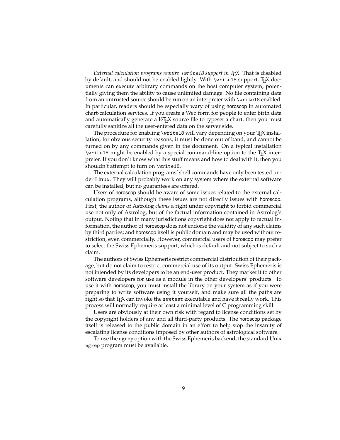*External calculation programs require* \write18 *support in TEX.* That is disabled by default, and should not be enabled lightly. With \write18 support, TEX documents can execute arbitrary commands on the host computer system, potentially giving them the ability to cause unlimited damage. No file containing data from an untrusted source should be run on an interpreter with \write18 enabled. In particular, readers should be especially wary of using horoscop in automated chart-calculation services. If you create a Web form for people to enter birth data and automatically generate a LAT<sub>EX</sub> source file to typeset a chart, then you must carefully sanitize all the user-entered data on the server side.

The procedure for enabling \write18 will vary depending on your T<sub>E</sub>X installation; for obvious security reasons, it must be done out of band, and cannot be turned on by any commands given in the document. On a typical installation \write18 might be enabled by a special command-line option to the TEX interpreter. If you don't know what this stuff means and how to deal with it, then you shouldn't attempt to turn on \write18.

The external calculation programs' shell commands have only been tested under Linux. They will probably work on any system where the external software can be installed, but no guarantees are offered.

Users of horoscop should be aware of some issues related to the external calculation programs, although these issues are not directly issues with horoscop. First, the author of Astrolog *claims* a right under copyright to forbid commercial use not only of Astrolog, but of the factual information contained in Astrolog's output. Noting that in many jurisdictions copyright does not apply to factual information, the author of horoscop does not endorse the validity of any such claims by third parties; and horoscop itself is public domain and may be used without restriction, even commercially. However, commercial users of horoscop may prefer to select the Swiss Ephemeris support, which is default and not subject to such a claim.

The authors of Swiss Ephemeris restrict commercial distribution of their package, but do not claim to restrict commercial use of its output. Swiss Ephemeris is not intended by its developers to be an end-user product. They market it to other software developers for use as a module in the other developers' products. To use it with horoscop, you must install the library on your system as if you were preparing to write software using it yourself, and make sure all the paths are right so that T<sub>E</sub>X can invoke the swetest executable and have it really work. This process will normally require at least a minimal level of C programming skill.

Users are obviously at their own risk with regard to license conditions set by the copyright holders of any and all third-party products. The horoscop package itself is released to the public domain in an effort to help stop the insanity of escalating license conditions imposed by other authors of astrological software.

To use the egrep option with the Swiss Ephemeris backend, the standard Unix egrep program must be available.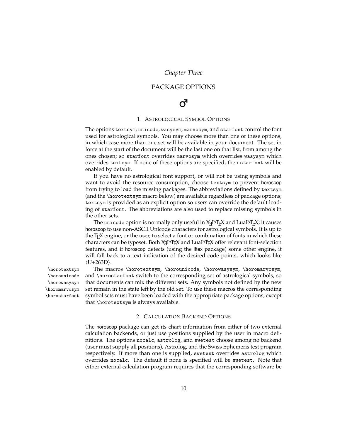*Chapter Three*

### PACKAGE OPTIONS

# $\sigma$

### 1. ASTROLOGICAL SYMBOL OPTIONS

<span id="page-9-1"></span><span id="page-9-0"></span>The options textsym, unicode, wasysym, marvosym, and starfont control the font used for astrological symbols. You may choose more than one of these options, in which case more than one set will be available in your document. The set in force at the start of the document will be the last one on that list, from among the ones chosen; so starfont overrides marvosym which overrides wasysym which overrides textsym. If none of these options are specified, then starfont will be enabled by default.

If you have no astrological font support, or will not be using symbols and want to avoid the resource consumption, choose textsym to prevent horoscop from trying to load the missing packages. The abbreviations defined by textsym (and the \horotextsym macro below) are available regardless of package options; textsym is provided as an explicit option so users can override the default loading of starfont. The abbreviations are also used to replace missing symbols in the other sets.

The unicode option is normally only useful in  $X_{\exists}$  ET<sub>E</sub>X and LuaLAT<sub>E</sub>X; it causes horoscop to use non-ASCII Unicode characters for astrological symbols. It is up to the TEX engine, or the user, to select a font or combination of fonts in which these  $\alpha$  characters can be typeset. Both X $\frac{1}{2}$ ATEX and LuaLATEX offer relevant font-selection features, and if horoscop detects (using the iftex package) some other engine, it will fall back to a text indication of the desired code points, which looks like  $\langle U+263D \rangle$ .

\horotextsym The macros \horotextsym, \horounicode, \horowasysym, \horomarvosym, and \horostarfont switch to the corresponding set of astrological symbols, so that documents can mix the different sets. Any symbols not defined by the new set remain in the state left by the old set. To use these macros the corresponding symbol sets must have been loaded with the appropriate package options, except that \horotextsym is always available.

#### 2. CALCULATION BACKEND OPTIONS

<span id="page-9-2"></span>The horoscop package can get its chart information from either of two external calculation backends, or just use positions supplied by the user in macro definitions. The options nocalc, astrolog, and swetest choose among no backend (user must supply all positions), Astrolog, and the Swiss Ephemeris test program respectively. If more than one is supplied, swetest overrides astrolog which overrides nocalc. The default if none is specified will be swetest. Note that either external calculation program requires that the corresponding software be

\horounicode \horowasysym \horomarvosym \horostarfont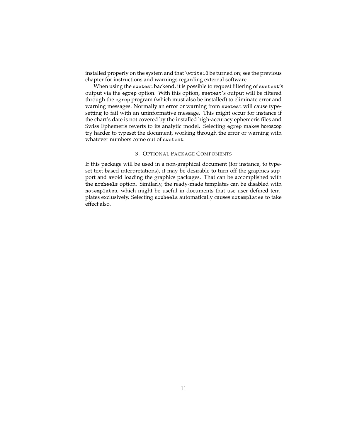installed properly on the system and that \write18 be turned on; see the previous chapter for instructions and warnings regarding external software.

When using the swetest backend, it is possible to request filtering of swetest's output via the egrep option. With this option, swetest's output will be filtered through the egrep program (which must also be installed) to eliminate error and warning messages. Normally an error or warning from swetest will cause typesetting to fail with an uninformative message. This might occur for instance if the chart's date is not covered by the installed high-accuracy ephemeris files and Swiss Ephemeris reverts to its analytic model. Selecting egrep makes horoscop try harder to typeset the document, working through the error or warning with whatever numbers come out of swetest.

#### 3. OPTIONAL PACKAGE COMPONENTS

<span id="page-10-0"></span>If this package will be used in a non-graphical document (for instance, to typeset text-based interpretations), it may be desirable to turn off the graphics support and avoid loading the graphics packages. That can be accomplished with the nowheels option. Similarly, the ready-made templates can be disabled with notemplates, which might be useful in documents that use user-defined templates exclusively. Selecting nowheels automatically causes notemplates to take effect also.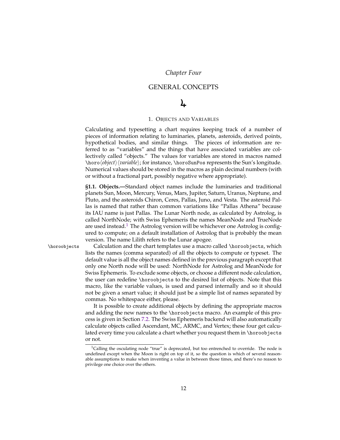### *Chapter Four*

### GENERAL CONCEPTS

# )

### 1. OBJECTS AND VARIABLES

<span id="page-11-1"></span><span id="page-11-0"></span>Calculating and typesetting a chart requires keeping track of a number of pieces of information relating to luminaries, planets, asteroids, derived points, hypothetical bodies, and similar things. The pieces of information are referred to as "variables" and the things that have associated variables are collectively called "objects." The values for variables are stored in macros named \horoh*object*ih*variable*i; for instance, \horoSunPos represents the Sun's longitude. Numerical values should be stored in the macros as plain decimal numbers (with or without a fractional part, possibly negative where appropriate).

<span id="page-11-2"></span>**§1.1. Objects.—**Standard object names include the luminaries and traditional planets Sun, Moon, Mercury, Venus, Mars, Jupiter, Saturn, Uranus, Neptune, and Pluto, and the asteroids Chiron, Ceres, Pallas, Juno, and Vesta. The asteroid Pallas is named that rather than common variations like "Pallas Athena" because its IAU name is just Pallas. The Lunar North node, as calculated by Astrolog, is called NorthNode; with Swiss Ephemeris the names MeanNode and TrueNode are used instead.<sup>[1](#page-11-3)</sup> The Astrolog version will be whichever one Astrolog is configured to compute; on a default installation of Astrolog that is probably the mean version. The name Lilith refers to the Lunar apogee.

\horoobjects Calculation and the chart templates use a macro called \horoobjects, which lists the names (comma separated) of all the objects to compute or typeset. The default value is all the object names defined in the previous paragraph except that only one North node will be used: NorthNode for Astrolog and MeanNode for Swiss Ephemeris. To exclude some objects, or choose a different node calculation, the user can redefine \horoobjects to the desired list of objects. Note that this macro, like the variable values, is used and parsed internally and so it should not be given a smart value; it should just be a simple list of names separated by commas. No whitespace either, please.

> It is possible to create additional objects by defining the appropriate macros and adding the new names to the \horoobjects macro. An example of this process is given in Section [7.2.](#page-44-0) The Swiss Ephemeris backend will also automatically calculate objects called Ascendant, MC, ARMC, and Vertex; these four get calculated every time you calculate a chart whether you request them in \horoobjects or not.

<span id="page-11-3"></span><sup>&</sup>lt;sup>1</sup>Calling the osculating node "true" is deprecated, but too entrenched to override. The node is undefined except when the Moon is right on top of it, so the question is which of several reasonable assumptions to make when inventing a value in between those times, and there's no reason to privilege one choice over the others.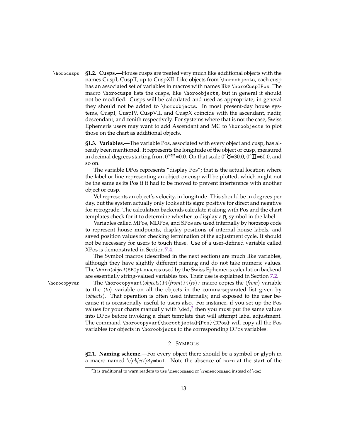<span id="page-12-0"></span>\horocusps **§1.2. Cusps.—**House cusps are treated very much like additional objects with the names CuspI, CuspII, up to CuspXII. Like objects from \horoobjects, each cusp has an associated set of variables in macros with names like \horoCuspIPos. The macro \horocusps lists the cusps, like \horoobjects, but in general it should not be modified. Cusps will be calculated and used as appropriate; in general they should not be added to \horoobjects. In most present-day house systems, CuspI, CuspIV, CuspVII, and CuspX coincide with the ascendant, nadir, descendant, and zenith respectively. For systems where that is not the case, Swiss Ephemeris users may want to add Ascendant and MC to \horoobjects to plot those on the chart as additional objects.

> <span id="page-12-1"></span>**§1.3. Variables.—**The variable Pos, associated with every object and cusp, has already been mentioned. It represents the longitude of the object or cusp, measured in decimal degrees starting from  $0°\mathcal{V}=0.0$ . On that scale  $0°\mathbf{S}=30.0$ ,  $0°\mathbf{I}=60.0$ , and so on.

> The variable DPos represents "display Pos"; that is the actual location where the label or line representing an object or cusp will be plotted, which might not be the same as its Pos if it had to be moved to prevent interference with another object or cusp.

> Vel represents an object's velocity, in longitude. This should be in degrees per day, but the system actually only looks at its sign: positive for direct and negative for retrograde. The calculation backends calculate it along with Pos and the chart templates check for it to determine whether to display a  $R$ , symbol in the label.

> Variables called MPos, MDPos, and SPos are used internally by horoscop code to represent house midpoints, display positions of internal house labels, and saved position values for checking termination of the adjustment cycle. It should not be necessary for users to touch these. Use of a user-defined variable called XPos is demonstrated in Section [7.4.](#page-47-0)

> The Symbol macros (described in the next section) are much like variables, although they have slightly different naming and do not take numeric values. The \horo*\object*\SE0pt macros used by the Swiss Ephemeris calculation backend are essentially string-valued variables too. Their use is explained in Section [7.2.](#page-44-0)

\horocopyvar The \horocopyvar{*\objects*}}{*\from*}}{*\to*}} macro copies the *\from*} variable to the  $\langle t_0 \rangle$  variable on all the objects in the comma-separated list given by h*objects*i. That operation is often used internally, and exposed to the user because it is occasionally useful to users also. For instance, if you set up the Pos values for your charts manually with  $\det^2$  $\det^2$  then you must put the same values into DPos before invoking a chart template that will attempt label adjustment. The command \horocopyvar{\horoobjects}{Pos}{DPos} will copy all the Pos variables for objects in \horoobjects to the corresponding DPos variables.

#### 2. SYMBOLS

<span id="page-12-3"></span><span id="page-12-2"></span>**§2.1. Naming scheme.—**For every object there should be a symbol or glyph in a macro named  $\setminus \langle object \rangle$ Symbol. Note the absence of horo at the start of the

<span id="page-12-4"></span> $^2$ It is traditional to warn readers to use \newcommand or \renewcommand instead of \def.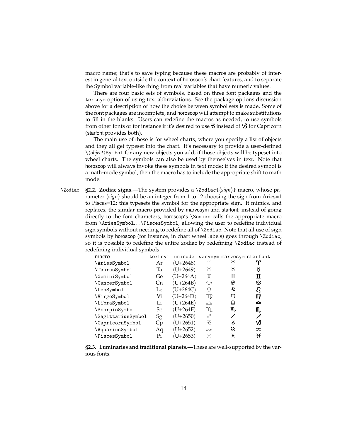macro name; that's to save typing because these macros are probably of interest in general text outside the context of horoscop's chart features, and to separate the Symbol variable-like thing from real variables that have numeric values.

There are four basic sets of symbols, based on three font packages and the textsym option of using text abbreviations. See the package options discussion above for a description of how the choice between symbol sets is made. Some of the font packages are incomplete, and horoscop will attempt to make substitutions to fill in the blanks. Users can redefine the macros as needed, to use symbols from other fonts or for instance if it's desired to use  $\bar{\sigma}$  instead of  $\mathcal{V}$  for Capricorn (starfont provides both).

The main use of these is for wheel charts, where you specify a list of objects and they all get typeset into the chart. It's necessary to provide a user-defined \h*object*iSymbol for any new objects you add, if those objects will be typeset into wheel charts. The symbols can also be used by themselves in text. Note that horoscop will always invoke these symbols in text mode; if the desired symbol is a math-mode symbol, then the macro has to include the appropriate shift to math mode.

<span id="page-13-0"></span>\Zodiac **§2.2. Zodiac signs.—**The system provides a \Zodiac{h*sign*i} macro, whose parameter  $\langle$ *sign* $\rangle$  should be an integer from 1 to 12 choosing the sign from Aries=1 to Pisces=12; this typesets the symbol for the appropriate sign. It mimics, and replaces, the similar macro provided by marvosym and starfont; instead of going directly to the font characters, horoscop's \Zodiac calls the appropriate macro from \AriesSymbol. . . \PiscesSymbol, allowing the user to redefine individual sign symbols without needing to redefine all of \Zodiac. Note that all use of sign symbols by horoscop (for instance, in chart wheel labels) goes through \Zodiac, so it is possible to redefine the entire zodiac by redefining \Zodiac instead of redefining individual symbols.

| macro              | textsym | unicode                             |             | wasysym marvosym starfont |          |
|--------------------|---------|-------------------------------------|-------------|---------------------------|----------|
| \AriesSymbol       | Ar      | $\langle U+2648\rangle$             |             | က                         |          |
| \TaurusSymbol      | Ta      | $\langle U+2649\rangle$             | X           | ১                         | ୪        |
| \GeminiSymbol      | Ge      | $\langle$ U+264A $\rangle$          | I           | П                         | П        |
| \CancerSymbol      | Сn      | $\langle U+264B\rangle$             | ୍ତି         | ල                         | ♋        |
| \LeoSymbol         | Le      | $\langle$ U+264C $\rangle$          | Ω           | SP.                       | ୟ        |
| \VirgoSymbol       | Vi      | $\langle$ U+264D $\rangle$          | mp          | M                         | M        |
| \LibraSymbol       | Li      | $\langle$ U+264E $\rangle$          | $\triangle$ | <u>Ω</u>                  | ≏        |
| \ScorpioSymbol     | Sc      | $\langle$ U+264F $\rangle$          | m.          | M,                        | M,       |
| \SagittariusSymbol | Sg      | $\langle \mathrm{U}{+}2650 \rangle$ | ✓           |                           | ∕∕       |
| \CapricornSymbol   | Cр      | $\langle$ U+2651 $\rangle$          | る           | z                         | νß       |
| \AquariusSymbol    | Aq      | $\langle$ U+2652 $\rangle$          | $\approx$   | ₩                         | $\infty$ |
| \PiscesSymbol      | Pi      | $\langle$ U+2653 $\rangle$          | K           | H                         | ₩        |

<span id="page-13-1"></span>**§2.3. Luminaries and traditional planets.—**These are well-supported by the various fonts.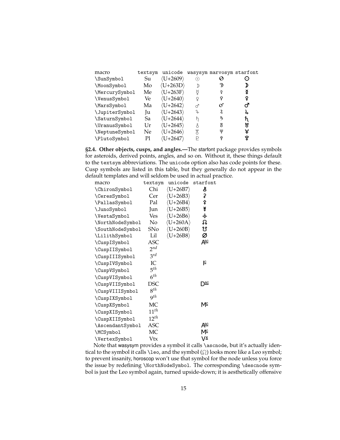| macro          | textsym | unicode                            |   | wasysym marvosym starfont |   |
|----------------|---------|------------------------------------|---|---------------------------|---|
| \SunSymbol     | Su      | (U+2609)                           | ₽ | O                         |   |
| \MoonSymbol    | Mo      | $\langle U+263D\rangle$            |   | W)                        |   |
| \MercurySymbol | Me      | $\langle U+263F\rangle$            | ŏ | ₫                         | ≬ |
| \VenusSymbol   | Ve.     | $\langle U+2640\rangle$            | ¥ | Q                         | ¥ |
| \MarsSymbol    | Ma      | $\langle U+2642\rangle$            | ൪ | σ                         | ൪ |
| \JupiterSymbol | Ju      | $\langle U+2643\rangle$            | 2 | 2                         | 4 |
| \SaturnSymbol  | Sa      | $\langle$ U+2644 $\rangle$         | ħ | 15                        | ħ |
| \UranusSymbol  | Ur      | $\langle \mathrm{U}{+}2645\rangle$ | λ | χ                         | ኛ |
| \NeptuneSymbol | Ne      | $\langle$ U+2646 $\rangle$         | X | Ψ                         | Ψ |
| \PlutoSymbol   | Pl      | $\langle$ U+2647 $\rangle$         |   | ò                         | ¥ |
|                |         |                                    |   |                           |   |

<span id="page-14-0"></span>**§2.4. Other objects, cusps, and angles.—**The starfont package provides symbols for asteroids, derived points, angles, and so on. Without it, these things default to the textsym abbreviations. The unicode option also has code points for these. Cusp symbols are listed in this table, but they generally do not appear in the default templates and will seldom be used in actual practice.

| macro            | textsym         | unicode                    | starfont       |
|------------------|-----------------|----------------------------|----------------|
| \ChironSymbol    | Chi             | $\langle$ U+26B7 $\rangle$ | š              |
| \CeresSymbol     | Cer             | $\langle U+26B3\rangle$    | \$             |
| \PallasSymbol    | Pal             | $\langle U+26B4\rangle$    | ⇞              |
| \JunoSymbol      | Jun             | $\langle U+26B5\rangle$    | ¥              |
| \VestaSymbol     | Ves             | $\langle U+26B6 \rangle$   | у              |
| \NorthNodeSymbol | No              | $\langle U+260A\rangle$    | ឆ              |
| \SouthNodeSymbol | SNo             | $\langle U+260B\rangle$    | ೮              |
| \LilithSymbol    | Lil             | $\langle U+26B8\rangle$    | Ø              |
| \CuspISymbol     | ASC             |                            | Æ              |
| \CuspIISymbol    | 2 <sup>nd</sup> |                            |                |
| \CuspIIISymbol   | 3 <sup>rd</sup> |                            |                |
| \CuspIVSymbol    | IC              |                            | Iٍ⊆            |
| \CuspVSymbol     | 5 <sup>th</sup> |                            |                |
| \CuspVISymbol    | $6^{th}$        |                            |                |
| \CuspVIISymbol   | DSC             |                            | י⊆Ω            |
| \CuspVIIISymbol  | $8^{th}$        |                            |                |
| \CuspIXSymbol    | 9 <sup>th</sup> |                            |                |
| \CuspXSymbol     | МC              |                            | Mº             |
| \CuspXISymbol    | $11^{th}$       |                            |                |
| \CuspXIISymbol   | $12^{th}$       |                            |                |
| \AscendantSymbol | ASC             |                            | Æ              |
| \MCSymbol        | МC              |                            | Mº             |
| \VertexSymbol    | Vtx             |                            | V <sup>×</sup> |

Note that wasysym provides a symbol it calls \ascnode, but it's actually identical to the symbol it calls \leo, and the symbol  $(Q)$  looks more like a Leo symbol; to prevent insanity, horoscop won't use that symbol for the node unless you force the issue by redefining \NorthNodeSymbol. The corresponding \descnode symbol is just the Leo symbol again, turned upside-down; it is aesthetically offensive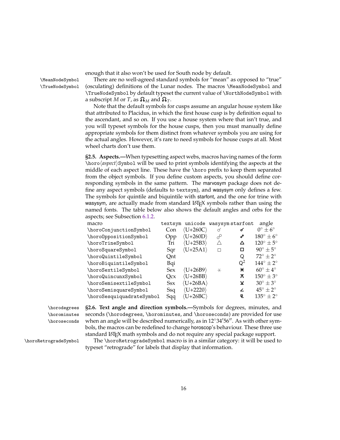enough that it also won't be used for South node by default.

\MeanNodeSymbol There are no well-agreed standard symbols for "mean" as opposed to "true" \TrueNodeSymbol (osculating) definitions of the Lunar nodes. The macros \MeanNodeSymbol and \TrueNodeSymbol by default typeset the current value of \NorthNodeSymbol with a subscript *M* or *T*, as  $\mathbf{\Omega}_M$  and  $\mathbf{\Omega}_T$ .

> Note that the default symbols for cusps assume an angular house system like that attributed to Placidus, in which the first house cusp is by definition equal to the ascendant, and so on. If you use a house system where that isn't true, and you will typeset symbols for the house cusps, then you must manually define appropriate symbols for them distinct from whatever symbols you are using for the actual angles. However, it's rare to need symbols for house cusps at all. Most wheel charts don't use them.

> <span id="page-15-0"></span>**§2.5. Aspects.—**When typesetting aspect webs, macros having names of the form \horo\*aspect*\Symbol will be used to print symbols identifying the aspects at the middle of each aspect line. These have the \horo prefix to keep them separated from the object symbols. If you define custom aspects, you should define corresponding symbols in the same pattern. The marvosym package does not define any aspect symbols (defaults to textsym), and wasysym only defines a few. The symbols for quintile and biquintile with starfont, and the one for trine with wasysym, are actually made from standard  $E$ T<sub>F</sub>X symbols rather than using the named fonts. The table below also shows the default angles and orbs for the aspects; see Subsection [6.1.2.](#page-22-3)

| macro                     | textsym    | unicode                    | wasysym starfont |                | angle                       |
|---------------------------|------------|----------------------------|------------------|----------------|-----------------------------|
| \horoConjunctionSymbol    | Con        | $\langle$ U+260C $\rangle$ | ♂                | ๙              | $0^{\circ} \pm 6^{\circ}$   |
| \horoOppositionSymbol     | Opp        | $\langle$ U+260D)          | $\sigma^{\circ}$ | مى             | $180^\circ \pm 6^\circ$     |
| \horoTrineSymbol          | Tri        | $\langle U+25B3\rangle$    | Λ                | Δ              | $120^{\circ} \pm 5^{\circ}$ |
| \horoSquareSymbol         | Sqr        | $\langle$ U+25A1 $\rangle$ | П                | □              | $90^\circ \pm 5^\circ$      |
| \horoQuintileSymbol       | Ont        |                            |                  | Ő              | $72^{\circ} \pm 2^{\circ}$  |
| \horoBiquintileSymbol     | Bqi        |                            |                  | $\mathsf{Q}^2$ | $144^\circ \pm 2^\circ$     |
| \horoSextileSymbol        | <b>Sex</b> | $\langle$ U+26B9 $\rangle$ | $\ast$           | ¥              | $60^{\circ} \pm 4^{\circ}$  |
| \horoQuincunxSymbol       | Ocx        | $\langle U+26BB\rangle$    |                  | ⊼              | $150^{\circ} \pm 3^{\circ}$ |
| \horoSemisextileSymbol    | Ssx        | $\langle$ U+26BA $\rangle$ |                  | v              | $30^{\circ} \pm 3^{\circ}$  |
| \horoSemisquareSymbol     | Ssq        | $\langle$ U+2220 $\rangle$ |                  | ∠              | $45^{\circ} \pm 2^{\circ}$  |
| \horoSesquiquadrateSymbol | Sqq        | $\langle$ U+26BC $\rangle$ |                  | 민              | $135^\circ \pm 2^\circ$     |

\horominutes \horoseconds

<span id="page-15-1"></span>\horodegrees **§2.6. Text angle and direction symbols.—**Symbols for degrees, minutes, and seconds (\horodegrees, \horominutes, and \horoseconds) are provided for use when an angle will be described numerically, as in  $12°34'56''$ . As with other symbols, the macros can be redefined to change horoscop's behaviour. These three use standard LAT<sub>E</sub>X math symbols and do not require any special package support.

\horoRetrogradeSymbol The \horoRetrogradeSymbol macro is in a similar category: it will be used to typeset "retrograde" for labels that display that information.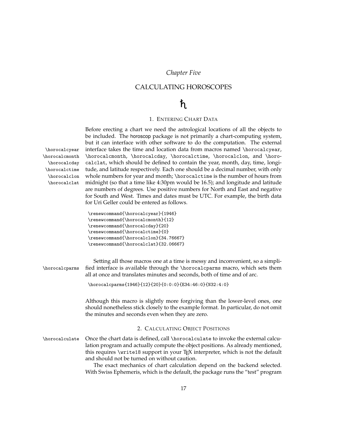### *Chapter Five*

## <span id="page-16-0"></span>CALCULATING HOROSCOPES

# $\hbar$

### 1. ENTERING CHART DATA

<span id="page-16-1"></span>Before erecting a chart we need the astrological locations of all the objects to be included. The horoscop package is not primarily a chart-computing system, but it can interface with other software to do the computation. The external \horocalcyear interface takes the time and location data from macros named \horocalcyear, \horocalcmonth \horocalcmonth, \horocalcday, \horocalctime, \horocalclon, and \horo- \horocalcday \horocalctime \horocalclon \horocalclat calclat, which should be defined to contain the year, month, day, time, longitude, and latitude respectively. Each one should be a decimal number, with only whole numbers for year and month; \horocalctime is the number of hours from midnight (so that a time like 4:30pm would be 16.5); and longitude and latitude are numbers of degrees. Use positive numbers for North and East and negative for South and West. Times and dates must be UTC. For example, the birth data for Uri Geller could be entered as follows.

| \renewcommand{\horocalcyear}{1946}    |
|---------------------------------------|
| \renewcommand{\horocalcmonth}{12}     |
| \renewcommand{\horocalcday}{20}       |
| \renewcommand{\horocalctime}{0}       |
| \renewcommand{\horocalclon}{34.76667} |
| \renewcommand{\horocalclat}{32.06667} |
|                                       |

<span id="page-16-2"></span>

| \horocalcparms | Setting all those macros one at a time is messy and inconvenient, so a simpli-<br>fied interface is available through the \horocalcparms macro, which sets them<br>all at once and translates minutes and seconds, both of time and of arc.                                                                                                                                                                                                                                          |
|----------------|--------------------------------------------------------------------------------------------------------------------------------------------------------------------------------------------------------------------------------------------------------------------------------------------------------------------------------------------------------------------------------------------------------------------------------------------------------------------------------------|
|                | \horocalcparms{1946}{12}{20}{0:0:0}{E34:46:0}{N32:4:0}                                                                                                                                                                                                                                                                                                                                                                                                                               |
|                | Although this macro is slightly more forgiving than the lower-level ones, one<br>should nonetheless stick closely to the example format. In particular, do not omit<br>the minutes and seconds even when they are zero.                                                                                                                                                                                                                                                              |
|                | 2. CALCULATING OBJECT POSITIONS                                                                                                                                                                                                                                                                                                                                                                                                                                                      |
| \horocalculate | Once the chart data is defined, call \horocalculate to invoke the external calcu-<br>lation program and actually compute the object positions. As already mentioned,<br>this requires \write18 support in your T <sub>F</sub> X interpreter, which is not the default<br>and should not be turned on without caution.<br>The exact mechanics of chart calculation depend on the backend selected.<br>With Swiss Ephemeris, which is the default, the package runs the "test" program |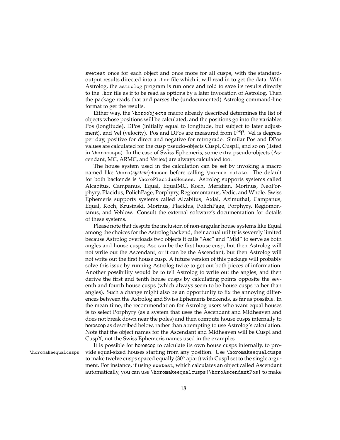swetest once for each object and once more for all cusps, with the standardoutput results directed into a .hor file which it will read in to get the data. With Astrolog, the astrolog program is run once and told to save its results directly to the .hor file as if to be read as options by a later invocation of Astrolog. Then the package reads that and parses the (undocumented) Astrolog command-line format to get the results.

Either way, the \horoobjects macro already described determines the list of objects whose positions will be calculated, and the positions go into the variables Pos (longitude), DPos (initially equal to longitude, but subject to later adjustment), and Vel (velocity). Pos and DPos are measured from  $0°\Upsilon$ . Vel is degrees per day, positive for direct and negative for retrograde. Similar Pos and DPos values are calculated for the cusp pseudo-objects CuspI, CuspII, and so on (listed in \horocusps). In the case of Swiss Ephemeris, some extra pseudo-objects (Ascendant, MC, ARMC, and Vertex) are always calculated too.

The house system used in the calculation can be set by invoking a macro named like \horo\system\Houses before calling \horocalculate. The default for both backends is \horoPlacidusHouses. Astrolog supports systems called Alcabitus, Campanus, Equal, EqualMC, Koch, Meridian, Morinus, NeoPorphyry, Placidus, PolichPage, Porphyry, Regiomontanus, Vedic, and Whole. Swiss Ephemeris supports systems called Alcabitus, Axial, Azimuthal, Campanus, Equal, Koch, Krusinski, Morinus, Placidus, PolichPage, Porphyry, Regiomontanus, and Vehlow. Consult the external software's documentation for details of these systems.

Please note that despite the inclusion of non-angular house systems like Equal among the choices for the Astrolog backend, their actual utility is severely limited because Astrolog overloads two objects it calls "Asc" and "Mid" to serve as both angles and house cusps; Asc can be the first house cusp, but then Astrolog will not write out the Ascendant, or it can be the Ascendant, but then Astrolog will not write out the first house cusp. A future version of this package will probably solve this issue by running Astrolog twice to get out both pieces of information. Another possibility would be to tell Astrolog to write out the angles, and then derive the first and tenth house cusps by calculating points opposite the seventh and fourth house cusps (which always seem to be house cusps rather than angles). Such a change might also be an opportunity to fix the annoying differences between the Astrolog and Swiss Ephemeris backends, as far as possible. In the mean time, the recommendation for Astrolog users who want equal houses is to select Porphyry (as a system that uses the Ascendant and Midheaven and does not break down near the poles) and then compute house cusps internally to horoscop as described below, rather than attempting to use Astrolog's calculation. Note that the object names for the Ascendant and Midheaven will be CuspI and CuspX, not the Swiss Ephemeris names used in the examples.

It is possible for horoscop to calculate its own house cusps internally, to pro- \horomakeequalcusps vide equal-sized houses starting from any position. Use \horomakeequalcusps to make twelve cusps spaced equally (30 $^{\circ}$  apart) with CuspI set to the single argument. For instance, if using swetest, which calculates an object called Ascendant automatically, you can use \horomakeequalcusps{\horoAscendantPos} to make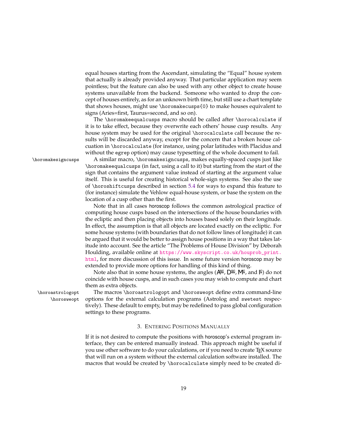equal houses starting from the Ascendant, simulating the "Equal" house system that actually is already provided anyway. That particular application may seem pointless; but the feature can also be used with any other object to create house systems unavailable from the backend. Someone who wanted to drop the concept of houses entirely, as for an unknown birth time, but still use a chart template that shows houses, might use \horomakecusps{0} to make houses equivalent to signs (Aries=first, Taurus=second, and so on).

The \horomakeequalcusps macro should be called after \horocalculate if it is to take effect, because they overwrite each others' house cusp results. Any house system may be used for the original \horocalculate call because the results will be discarded anyway, except for the concern that a broken house calcuation in \horocalculate (for instance, using polar latitudes with Placidus and without the egrep option) may cause typesetting of the whole document to fail.

\horomakesigncusps A similar macro, \horomakesigncusps, makes equally-spaced cusps just like \horomakeequalcusps (in fact, using a call to it) but starting from the start of the sign that contains the argument value instead of starting at the argument value itself. This is useful for creating historical whole-sign systems. See also the use of \horoshiftcusps described in section [5.4](#page-19-0) for ways to expand this feature to (for instance) simulate the Vehlow equal-house system, or base the system on the location of a cusp other than the first.

> Note that in all cases horoscop follows the common astrological practice of computing house cusps based on the intersections of the house boundaries with the ecliptic and then placing objects into houses based solely on their longitude. In effect, the assumption is that all objects are located exactly on the ecliptic. For some house systems (with boundaries that do not follow lines of longitude) it can be argued that it would be better to assign house positions in a way that takes latitude into account. See the article "The Problems of House Division" by Deborah Houlding, available online at [https://www.skyscript.co.uk/houprob\\_print.](https://www.skyscript.co.uk/houprob_print.html) [html](https://www.skyscript.co.uk/houprob_print.html), for more discussion of this issue. In some future version horoscop may be extended to provide more options for handling of this kind of thing.

> Note also that in some house systems, the angles ( $A^{sc}$ ,  $D^{sc}$ ,  $M^c$ , and  $\lvert \zeta \rvert$  do not coincide with house cusps, and in such cases you may wish to compute and chart them as extra objects.

\horoastrologopt The macros \horoastrologopt and \horosweopt define extra command-line \horosweopt options for the external calculation programs (Astrolog and swetest respectively). These default to empty, but may be redefined to pass global configuration settings to these programs.

#### 3. ENTERING POSITIONS MANUALLY

<span id="page-18-0"></span>If it is not desired to compute the positions with horoscop's external program interface, they can be entered manually instead. This approach might be useful if you use other software to do your calculations, or if you need to create TEX source that will run on a system without the external calculation software installed. The macros that would be created by \horocalculate simply need to be created di-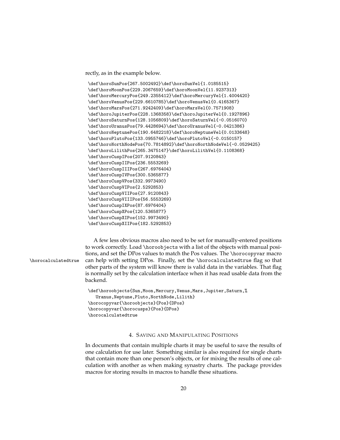rectly, as in the example below.

```
\def\horoSunPos{267.5002492}\def\horoSunVel{1.0185515}
\def\horoMoonPos{229.2067659}\def\horoMoonVel{11.9237313}
\def\horoMercuryPos{249.2355412}\def\horoMercuryVel{1.4004420}
\def\horoVenusPos{229.6610785}\def\horoVenusVel{0.4165367}
\def\horoMarsPos{271.9242409}\def\horoMarsVel{0.7571908}
\def\horoJupiterPos{228.1368358}\def\horoJupiterVel{0.1927896}
\def\horoSaturnPos{128.1056809}\def\horoSaturnVel{-0.0516070}
\def\horoUranusPos{79.4428694}\def\horoUranusVel{-0.0421386}
\def\horoNeptunePos{190.6482218}\def\horoNeptuneVel{0.0133648}
\def\horoPlutoPos{133.0955746}\def\horoPlutoVel{-0.0150157}
\def\horoNorthNodePos{70.7814892}\def\horoNorthNodeVel{-0.0529425}
\def\horoLilithPos{265.3475147}\def\horoLilithVel{0.1108368}
\def\horoCuspIPos{207.9120843}
\def\horoCuspIIPos{236.5553269}
\def\horoCuspIIIPos{267.6976404}
\def\horoCuspIVPos{300.5365877}
\def\horoCuspVPos{332.9973490}
\def\horoCuspVIPos{2.5292853}
\def\horoCuspVIIPos{27.9120843}
\def\horoCuspVIIIPos{56.5553269}
\def\horoCuspIXPos{87.6976404}
\def\horoCuspXPos{120.5365877}
\def\horoCuspXIPos{152.9973490}
\def\horoCuspXIIPos{182.5292853}
```
A few less obvious macros also need to be set for manually-entered positions to work correctly. Load \horoobjects with a list of the objects with manual positions, and set the DPos values to match the Pos values. The \horocopyvar macro \horocalculatedtrue can help with setting DPos. Finally, set the \horocalculatedtrue flag so that other parts of the system will know there is valid data in the variables. That flag is normally set by the calculation interface when it has read usable data from the backend.

```
\def\horoobjects{Sun,Moon,Mercury,Venus,Mars,Jupiter,Saturn,%
   Uranus,Neptune,Pluto,NorthNode,Lilith}
\horocopyvar{\horoobjects}{Pos}{DPos}
\horocopyvar{\horocusps}{Pos}{DPos}
\horocalculatedtrue
```
#### 4. SAVING AND MANIPULATING POSITIONS

<span id="page-19-0"></span>In documents that contain multiple charts it may be useful to save the results of one calculation for use later. Something similar is also required for single charts that contain more than one person's objects, or for mixing the results of one calculation with another as when making synastry charts. The package provides macros for storing results in macros to handle these situations.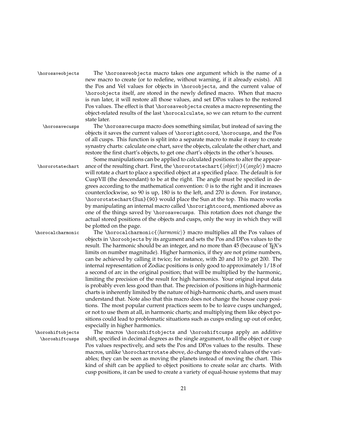\horosaveobjects The \horosaveobjects macro takes one argument which is the name of a new macro to create (or to redefine, without warning, if it already exists). All the Pos and Vel values for objects in \horoobjects, and the current value of \horoobjects itself, are stored in the newly defined macro. When that macro is run later, it will restore all those values, and set DPos values to the restored Pos values. The effect is that \horosaveobjects creates a macro representing the object-related results of the last \horocalculate, so we can return to the current state later.

\horosavecusps The \horosavecusps macro does something similar, but instead of saving the objects it saves the current values of \hororightcoord, \horocusps, and the Pos of all cusps. This function is split into a separate macro to make it easy to create synastry charts: calculate one chart, save the objects, calculate the other chart, and restore the first chart's objects, to get one chart's objects in the other's houses.

Some manipulations can be applied to calculated positions to alter the appear- \hororotatechart ance of the resulting chart. First, the \hororotatechart{h*object*i}{h*angle*i} macro will rotate a chart to place a specified object at a specified place. The default is for CuspVII (the descendant) to be at the right. The angle must be specified in degrees according to the mathematical convention: 0 is to the right and it increases counterclockwise, so 90 is up, 180 is to the left, and 270 is down. For instance, \hororotatechart{Sun}{90} would place the Sun at the top. This macro works by manipulating an internal macro called \hororightcoord, mentioned above as one of the things saved by \horosavecusps. This rotation does not change the actual stored positions of the objects and cusps, only the way in which they will be plotted on the page.

\horocalcharmonic The \horocalcharmonic{h*harmonic*i} macro multiplies all the Pos values of objects in \horoobjects by its argument and sets the Pos and DPos values to the result. The harmonic should be an integer, and no more than 45 (because of TFX's limits on number magnitude). Higher harmonics, if they are not prime numbers, can be achieved by calling it twice; for instance, with 20 and 10 to get 200. The internal representation of Zodiac positions is only good to approximately 1/18 of a second of arc in the original position; that will be multiplied by the harmonic, limiting the precision of the result for high harmonics. Your original input data is probably even less good than that. The precision of positions in high-harmonic charts is inherently limited by the nature of high-harmonic charts, and users must understand that. Note also that this macro does not change the house cusp positions. The most popular current practices seem to be to leave cusps unchanged, or not to use them at all, in harmonic charts; and multiplying them like object positions could lead to problematic situations such as cusps ending up out of order, especially in higher harmonics.

\horoshiftobjects The macros \horoshiftobjects and \horoshiftcusps apply an additive \horoshiftcusps shift, specified in decimal degrees as the single argument, to all the object or cusp Pos values respectively, and sets the Pos and DPos values to the results. These macros, unlike \horochartrotate above, do change the stored values of the variables; they can be seen as moving the planets instead of moving the chart. This kind of shift can be applied to object positions to create solar arc charts. With cusp positions, it can be used to create a variety of equal-house systems that may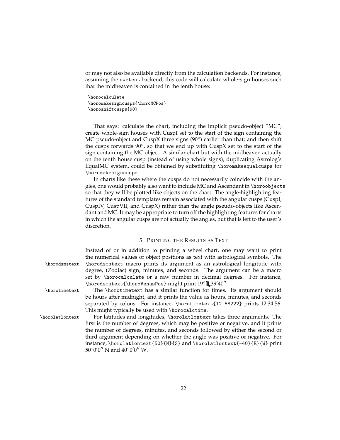or may not also be available directly from the calculation backends. For instance, assuming the swetest backend, this code will calculate whole-sign houses such that the midheaven is contained in the tenth house:

\horocalculate \horomakesigncusps{\horoMCPos} \horoshiftcusps{90}

That says: calculate the chart, including the implicit pseudo-object "MC"; create whole-sign houses with CuspI set to the start of the sign containing the MC pseudo-object and CuspX three signs (90°) earlier than that; and then shift the cusps forwards  $90^\circ$ , so that we end up with CuspX set to the start of the sign containing the MC object. A similar chart but with the midheaven actually on the tenth house cusp (instead of using whole signs), duplicating Astrolog's EqualMC system, could be obtained by substituting \horomakeequalcusps for \horomakesigncusps.

In charts like these where the cusps do not necessarily coincide with the angles, one would probably also want to include MC and Ascendant in \horoobjects so that they will be plotted like objects on the chart. The angle-highlighting features of the standard templates remain associated with the angular cusps (CuspI, CuspIV, CuspVII, and CuspX) rather than the angle pseudo-objects like Ascendant and MC. It may be appropriate to turn off the highlighting features for charts in which the angular cusps are not actually the angles, but that is left to the user's discretion.

#### 5. PRINTING THE RESULTS AS TEXT

<span id="page-21-0"></span>

|                 | Instead of or in addition to printing a wheel chart, one may want to print       |
|-----------------|----------------------------------------------------------------------------------|
|                 | the numerical values of object positions as text with astrological symbols. The  |
| \horodsmstext   | \horodsmstext macro prints its argument as an astrological longitude with        |
|                 | degree, (Zodiac) sign, minutes, and seconds. The argument can be a macro         |
|                 | set by \horocalculate or a raw number in decimal degrees. For instance,          |
|                 | \horodsmstext{\horoVenusPos} might print $19^{\circ}$ $39'40''.$                 |
| \horotimetext   | The \horotimetext has a similar function for times. Its argument should          |
|                 | be hours after midnight, and it prints the value as hours, minutes, and seconds  |
|                 | separated by colons. For instance, \horotimetext{12.58222} prints 12:34:56.      |
|                 | This might typically be used with \horocalctime.                                 |
| \horolatlontext | For latitudes and longitudes, \horolatlontext takes three arguments. The         |
|                 | first is the number of degrees, which may be positive or negative, and it prints |
|                 | the number of degrees, minutes, and seconds followed by either the second or     |
|                 | third argument depending on whether the angle was positive or negative. For      |

 $50^{\circ}0'0''$  N and  $40^{\circ}0'0''$  W.

instance, \horolatlontext{50}{N}{S} and \horolatlontext{-40}{E}{W} print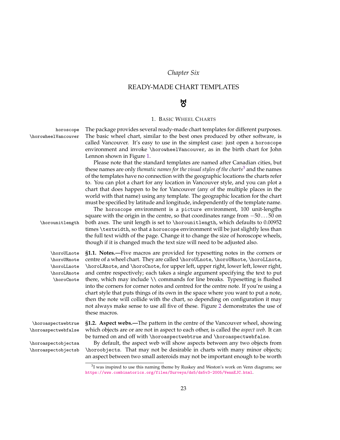# *Chapter Six*

# <span id="page-22-1"></span><span id="page-22-0"></span>READY-MADE CHART TEMPLATES

# $\mathbf{R}$

### 1. BASIC WHEEL CHARTS

| horoscope<br>\horowheelVancouver<br>\horounitlength                                     | The package provides several ready-made chart templates for different purposes.<br>The basic wheel chart, similar to the best ones produced by other software, is<br>called Vancouver. It's easy to use in the simplest case: just open a horoscope<br>environment and invoke \horowheelVancouver, as in the birth chart for John<br>Lennon shown in Figure 1.<br>Please note that the standard templates are named after Canadian cities, but<br>these names are only thematic names for the visual styles of the charts <sup>3</sup> and the names<br>of the templates have no connection with the geographic locations the charts refer<br>to. You can plot a chart for any location in Vancouver style, and you can plot a<br>chart that does happen to be for Vancouver (any of the multiple places in the<br>world with that name) using any template. The geographic location for the chart<br>must be specified by latitude and longitude, independently of the template name.<br>The horoscope environment is a picture environment, 100 unit-lengths<br>square with the origin in the centre, so that coordinates range from $-5050$ on<br>both axes. The unit length is set to \horounitlength, which defaults to 0.00952<br>times \textwidth, so that a horoscope environment will be just slightly less than<br>the full text width of the page. Change it to change the size of horoscope wheels,<br>though if it is changed much the text size will need to be adjusted also. |
|-----------------------------------------------------------------------------------------|----------------------------------------------------------------------------------------------------------------------------------------------------------------------------------------------------------------------------------------------------------------------------------------------------------------------------------------------------------------------------------------------------------------------------------------------------------------------------------------------------------------------------------------------------------------------------------------------------------------------------------------------------------------------------------------------------------------------------------------------------------------------------------------------------------------------------------------------------------------------------------------------------------------------------------------------------------------------------------------------------------------------------------------------------------------------------------------------------------------------------------------------------------------------------------------------------------------------------------------------------------------------------------------------------------------------------------------------------------------------------------------------------------------------------------------------------------------------------------------------|
| \horoULnote<br>\horoURnote<br>\horoLLnote<br>\horoLRnote<br>\horoCnote                  | <b>§1.1.</b> Notes.—Five macros are provided for typesetting notes in the corners or<br>centre of a wheel chart. They are called \horoULnote, \horoURnote, \horoLLnote,<br>\horoLRnote, and \horoCnote, for upper left, upper right, lower left, lower right,<br>and centre respectively; each takes a single argument specifying the text to put<br>there, which may include \\ commands for line breaks. Typesetting is flushed<br>into the corners for corner notes and centred for the centre note. If you're using a<br>chart style that puts things of its own in the space where you want to put a note,<br>then the note will collide with the chart, so depending on configuration it may<br>not always make sense to use all five of these. Figure 2 demonstrates the use of<br>these macros.                                                                                                                                                                                                                                                                                                                                                                                                                                                                                                                                                                                                                                                                                      |
| \horoaspectwebtrue<br>\horoaspectwebfalse<br>\horoaspectobjectsa<br>\horoaspectobjectsb | <b>§1.2.</b> Aspect webs.—The pattern in the centre of the Vancouver wheel, showing<br>which objects are or are not in aspect to each other, is called the aspect web. It can<br>be turned on and off with \horoaspectwebtrue and \horoaspectwebfalse.<br>By default, the aspect web will show aspects between any two objects from<br>\horoobjects. That may not be desirable in charts with many minor objects;<br>an aspect between two small asteroids may not be important enough to be worth                                                                                                                                                                                                                                                                                                                                                                                                                                                                                                                                                                                                                                                                                                                                                                                                                                                                                                                                                                                           |

<span id="page-22-4"></span><span id="page-22-3"></span><span id="page-22-2"></span><sup>&</sup>lt;sup>3</sup>I was inspired to use this naming theme by Ruskey and Weston's work on Venn diagrams; see <https://www.combinatorics.org/files/Surveys/ds5/ds5v3-2005/VennEJC.html>.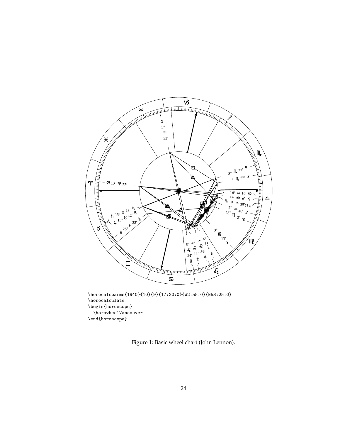

\horocalcparms{1940}{10}{9}{17:30:0}{W2:55:0}{N53:25:0} \horocalculate \begin{horoscope} \horowheelVancouver \end{horoscope}

<span id="page-23-0"></span>Figure 1: Basic wheel chart (John Lennon).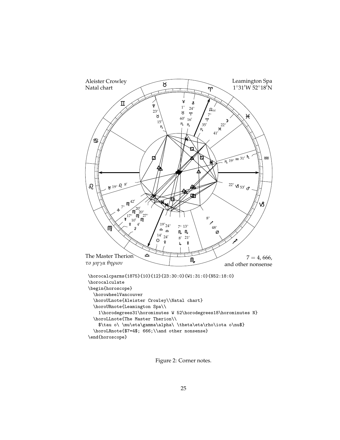

<span id="page-24-0"></span>Figure 2: Corner notes.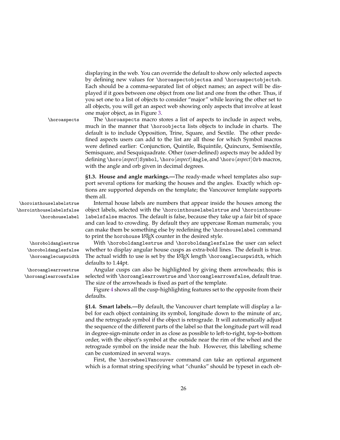displaying in the web. You can override the default to show only selected aspects by defining new values for \horoaspectobjectsa and \horoaspectobjectsb. Each should be a comma-separated list of object names; an aspect will be displayed if it goes between one object from one list and one from the other. Thus, if you set one to a list of objects to consider "major" while leaving the other set to all objects, you will get an aspect web showing only aspects that involve at least one major object, as in Figure [3.](#page-26-0)

\horoaspects The \horoaspects macro stores a list of aspects to include in aspect webs, much in the manner that \horoobjects lists objects to include in charts. The default is to include Opposition, Trine, Square, and Sextile. The other predefined aspects users can add to the list are all those for which Symbol macros were defined earlier: Conjunction, Quintile, Biquintile, Quincunx, Semisextile, Semisquare, and Sesquiquadrate. Other (user-defined) aspects may be added by defining \horo*\aspect*}Symbol, \horo*\aspect*}Angle, and \horo*\aspect*}Orb macros, with the angle and orb given in decimal degrees.

> <span id="page-25-0"></span>**§1.3. House and angle markings.—**The ready-made wheel templates also support several options for marking the houses and the angles. Exactly which options are supported depends on the template; the Vancouver template supports them all.

\horointhouselabelsfalse \horohouselabel

> \horoboldanglesfalse \horoanglecuspwidth

\horointhouselabelstrue Internal house labels are numbers that appear inside the houses among the object labels, selected with the \horointhouselabelstrue and \horointhouselabelsfalse macros. The default is false, because they take up a fair bit of space and can lead to crowding. By default they are uppercase Roman numerals; you can make them be something else by redefining the \horohouselabel command to print the horohouse LAT<sub>E</sub>X counter in the desired style.

\horoboldanglestrue With \horoboldanglestrue and \horoboldanglesfalse the user can select whether to display angular house cusps as extra-bold lines. The default is true. The actual width to use is set by the LATEX length \horoanglecuspwidth, which defaults to 1.44pt.

\horoanglearrowstrue Angular cusps can also be highlighted by giving them arrowheads; this is \horoanglearrowsfalse selected with \horoanglearrowstrue and \horoanglearrowsfalse, default true. The size of the arrowheads is fixed as part of the template.

> Figure [4](#page-27-0) shows all the cusp-highlighting features set to the opposite from their defaults.

> <span id="page-25-1"></span>**§1.4. Smart labels.—**By default, the Vancouver chart template will display a label for each object containing its symbol, longitude down to the minute of arc, and the retrograde symbol if the object is retrograde. It will automatically adjust the sequence of the different parts of the label so that the longitude part will read in degree-sign-minute order in as close as possible to left-to-right, top-to-bottom order, with the object's symbol at the outside near the rim of the wheel and the retrograde symbol on the inside near the hub. However, this labelling scheme can be customized in several ways.

> First, the \horowheelVancouver command can take an optional argument which is a format string specifying what "chunks" should be typeset in each ob-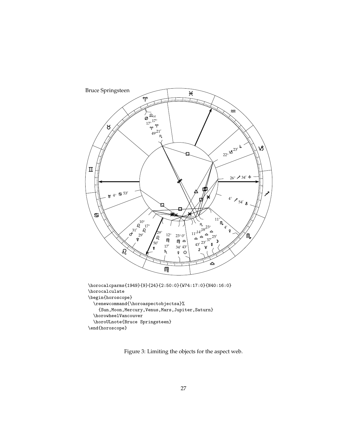

<span id="page-26-0"></span>Figure 3: Limiting the objects for the aspect web.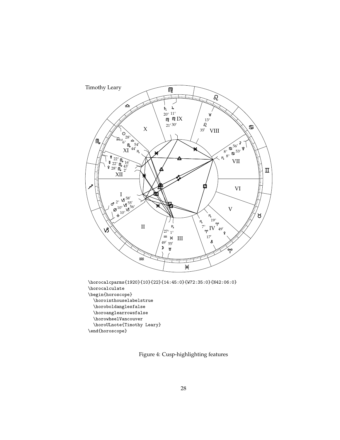

<span id="page-27-0"></span>Figure 4: Cusp-highlighting features

\end{horoscope}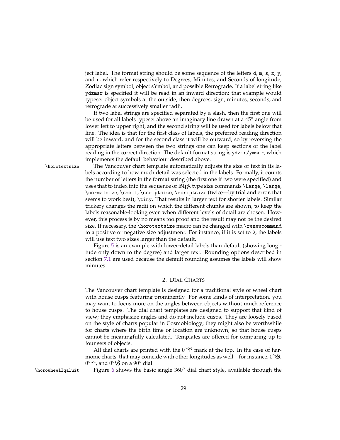ject label. The format string should be some sequence of the letters  $d$ ,  $m$ ,  $s$ ,  $z$ ,  $y$ , and r, which refer respectively to Degrees, Minutes, and Seconds of longitude, Zodiac sign symbol, object sYmbol, and possible Retrograde. If a label string like ydzmsr is specified it will be read in an inward direction; that example would typeset object symbols at the outside, then degrees, sign, minutes, seconds, and retrograde at successively smaller radii.

If two label strings are specified separated by a slash, then the first one will be used for all labels typeset above an imaginary line drawn at a 45◦ angle from lower left to upper right, and the second string will be used for labels below that line. The idea is that for the first class of labels, the preferred reading direction will be inward, and for the second class it will be outward, so by reversing the appropriate letters between the two strings one can keep sections of the label reading in the correct direction. The default format string is ydzmr/ymzdr, which implements the default behaviour described above.

\horotextsize The Vancouver chart template automatically adjusts the size of text in its labels according to how much detail was selected in the labels. Formally, it counts the number of letters in the format string (the first one if two were specified) and uses that to index into the sequence of LAT<sub>EX</sub> type size commands \Large, \large, \normalsize, \small, \scriptsize, \scriptsize (twice—by trial and error, that seems to work best), \tiny. That results in larger text for shorter labels. Similar trickery changes the radii on which the different chunks are shown, to keep the labels reasonable-looking even when different levels of detail are chosen. However, this process is by no means foolproof and the result may not be the desired size. If necessary, the \horotextsize macro can be changed with \renewcommand to a positive or negative size adjustment. For instance, if it is set to 2, the labels will use text two sizes larger than the default.

> Figure [5](#page-29-0) is an example with lower-detail labels than default (showing longitude only down to the degree) and larger text. Rounding options described in section [7.1](#page-39-1) are used because the default rounding assumes the labels will show minutes.

#### 2. DIAL CHARTS

<span id="page-28-0"></span>The Vancouver chart template is designed for a traditional style of wheel chart with house cusps featuring prominently. For some kinds of interpretation, you may want to focus more on the angles between objects without much reference to house cusps. The dial chart templates are designed to support that kind of view; they emphasize angles and do not include cusps. They are loosely based on the style of charts popular in Cosmobiology; they might also be worthwhile for charts where the birth time or location are unknown, so that house cusps cannot be meaningfully calculated. Templates are offered for comparing up to four sets of objects.

All dial charts are printed with the  $0°\gamma$  mark at the top. In the case of harmonic charts, that may coincide with other longitudes as well—for instance,  $0°\mathbf{S}$ , 0°**≏**, and 0°**VS** on a 90° dial.

\horowheelIqaluit Figure [6](#page-31-0) shows the basic single 360° dial chart style, available through the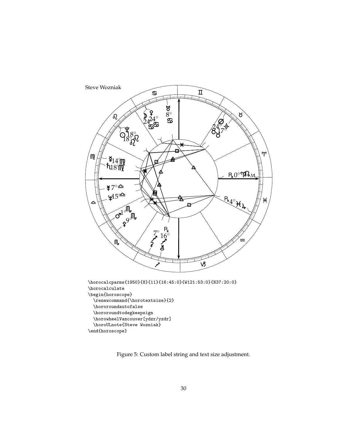

<span id="page-29-0"></span>Figure 5: Custom label string and text size adjustment.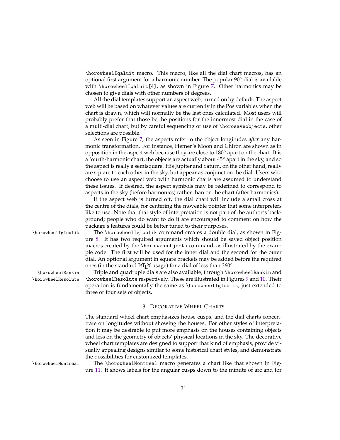\horowheelIqaluit macro. This macro, like all the dial chart macros, has an optional first argument for a harmonic number. The popular 90◦ dial is available with \horowheelIqaluit[4], as shown in Figure [7.](#page-32-0) Other harmonics may be chosen to give dials with other numbers of degrees.

All the dial templates support an aspect web, turned on by default. The aspect web will be based on whatever values are currently in the Pos variables when the chart is drawn, which will normally be the last ones calculated. Most users will probably prefer that those be the positions for the innermost dial in the case of a multi-dial chart, but by careful sequencing or use of \horosaveobjects, other selections are possible.

As seen in Figure [7,](#page-32-0) the aspects refer to the object longitudes *after* any harmonic transformation. For instance, Hefner's Moon and Chiron are shown as in opposition in the aspect web because they are close to 180◦ apart on the chart. It is a fourth-harmonic chart, the objects are actually about 45◦ apart in the sky, and so the aspect is really a semisquare. His Jupiter and Saturn, on the other hand, really are square to each other in the sky, but appear as conjunct on the dial. Users who choose to use an aspect web with harmonic charts are assumed to understand these issues. If desired, the aspect symbols may be redefined to correspond to aspects in the sky (before harmonics) rather than on the chart (after harmonics).

If the aspect web is turned off, the dial chart will include a small cross at the centre of the dials, for centering the moveable pointer that some interpreters like to use. Note that that style of interpretation is not part of the author's background; people who do want to do it are encouraged to comment on how the package's features could be better tuned to their purposes.

\horowheelIgloolik The \horowheelIgloolik command creates a double dial, as shown in Figure [8.](#page-33-0) It has two required arguments which should be saved object position macros created by the \horosaveobjects command, as illustrated by the example code. The first will be used for the inner dial and the second for the outer dial. An optional argument in square brackets may be added before the required ones (in the standard L<sup>AT</sup>EX usage) for a dial of less than 360°.

\horowheelRankin Triple and quadruple dials are also available, through \horowheelRankin and \horowheelResolute \horowheelResolute respectively. These are illustrated in Figures [9](#page-34-0) and [10.](#page-35-0) Their operation is fundamentally the same as \horowheelIgloolik, just extended to three or four sets of objects.

#### 3. DECORATIVE WHEEL CHARTS

<span id="page-30-0"></span>The standard wheel chart emphasizes house cusps, and the dial charts concentrate on longitudes without showing the houses. For other styles of interpretation it may be desirable to put more emphasis on the houses containing objects and less on the geometry of objects' physical locations in the sky. The decorative wheel chart templates are designed to support that kind of emphasis, provide visually appealing designs similar to some historical chart styles, and demonstrate the possibilities for customized templates.

\horowheelMontreal The \horowheelMontreal macro generates a chart like that shown in Figure [11.](#page-37-0) It shows labels for the angular cusps down to the minute of arc and for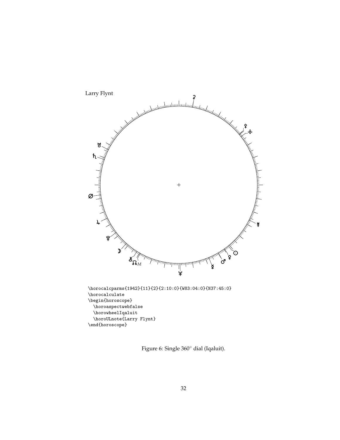

<span id="page-31-0"></span>Figure 6: Single 360◦ dial (Iqaluit).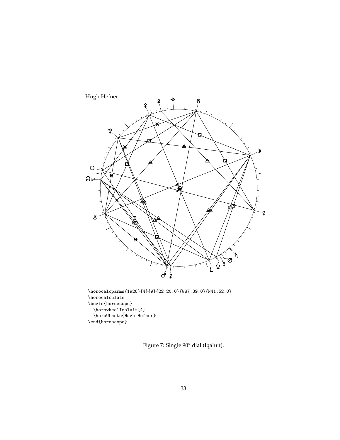

\horocalculate \begin{horoscope} \horowheelIqaluit[4] \horoULnote{Hugh Hefner} \end{horoscope}

<span id="page-32-0"></span>Figure 7: Single 90◦ dial (Iqaluit).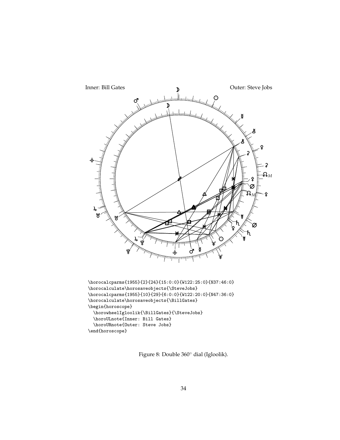

<span id="page-33-0"></span>Figure 8: Double 360◦ dial (Igloolik).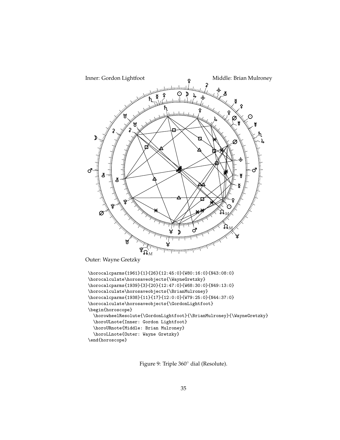

<span id="page-34-0"></span>Figure 9: Triple 360◦ dial (Resolute).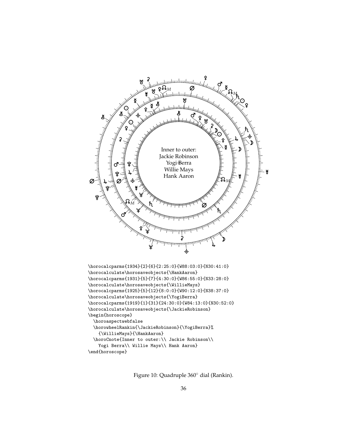

<span id="page-35-0"></span>Figure 10: Quadruple 360◦ dial (Rankin).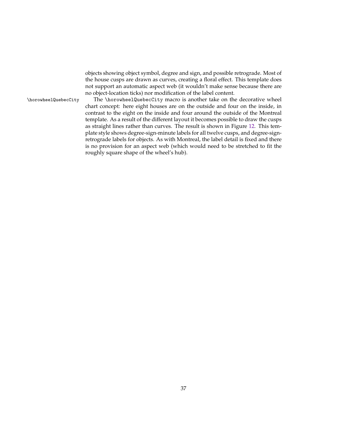objects showing object symbol, degree and sign, and possible retrograde. Most of the house cusps are drawn as curves, creating a floral effect. This template does not support an automatic aspect web (it wouldn't make sense because there are no object-location ticks) nor modification of the label content.

\horowheelQuebecCity The \horowheelQuebecCity macro is another take on the decorative wheel chart concept: here eight houses are on the outside and four on the inside, in contrast to the eight on the inside and four around the outside of the Montreal template. As a result of the different layout it becomes possible to draw the cusps as straight lines rather than curves. The result is shown in Figure [12.](#page-38-0) This template style shows degree-sign-minute labels for all twelve cusps, and degree-signretrograde labels for objects. As with Montreal, the label detail is fixed and there is no provision for an aspect web (which would need to be stretched to fit the roughly square shape of the wheel's hub).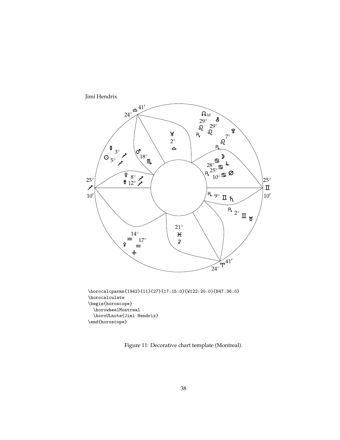

\begin{horoscope} \horowheelMontreal \horoULnote{Jimi Hendrix} \end{horoscope}

Figure 11: Decorative chart template (Montreal).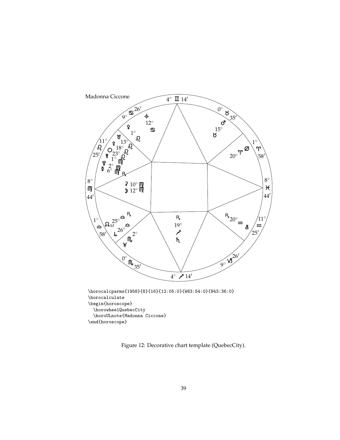

<span id="page-38-0"></span>Figure 12: Decorative chart template (QuebecCity).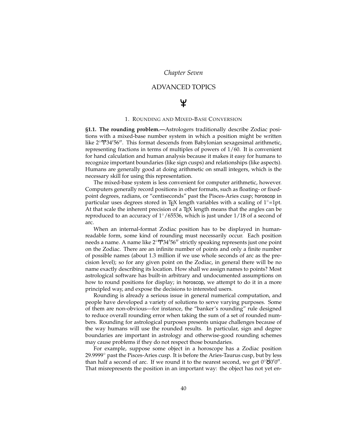# *Chapter Seven*

# ADVANCED TOPICS

# ¥

#### 1. ROUNDING AND MIXED-BASE CONVERSION

**§1.1. The rounding problem.—**Astrologers traditionally describe Zodiac positions with a mixed-base number system in which a position might be written like  $2°\$ ?34′56″. This format descends from Babylonian sexagesimal arithmetic, representing fractions in terms of multiples of powers of 1/60. It is convenient for hand calculation and human analysis because it makes it easy for humans to recognize important boundaries (like sign cusps) and relationships (like aspects). Humans are generally good at doing arithmetic on small integers, which is the necessary skill for using this representation.

The mixed-base system is less convenient for computer arithmetic, however. Computers generally record positions in other formats, such as floating- or fixedpoint degrees, radians, or "centiseconds" past the Pisces-Aries cusp; horoscop in particular uses degrees stored in TEX length variables with a scaling of  $1°=1$ pt. At that scale the inherent precision of a T<sub>E</sub>X length means that the angles can be reproduced to an accuracy of  $1^{\circ}/65536$ , which is just under 1/18 of a second of arc.

When an internal-format Zodiac position has to be displayed in humanreadable form, some kind of rounding must necessarily occur. Each position needs a name. A name like  $2°\mathbf{Y}34'56''$  strictly speaking represents just one point on the Zodiac. There are an infinite number of points and only a finite number of possible names (about 1.3 million if we use whole seconds of arc as the precision level); so for any given point on the Zodiac, in general there will be no name exactly describing its location. How shall we assign names to points? Most astrological software has built-in arbitrary and undocumented assumptions on how to round positions for display; in horoscop, we attempt to do it in a more principled way, and expose the decisions to interested users.

Rounding is already a serious issue in general numerical computation, and people have developed a variety of solutions to serve varying purposes. Some of them are non-obvious—for instance, the "banker's rounding" rule designed to reduce overall rounding error when taking the sum of a set of rounded numbers. Rounding for astrological purposes presents unique challenges because of the way humans will use the rounded results. In particular, sign and degree boundaries are important in astrology and otherwise-good rounding schemes may cause problems if they do not respect those boundaries.

For example, suppose some object in a horoscope has a Zodiac position 29.9999◦ past the Pisces-Aries cusp. It is before the Aries-Taurus cusp, but by less than half a second of arc. If we round it to the nearest second, we get  $0°\dot{8}0'0''.$ That misrepresents the position in an important way: the object has not yet en-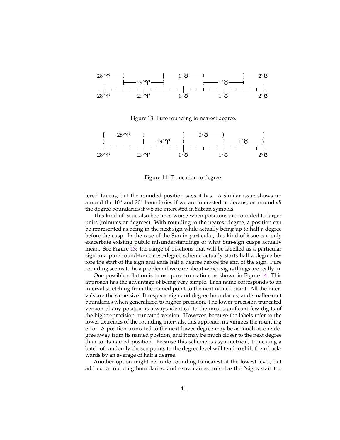

<span id="page-40-0"></span>Figure 13: Pure rounding to nearest degree.



<span id="page-40-1"></span>Figure 14: Truncation to degree.

tered Taurus, but the rounded position says it has. A similar issue shows up around the 10◦ and 20◦ boundaries if we are interested in decans; or around *all* the degree boundaries if we are interested in Sabian symbols.

This kind of issue also becomes worse when positions are rounded to larger units (minutes or degrees). With rounding to the nearest degree, a position can be represented as being in the next sign while actually being up to half a degree before the cusp. In the case of the Sun in particular, this kind of issue can only exacerbate existing public misunderstandings of what Sun-sign cusps actually mean. See Figure [13:](#page-40-0) the range of positions that will be labelled as a particular sign in a pure round-to-nearest-degree scheme actually starts half a degree before the start of the sign and ends half a degree before the end of the sign. Pure rounding seems to be a problem if we care about which signs things are really in.

One possible solution is to use pure truncation, as shown in Figure [14.](#page-40-1) This approach has the advantage of being very simple. Each name corresponds to an interval stretching from the named point to the next named point. All the intervals are the same size. It respects sign and degree boundaries, and smaller-unit boundaries when generalized to higher precision. The lower-precision truncated version of any position is always identical to the most significant few digits of the higher-precision truncated version. However, because the labels refer to the lower extremes of the rounding intervals, this approach maximizes the rounding error. A position truncated to the next lower degree may be as much as one degree away from its named position; and it may be much closer to the next degree than to its named position. Because this scheme is asymmetrical, truncating a batch of randomly chosen points to the degree level will tend to shift them backwards by an average of half a degree.

Another option might be to do rounding to nearest at the lowest level, but add extra rounding boundaries, and extra names, to solve the "signs start too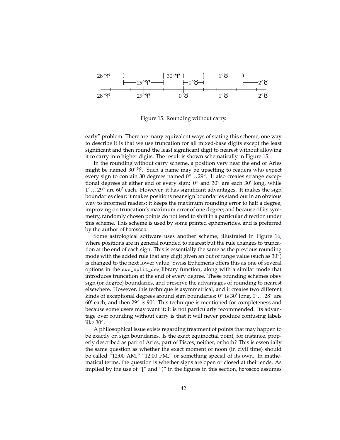

<span id="page-41-0"></span>Figure 15: Rounding without carry.

early" problem. There are many equivalent ways of stating this scheme; one way to describe it is that we use truncation for all mixed-base digits except the least significant and then round the least significant digit to nearest without allowing it to carry into higher digits. The result is shown schematically in Figure [15.](#page-41-0)

In the rounding without carry scheme, a position very near the end of Aries might be named  $30^{\circ}$ . Such a name may be upsetting to readers who expect every sign to contain 30 degrees named 0°...29°. It also creates strange exceptional degrees at either end of every sign:  $0^{\circ}$  and  $30^{\circ}$  are each  $30'$  long, while 1°...29° are 60' each. However, it has significant advantages. It makes the sign boundaries clear; it makes positions near sign boundaries stand out in an obvious way to informed readers; it keeps the maximum rounding error to half a degree, improving on truncation's maximum error of one degree; and because of its symmetry, randomly chosen points do not tend to shift in a particular direction under this scheme. This scheme is used by some printed ephemerides, and is preferred by the author of horoscop.

Some astrological software uses another scheme, illustrated in Figure [16,](#page-42-0) where positions are in general rounded to nearest but the rule changes to truncation at the end of each sign. This is essentially the same as the previous rounding mode with the added rule that any digit given an out of range value (such as 30°) is changed to the next lower value. Swiss Ephemeris offers this as one of several options in the swe\_split\_deg library function, along with a similar mode that introduces truncation at the end of every degree. These rounding schemes obey sign (or degree) boundaries, and preserve the advantages of rounding to nearest elsewhere. However, this technique is asymmetrical, and it creates two different kinds of exceptional degrees around sign boundaries: 0° is 30' long, 1°...28° are  $60'$  each, and then 29 $\degree$  is 90'. This technique is mentioned for completeness and because some users may want it; it is not particularly recommended. Its advantage over rounding without carry is that it will never produce confusing labels like 30◦ .

A philosophical issue exists regarding treatment of points that may happen to be exactly on sign boundaries. Is the exact equinoctial point, for instance, properly described as part of Aries, part of Pisces, neither, or both? This is essentially the same question as whether the exact moment of noon (in civil time) should be called "12:00 AM," "12:00 PM," or something special of its own. In mathematical terms, the question is whether signs are open or closed at their ends. As implied by the use of "[" and ")" in the figures in this section, horoscop assumes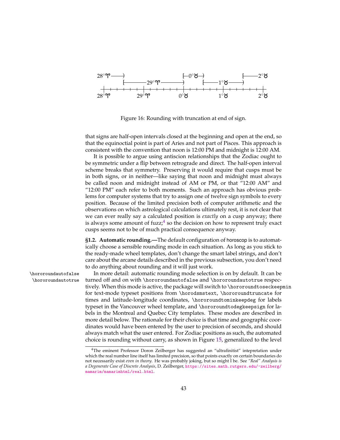

<span id="page-42-0"></span>Figure 16: Rounding with truncation at end of sign.

that signs are half-open intervals closed at the beginning and open at the end, so that the equinoctial point is part of Aries and not part of Pisces. This approach is consistent with the convention that noon is 12:00 PM and midnight is 12:00 AM.

It is possible to argue using antiscion relationships that the Zodiac ought to be symmetric under a flip between retrograde and direct. The half-open interval scheme breaks that symmetry. Preserving it would require that cusps must be in both signs, or in neither—like saying that noon and midnight must always be called noon and midnight instead of AM or PM, or that "12:00 AM" and "12:00 PM" each refer to both moments. Such an approach has obvious problems for computer systems that try to assign one of twelve sign symbols to every position. Because of the limited precision both of computer arithmetic and the observations on which astrological calculations ultimately rest, it is not clear that we can ever really say a calculated position is *exactly* on a cusp anyway; there is always some amount of fuzz; $<sup>4</sup>$  $<sup>4</sup>$  $<sup>4</sup>$  so the decision on how to represent truly exact</sup> cusps seems not to be of much practical consequence anyway.

**§1.2. Automatic rounding.—**The default configuration of horoscop is to automatically choose a sensible rounding mode in each situation. As long as you stick to the ready-made wheel templates, don't change the smart label strings, and don't care about the arcane details described in the previous subsection, you don't need to do anything about rounding and it will just work.

\hororoundautofalse In more detail: automatic rounding mode selection is on by default. It can be \hororoundautotrue turned off and on with \hororoundautofalse and \hororoundautotrue respectively. When this mode is active, the package will switch to \hororoundtoseckeepmin for text-mode typeset positions from \horodsmstext, \hororoundtruncate for times and latitude-longitude coordinates, \hororoundtominkeepdeg for labels typeset in the Vancouver wheel template, and \hororoundtodegkeepsign for labels in the Montreal and Quebec City templates. These modes are described in more detail below. The rationale for their choice is that time and geographic coordinates would have been entered by the user to precision of seconds, and should always match what the user entered. For Zodiac positions as such, the automated choice is rounding without carry, as shown in Figure [15,](#page-41-0) generalized to the level

<span id="page-42-1"></span><sup>4</sup>The eminent Professor Doron Zeilberger has suggested an "ultrafinitist" intepretation under which the real number line itself has limited precision, so that points exactly on certain boundaries do not necessarily exist *even in theory*. He was probably joking, but so might I be. See *"Real" Analysis is a Degenerate Case of Discrete Analysis*, D. Zeilberger, [https://sites.math.rutgers.edu/~zeilberg/](https://sites.math.rutgers.edu/~zeilberg/mamarim/mamarimhtml/real.html) [mamarim/mamarimhtml/real.html](https://sites.math.rutgers.edu/~zeilberg/mamarim/mamarimhtml/real.html).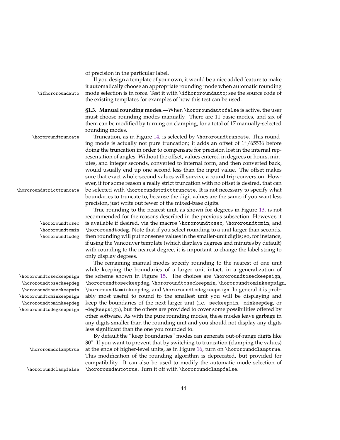of precision in the particular label.

If you design a template of your own, it would be a nice added feature to make it automatically choose an appropriate rounding mode when automatic rounding \ifhororoundauto mode selection is in force. Test it with \ifhororoundauto; see the source code of the existing templates for examples of how this test can be used.

> **§1.3. Manual rounding modes.—**When \hororoundautofalse is active, the user must choose rounding modes manually. There are 11 basic modes, and six of them can be modified by turning on clamping, for a total of 17 manually-selected rounding modes.

\hororoundtruncate Truncation, as in Figure [14,](#page-40-1) is selected by \hororoundtruncate. This rounding mode is actually not pure truncation; it adds an offset of  $1°/65536$  before doing the truncation in order to compensate for precision lost in the internal representation of angles. Without the offset, values entered in degrees or hours, minutes, and integer seconds, converted to internal form, and then converted back, would usually end up one second less than the input value. The offset makes sure that exact whole-second values will survive a round trip conversion. However, if for some reason a really strict truncation with no offset is desired, that can \hororoundstricttruncate be selected with \hororoundstricttruncate. It is not necessary to specify what boundaries to truncate to, because the digit values are the same; if you want less precision, just write out fewer of the mixed-base digits.

True rounding to the nearest unit, as shown for degrees in Figure [13,](#page-40-0) is not recommended for the reasons described in the previous subsection. However, it \hororoundtosec is available if desired, via the macros \hororoundtosec, \hororoundtomin, and \hororoundtodeg. Note that if you select rounding to a unit larger than seconds, then rounding will put nonsense values in the smaller-unit digits; so, for instance, if using the Vancouver template (which displays degrees and minutes by default) with rounding to the nearest degree, it is important to change the label string to only display degrees.

The remaining manual modes specify rounding to the nearest of one unit while keeping the boundaries of a larger unit intact, in a generalization of \hororoundtoseckeepsign the scheme shown in Figure [15.](#page-41-0) The choices are \hororoundtoseckeepsign, \hororoundtoseckeepdeg, \hororoundtoseckeepmin, \hororoundtominkeepsign, \hororoundtominkeepdeg, and \hororoundtodegkeepsign. In general it is probably most useful to round to the smallest unit you will be displaying and keep the boundaries of the next larger unit (i.e. -seckeepmin, -minkeepdeg, or -degkeepsign), but the others are provided to cover some possibilities offered by other software. As with the pure rounding modes, these modes leave garbage in any digits smaller than the rounding unit and you should not display any digits less significant than the one you rounded to.

By default the "keep boundaries" modes can generate out-of-range digits like 30◦ . If you want to prevent that by switching to truncation (clamping the values) \hororoundclamptrue at the ends of higher-level units, as in Figure [16,](#page-42-0) turn on \hororoundclamptrue. This modification of the rounding algorithm is deprecated, but provided for compatibility. It can also be used to modify the automatic mode selection of \hororoundclampfalse \hororoundautotrue. Turn it off with \hororoundclampfalse.

\hororoundtomin \hororoundtodeg

\hororoundtoseckeepdeg \hororoundtoseckeepmin \hororoundtominkeepsign \hororoundtominkeepdeg \hororoundtodegkeepsign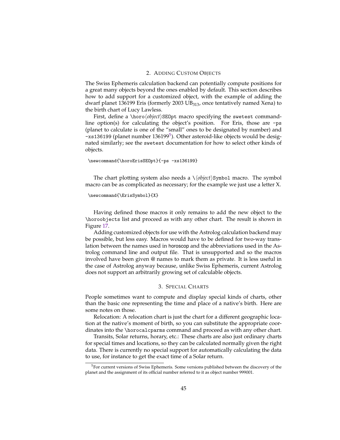### 2. ADDING CUSTOM OBJECTS

The Swiss Ephemeris calculation backend can potentially compute positions for a great many objects beyond the ones enabled by default. This section describes how to add support for a customized object, with the example of adding the dwarf planet 136199 Eris (formerly 2003 UB<sub>313</sub>, once tentatively named Xena) to the birth chart of Lucy Lawless.

First, define a \horo\*object*\SEOpt macro specifying the swetest commandline option(s) for calculating the object's position. For Eris, those are -ps (planet to calculate is one of the "small" ones to be designated by number) and -xs136199 (planet number 136199<sup>[5](#page-44-0)</sup>). Other asteroid-like objects would be designated similarly; see the swetest documentation for how to select other kinds of objects.

#### \newcommand{\horoErisSEOpt}{-ps -xs136199}

The chart plotting system also needs a  $\langle \langle object \rangle$ Symbol macro. The symbol macro can be as complicated as necessary; for the example we just use a letter X.

#### \newcommand{\ErisSymbol}{X}

Having defined those macros it only remains to add the new object to the \horoobjects list and proceed as with any other chart. The result is shown in Figure [17.](#page-45-0)

Adding customized objects for use with the Astrolog calculation backend may be possible, but less easy. Macros would have to be defined for two-way translation between the names used in horoscop and the abbreviations used in the Astrolog command line and output file. That is unsupported and so the macros involved have been given @ names to mark them as private. It is less useful in the case of Astrolog anyway because, unlike Swiss Ephemeris, current Astrolog does not support an arbitrarily growing set of calculable objects.

## 3. SPECIAL CHARTS

People sometimes want to compute and display special kinds of charts, other than the basic one representing the time and place of a native's birth. Here are some notes on those.

Relocation: A relocation chart is just the chart for a different geographic location at the native's moment of birth, so you can substitute the appropriate coordinates into the \horocalcparms command and proceed as with any other chart.

Transits, Solar returns, horary, etc.: These charts are also just ordinary charts for special times and locations, so they can be calculated normally given the right data. There is currently no special support for automatically calculating the data to use, for instance to get the exact time of a Solar return.

<span id="page-44-0"></span><sup>&</sup>lt;sup>5</sup>For current versions of Swiss Ephemeris. Some versions published between the discovery of the planet and the assignment of its official number referred to it as object number 999001.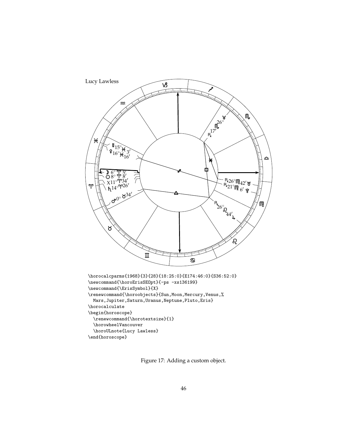

<span id="page-45-0"></span>Figure 17: Adding a custom object.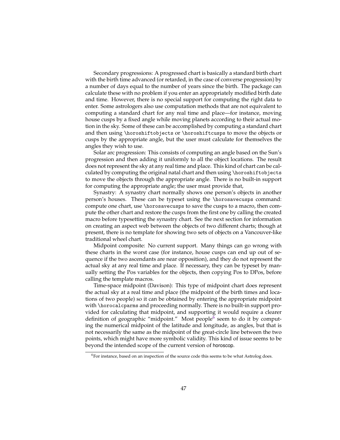Secondary progressions: A progressed chart is basically a standard birth chart with the birth time advanced (or retarded, in the case of converse progression) by a number of days equal to the number of years since the birth. The package can calculate these with no problem if you enter an appropriately modified birth date and time. However, there is no special support for computing the right data to enter. Some astrologers also use computation methods that are not equivalent to computing a standard chart for any real time and place—for instance, moving house cusps by a fixed angle while moving planets according to their actual motion in the sky. Some of these can be accomplished by computing a standard chart and then using \horoshiftobjects or \horoshiftcusps to move the objects or cusps by the appropriate angle, but the user must calculate for themselves the angles they wish to use.

Solar arc progression: This consists of computing an angle based on the Sun's progression and then adding it uniformly to all the object locations. The result does not represent the sky at any real time and place. This kind of chart can be calculated by computing the original natal chart and then using \horoshiftobjects to move the objects through the appropriate angle. There is no built-in support for computing the appropriate angle; the user must provide that,

Synastry: A synastry chart normally shows one person's objects in another person's houses. These can be typeset using the \horosavecusps command: compute one chart, use \horosavecusps to save the cusps to a macro, then compute the other chart and restore the cusps from the first one by calling the created macro before typesetting the synastry chart. See the next section for information on creating an aspect web between the objects of two different charts; though at present, there is no template for showing two sets of objects on a Vancouver-like traditional wheel chart.

Midpoint composite: No current support. Many things can go wrong with these charts in the worst case (for instance, house cusps can end up out of sequence if the two ascendants are near opposition), and they do not represent the actual sky at any real time and place. If necessary, they can be typeset by manually setting the Pos variables for the objects, then copying Pos to DPos, before calling the template macros.

Time-space midpoint (Davison): This type of midpoint chart does represent the actual sky at a real time and place (the midpoint of the birth times and locations of two people) so it can be obtained by entering the appropriate midpoint with \horocalcparms and proceeding normally. There is no built-in support provided for calculating that midpoint, and supporting it would require a clearer definition of geographic "midpoint." Most people<sup>[6](#page-46-0)</sup> seem to do it by computing the numerical midpoint of the latitude and longitude, as angles, but that is not necessarily the same as the midpoint of the great-circle line between the two points, which might have more symbolic validity. This kind of issue seems to be beyond the intended scope of the current version of horoscop.

<span id="page-46-0"></span><sup>6</sup>For instance, based on an inspection of the source code this seems to be what Astrolog does.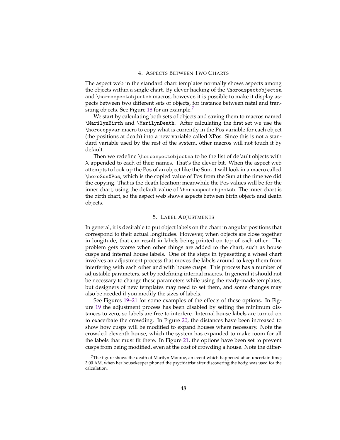#### 4. ASPECTS BETWEEN TWO CHARTS

The aspect web in the standard chart templates normally shows aspects among the objects within a single chart. By clever hacking of the \horoaspectobjectsa and \horoaspectobjectsb macros, however, it is possible to make it display aspects between two different sets of objects, for instance between natal and tran-siting objects. See Figure [18](#page-48-0) for an example.<sup>[7](#page-47-0)</sup>

We start by calculating both sets of objects and saving them to macros named \MarilynBirth and \MarilynDeath. After calculating the first set we use the \horocopyvar macro to copy what is currently in the Pos variable for each object (the positions at death) into a new variable called XPos. Since this is not a standard variable used by the rest of the system, other macros will not touch it by default.

Then we redefine \horoaspectobjectsa to be the list of default objects with X appended to each of their names. That's the clever bit. When the aspect web attempts to look up the Pos of an object like the Sun, it will look in a macro called \horoSunXPos, which is the copied value of Pos from the Sun at the time we did the copying. That is the death location; meanwhile the Pos values will be for the inner chart, using the default value of \horoaspectobjectsb. The inner chart is the birth chart, so the aspect web shows aspects between birth objects and death objects.

## 5. LABEL ADJUSTMENTS

In general, it is desirable to put object labels on the chart in angular positions that correspond to their actual longitudes. However, when objects are close together in longitude, that can result in labels being printed on top of each other. The problem gets worse when other things are added to the chart, such as house cusps and internal house labels. One of the steps in typesetting a wheel chart involves an adjustment process that moves the labels around to keep them from interfering with each other and with house cusps. This process has a number of adjustable parameters, set by redefining internal macros. In general it should not be necessary to change these parameters while using the ready-made templates, but designers of new templates may need to set them, and some changes may also be needed if you modify the sizes of labels.

See Figures [19–](#page-50-0)[21](#page-52-0) for some examples of the effects of these options. In Figure [19](#page-50-0) the adjustment process has been disabled by setting the minimum distances to zero, so labels are free to interfere. Internal house labels are turned on to exacerbate the crowding. In Figure [20,](#page-51-0) the distances have been increased to show how cusps will be modified to expand houses where necessary. Note the crowded eleventh house, which the system has expanded to make room for all the labels that must fit there. In Figure [21,](#page-52-0) the options have been set to prevent cusps from being modified, even at the cost of crowding a house. Note the differ-

<span id="page-47-0"></span> $7$ The figure shows the death of Marilyn Monroe, an event which happened at an uncertain time; 3:00 AM, when her housekeeper phoned the psychiatrist after discovering the body, was used for the calculation.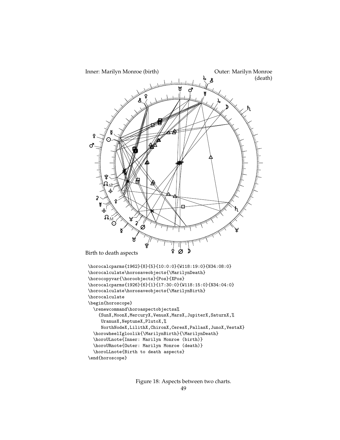

<span id="page-48-0"></span>Figure 18: Aspects between two charts.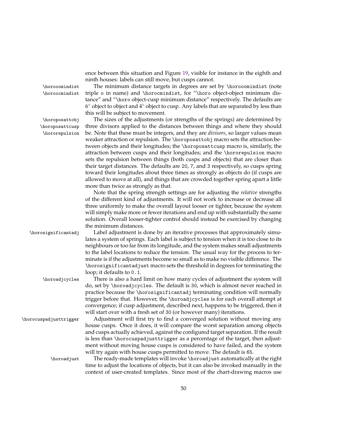ence between this situation and Figure [19,](#page-50-0) visible for instance in the eighth and ninth houses: labels can still move, but cusps cannot.

\horooomindist The minimum distance targets in degrees are set by \horooomindist (note

\horoposattcusp \hororepulsion

\horoocmindist triple o in name) and \horocmindist, for "\horo object-object minimum distance" and "\horo object-cusp minimum distance" respectively. The defaults are 6 ◦ object to object and 4◦ object to cusp. Any labels that are separated by less than this will be subject to movement. \horoposattobj The sizes of the adjustments (or strengths of the springs) are determined by

three divisors applied to the distances between things and where they should be. Note that these must be integers, and they are *divisors*, so larger values mean weaker attraction or repulsion. The \horoposattobj macro sets the attraction between objects and their longitudes; the \horoposattcusp macro is, similarly, the attraction between cusps and their longitudes; and the \hororepulsion macro sets the repulsion between things (both cusps and objects) that are closer than their target distances. The defaults are 20, 7, and 3 respectively, so cusps spring toward their longitudes about three times as strongly as objects do (if cusps are allowed to move at all), and things that are crowded together spring apart a little more than twice as strongly as that.

Note that the spring strength settings are for adjusting the *relative* strengths of the different kind of adjustments. It will not work to increase or decrease all three uniformly to make the overall layout looser or tighter, because the system will simply make more or fewer iterations and end up with substantially the same solution. Overall looser-tighter control should instead be exercised by changing the minimum distances.

\horosignificantadj Label adjustment is done by an iterative processes that approximately simulates a system of springs. Each label is subject to tension when it is too close to its neighbours or too far from its longitude, and the system makes small adjustments to the label locations to reduce the tension. The usual way for the process to terminate is if the adjustments become so small as to make no visible difference. The \horosignificantadjust macro sets the threshold in degrees for terminating the loop; it defaults to 0.1.

\horoadjcycles There is also a hard limit on how many cycles of adjustment the system will do, set by \horoadjcycles. The default is 30, which is almost never reached in practice because the \horosignificantadj terminating condition will normally trigger before that. However, the \horoadjcycles is for each overall attempt at convergence; if cusp adjustment, described next, happens to be triggered, then it will start over with a fresh set of 30 (or however many) iterations.

\horocuspadjusttrigger Adjustment will first try to find a converged solution without moving any house cusps. Once it does, it will compare the worst separation among objects and cusps actually achieved, against the configured target separation. If the result is less than \horocuspadjusttrigger as a percentage of the target, then adjustment without moving house cusps is considered to have failed, and the system will try again with house cusps permitted to move. The default is 65.

\horoadjust The ready-made templates will invoke \horoadjust automatically at the right time to adjust the locations of objects, but it can also be invoked manually in the context of user-created templates. Since most of the chart-drawing macros use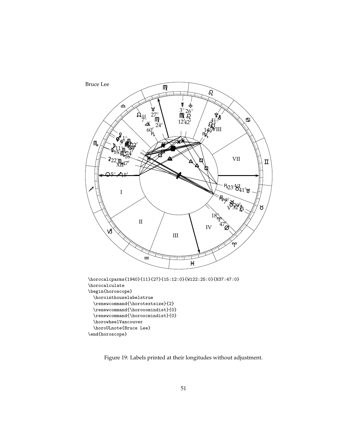

<span id="page-50-0"></span>Figure 19: Labels printed at their longitudes without adjustment.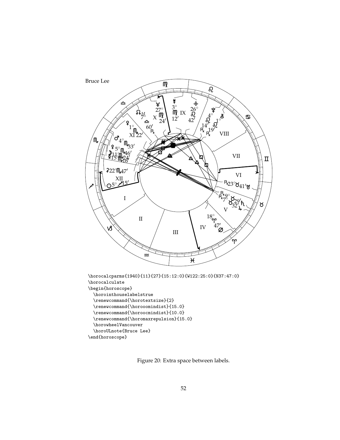

<span id="page-51-0"></span>Figure 20: Extra space between labels.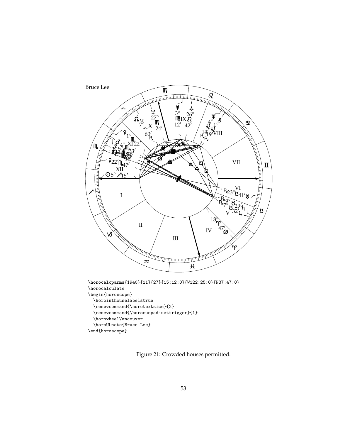

<span id="page-52-0"></span>Figure 21: Crowded houses permitted.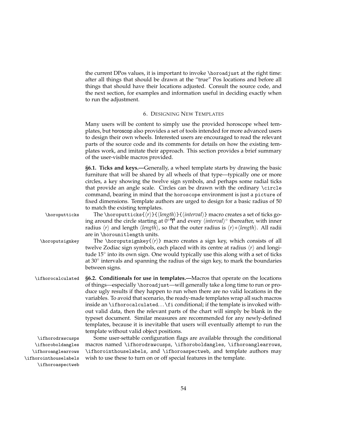the current DPos values, it is important to invoke \horoadjust at the right time: after all things that should be drawn at the "true" Pos locations and before all things that should have their locations adjusted. Consult the source code, and the next section, for examples and information useful in deciding exactly when to run the adjustment.

#### 6. DESIGNING NEW TEMPLATES

Many users will be content to simply use the provided horoscope wheel templates, but horoscop also provides a set of tools intended for more advanced users to design their own wheels. Interested users are encouraged to read the relevant parts of the source code and its comments for details on how the existing templates work, and imitate their approach. This section provides a brief summary of the user-visible macros provided.

\horoputticks The \horoputticks{h*r*i}{h*length*i}{h*interval*i} macro creates a set of ticks going around the circle starting at 0°<sup>°</sup> and every *\interval*}° thereafter, with inner radius  $\langle r \rangle$  and length  $\langle length \rangle$ , so that the outer radius is  $\langle r \rangle + \langle length \rangle$ . All radii are in \horounitlength units.

\horoputsignkey The \horoputsignkey{ $\langle r \rangle$ } macro creates a sign key, which consists of all twelve Zodiac sign symbols, each placed with its centre at radius  $\langle r \rangle$  and longitude 15° into its own sign. One would typically use this along with a set of ticks at 30◦ intervals and spanning the radius of the sign key, to mark the boundaries between signs.

\ifhorocalculated **§6.2. Conditionals for use in templates.—**Macros that operate on the locations of things—especially \horoadjust—will generally take a long time to run or produce ugly results if they happen to run when there are no valid locations in the variables. To avoid that scenario, the ready-made templates wrap all such macros inside an \ifhorocalculated. . . \fi conditional; if the template is invoked without valid data, then the relevant parts of the chart will simply be blank in the typeset document. Similar measures are recommended for any newly-defined templates, because it is inevitable that users will eventually attempt to run the template without valid object positions.

\ifhorodrawcusps Some user-settable configuration flags are available through the conditional \ifhoroboldangles \ifhoroanglearrows \ifhorointhouselabels \ifhoroaspectweb macros named \ifhorodrawcusps, \ifhoroboldangles, \ifhoroanglearrows, \ifhorointhouselabels, and \ifhoroaspectweb, and template authors may wish to use these to turn on or off special features in the template.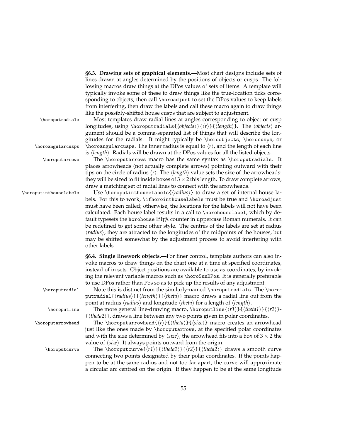**§6.3. Drawing sets of graphical elements.—**Most chart designs include sets of lines drawn at angles determined by the positions of objects or cusps. The following macros draw things at the DPos values of sets of items. A template will typically invoke some of these to draw things like the true-location ticks corresponding to objects, then call \horoad just to set the DPos values to keep labels from interfering, then draw the labels and call these macro again to draw things like the possibly-shifted house cusps that are subject to adjustment.

longitudes, using \horoputradials{ $\{objects\}$ }{ $\{r\}$ }{ $\{length\}$ . The  $\{objects\}$  argument should be a comma-separated list of things that will describe the longitudes for the radials. It might typically be \horoobjects, \horocusps, or

\horoputradials Most templates draw radial lines at angles corresponding to object or cusp

 $\hbar$ oroangularcusps  $\hbar$ oroangularcusps. The inner radius is equal to  $\langle r \rangle$ , and the length of each line

is *(length)*. Radials will be drawn at the DPos values for all the listed objects. \horoputarrows The \horoputarrows macro has the same syntax as \horoputradials. It places arrowheads (not actually complete arrows) pointing outward with their tips on the circle of radius  $\langle r \rangle$ . The  $\langle length \rangle$  value sets the size of the arrowheads: they will be sized to fit inside boxes of  $3 \times 2$  this length. To draw complete arrows, draw a matching set of radial lines to connect with the arrowheads.

\horoputinthouselabels Use \horoputinthouselabels{\*radius*}} to draw a set of internal house labels. For this to work, \ifhorointhouselabels must be true and \horoadjust must have been called; otherwise, the locations for the labels will not have been calculated. Each house label results in a call to \horohouselabel, which by default typesets the horohouse LAT<sub>EX</sub> counter in uppercase Roman numerals. It can be redefined to get some other style. The centres of the labels are set at radius  $\langle radius \rangle$ ; they are attracted to the longitudes of the midpoints of the houses, but may be shifted somewhat by the adjustment process to avoid interfering with other labels.

> **§6.4. Single linework objects.—**For finer control, template authors can also invoke macros to draw things on the chart one at a time at specified coordinates, instead of in sets. Object positions are available to use as coordinates, by invoking the relevant variable macros such as \horoSunDPos. It is generally preferable to use DPos rather than Pos so as to pick up the results of any adjustment.

\horoputradial Note this is distinct from the similarly-named \horoputradials. The \horoputradial{*{radius}*}{*{length}*}{*{theta}*} macro draws a radial line out from the point at radius  $\langle$ *radius* $\rangle$  and longitude  $\langle$ *theta* $\rangle$  for a length of  $\langle$ *length* $\rangle$ .

\horoputline The more general line-drawing macro, \horoputline{ $\{r1\}$ { $\{theta1\}$ }{ $\{r2\}$ - $\{\langle theta2 \rangle\}$ , draws a line between any two points given in polar coordinates.

\horoputarrowhead The \horoputarrowhead{ $\r$ }{ $\theta$ }{ $\$  macro creates an arrowhead just like the ones made by \horoputarrows, at the specified polar coordinates and with the size determined by  $\langle size \rangle$ ; the arrowhead fits into a box of 3  $\times$  2 the value of  $\langle size \rangle$ . It always points outward from the origin.

\horoputcurve The \horoputcurve{ $\{r1\}$ { $\{theta1\}$ }{ $\{r2\}$ }{ $\{theta2\}$ } draws a smooth curve connecting two points designated by their polar coordinates. If the points happen to be at the same radius and not too far apart, the curve will approximate a circular arc centred on the origin. If they happen to be at the same longitude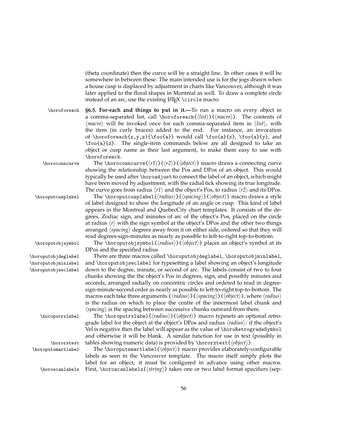(theta coordinate) then the curve will be a straight line. In other cases it will be somewhere in between these. The main intended use is for the jogs drawn when a house cusp is displaced by adjustment in charts like Vancouver, although it was later applied to the floral shapes in Montreal as well. To draw a complete circle instead of an arc, use the existing  $\text{LipX} \circle macro$ .

\horoforeach **§6.5. For-each and things to put in it.—**To run a macro on every object in a comma-separated list, call \horoforeach{h*list*i}{h*macro*i}. The contents of  $\langle$ *macro* $\rangle$  will be invoked once for each comma-separated item in  $\langle$ *list* $\rangle$ , with the item (in curly braces) added to the end. For instance, an invocation of \horoforeach{x,y,z}{\foo{a}} would call \foo{a}{x}, \foo{a}{y}, and \foo{a}{z}. The single-item commands below are all designed to take an object or cusp name as their last argument, to make them easy to use with \horoforeach.

\horoconncurve The \horoconncurve{h*r1*i}{h*r2*i}{h*object*i} macro draws a connecting curve showing the relationship between the Pos and DPos of an object. This would typically be used after \horoadjust to connect the label of an object, which might have been moved by adjustment, with the radial tick showing its true longitude. The curve goes from radius  $\langle r1 \rangle$  and the object's Pos, to radius  $\langle r2 \rangle$  and its DPos.

\horoputcusplabel The \horoputcusplabel{h*radius*i}{h*spacing*i}{h*object*i} macro draws a style of label designed to show the longitude of an angle or cusp. This kind of label appears in the Montreal and QuebecCity chart templates. It consists of the degrees, Zodiac sign, and minutes of arc of the object's Pos, placed on the circle at radius  $\langle r \rangle$  with the sign symbol at the object's DPos and the other two things arranged  $\langle$ *spacing* $\rangle$  degrees away from it on either side, ordered so that they will read degrees-sign-minutes as nearly as possible to left-to-right top-to-bottom.

\horoputobjsymbol The \horoputobjsymbol{(*radius*)}{(*object*)} places an object's symbol at its DPos and the specified radius

\horoputobjdeglabel There are three macros called \horoputobjdeglabel, \horoputobjminlabel, \horoputobjminlabel and \horoputobjseclabel for typesetting a label showing an object's longitude \horoputobjseclabel down to the degree, minute, or second of arc. The labels consist of two to four chunks showing the the object's Pos in degrees, sign, and possibly minutes and seconds, arranged radially on concentric circles and ordered to read in degreesign-minute-second order as nearly as possible to left-to-right top-to-bottom. The macros each take three arguments { $\{radians\}$ }{ $\{spacing\}$ }{ $\{object\}$ , where  $\{radians\}$ is the radius on which to place the centre of the innermost label chunk and  $\langle$ spacing $\rangle$  is the spacing between successive chunks outward from there.

\horoputrxlabel The \horoputrxlabel{h*radius*i}{h*object*i} macro typesets an optional retrograde label for the object at the object's DPos and radius  $\langle radius \rangle$ : if the object's Vel is negative then the label will appear as the value of \horoRetrogradeSymbol and otherwise it will be blank. A similar function for use in text (possibly in \hororxtext tables showing numeric data) is provided by \hororxtext{h*object*i}.

\horoputsmartlabel The \horoputsmartlabel{h*object*i} macro provides elaborately-configurable labels as seen in the Vancouver template. The macro itself simply plots the label for an object; it must be configured in advance using other macros. \horoscanlabels First, \horoscanlabels {*{string*}} takes one or two label format specifiers (sep-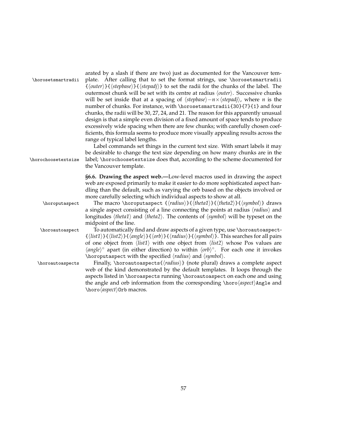| \horosetsmartradii<br>\horochoosetextsize | arated by a slash if there are two) just as documented for the Vancouver tem-<br>plate. After calling that to set the format strings, use \horosetsmartradii<br>$\{\langle outer\rangle\}\{\langle stepbase\rangle\}\{\langle stepadj\rangle\}$ to set the radii for the chunks of the label. The<br>outermost chunk will be set with its centre at radius (outer). Successive chunks<br>will be set inside that at a spacing of $\langle stepbase \rangle - n \times \langle stepadj \rangle$ , where <i>n</i> is the<br>number of chunks. For instance, with \horosetsmartradii{30}{7}{1} and four<br>chunks, the radii will be 30, 27, 24, and 21. The reason for this apparently unusual<br>design is that a simple even division of a fixed amount of space tends to produce<br>excessively wide spacing when there are few chunks; with carefully chosen coef-<br>ficients, this formula seems to produce more visually appealing results across the<br>range of typical label lengths.<br>Label commands set things in the current text size. With smart labels it may<br>be desirable to change the text size depending on how many chunks are in the<br>label; \horochoosetextsize does that, according to the scheme documented for<br>the Vancouver template. |
|-------------------------------------------|--------------------------------------------------------------------------------------------------------------------------------------------------------------------------------------------------------------------------------------------------------------------------------------------------------------------------------------------------------------------------------------------------------------------------------------------------------------------------------------------------------------------------------------------------------------------------------------------------------------------------------------------------------------------------------------------------------------------------------------------------------------------------------------------------------------------------------------------------------------------------------------------------------------------------------------------------------------------------------------------------------------------------------------------------------------------------------------------------------------------------------------------------------------------------------------------------------------------------------------------------------------------------|
| \horoputaspect                            | §6.6. Drawing the aspect web.—Low-level macros used in drawing the aspect<br>web are exposed primarily to make it easier to do more sophisticated aspect han-<br>dling than the default, such as varying the orb based on the objects involved or<br>more carefully selecting which individual aspects to show at all.<br>The macro \horoputaspect $\{\langle radius \rangle\}$ {\theta1}}{\theta2}}{\symbol}} draws                                                                                                                                                                                                                                                                                                                                                                                                                                                                                                                                                                                                                                                                                                                                                                                                                                                     |
|                                           | a single aspect consisting of a line connecting the points at radius (radius) and<br>longitudes $\langle theta1 \rangle$ and $\langle theta2 \rangle$ . The contents of $\langle symbol \rangle$ will be typeset on the<br>midpoint of the line.                                                                                                                                                                                                                                                                                                                                                                                                                                                                                                                                                                                                                                                                                                                                                                                                                                                                                                                                                                                                                         |
| \horoautoaspect                           | To automatically find and draw aspects of a given type, use \horoautoaspect-<br>$\{\langle list1\rangle\}\{\langle list2\rangle\}\{\langle angle\rangle\}\{\langle orb\rangle\}\{\langle radius\rangle\}\{\langle symbol\rangle\}.$ This searches for all pairs<br>of one object from $\langle list1 \rangle$ with one object from $\langle list2 \rangle$ whose Pos values are<br>$\langle angle \rangle^{\circ}$ apart (in either direction) to within $\langle orb \rangle^{\circ}$ . For each one it invokes<br>\horoputaspect with the specified (radius) and (symbol).                                                                                                                                                                                                                                                                                                                                                                                                                                                                                                                                                                                                                                                                                             |
| \horoautoaspects                          | Finally, \horoautoaspects{ $\langle$ radius}} (note plural) draws a complete aspect<br>web of the kind demonstrated by the default templates. It loops through the<br>aspects listed in \horoaspects running \horoautoaspect on each one and using<br>the angle and orb information from the corresponding \horo $\langle$ aspect\hangle and<br>\horo <i>(aspect</i> ) Orb macros.                                                                                                                                                                                                                                                                                                                                                                                                                                                                                                                                                                                                                                                                                                                                                                                                                                                                                       |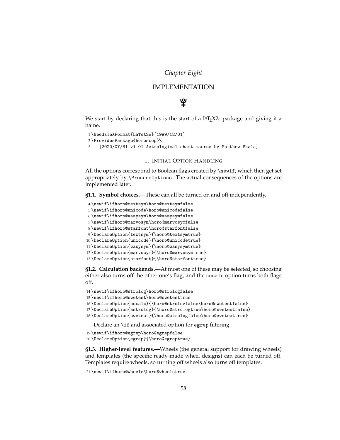# *Chapter Eight*

# IMPLEMENTATION

# ଡୁ

We start by declaring that this is the start of a LATEX2*ε* package and giving it a name.

```
1 \NeedsTeXFormat{LaTeX2e}[1999/12/01]
2 \ProvidesPackage{horoscop}%
3 [2020/07/31 v1.01 Astrological chart macros by Matthew Skala]
```
#### 1. INITIAL OPTION HANDLING

All the options correspond to Boolean flags created by \newif, which then get set appropriately by \ProcessOptions. The actual consequences of the options are implemented later.

**§1.1. Symbol choices.—**These can all be turned on and off independently.

```
4 \newif\ifhoro@textsym\horo@textsymfalse
5 \newif\ifhoro@unicode\horo@unicodefalse
6 \newif\ifhoro@wasysym\horo@wasysymfalse
7 \newif\ifhoro@marvosym\horo@marvosymfalse
8 \newif\ifhoro@starfont\horo@starfontfalse
9 \DeclareOption{textsym}{\horo@textsymtrue}
10 \DeclareOption{unicode}{\horo@unicodetrue}
11 \DeclareOption{wasysym}{\horo@wasysymtrue}
12 \DeclareOption{marvosym}{\horo@marvosymtrue}
13 \DeclareOption{starfont}{\horo@starfonttrue}
```
**§1.2. Calculation backends.—**At most one of these may be selected, so choosing either also turns off the other one's flag, and the nocalc option turns both flags off.

```
14 \newif\ifhoro@strolog\horo@strologfalse
15 \newif\ifhoro@swetest\horo@swetesttrue
16 \DeclareOption{nocalc}{\horo@strologfalse\horo@swetestfalse}
17 \DeclareOption{astrolog}{\horo@strologtrue\horo@swetestfalse}
18 \DeclareOption{swetest}{\horo@strologfalse\horo@swetesttrue}
```
Declare an \if and associated option for egrep filtering.

```
19 \newif\ifhoro@egrep\horo@egrepfalse
```
20 \DeclareOption{egrep}{\horo@egreptrue}

**§1.3. Higher-level features.—**Wheels (the general support for drawing wheels) and templates (the specific ready-made wheel designs) can each be turned off. Templates require wheels, so turning off wheels also turns off templates.

21 \newif\ifhoro@wheels\horo@wheelstrue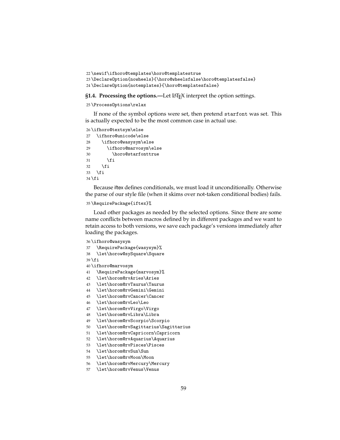```
22 \newif\ifhoro@templates\horo@templatestrue
23 \DeclareOption{nowheels}{\horo@wheelsfalse\horo@templatesfalse}
24 \DeclareOption{notemplates}{\horo@templatesfalse}
```
**§1.4. Processing the options.—Let LAT<sub>E</sub>X** interpret the option settings.

#### \ProcessOptions\relax

If none of the symbol options were set, then pretend starfont was set. This is actually expected to be the most common case in actual use.

```
26 \ifhoro@textsym\else
27 \ifhoro@unicode\else
28 \ifhoro@wasysym\else
29 \ifhoro@marvosym\else
30 \horo@starfonttrue
31 \over \{5}32 \cdot \sqrt{fi}33 \fi
34 \fi
```
Because iftex defines conditionals, we must load it unconditionally. Otherwise the parse of our style file (when it skims over not-taken conditional bodies) fails.

#### \RequirePackage{iftex}%

Load other packages as needed by the selected options. Since there are some name conflicts between macros defined by in different packages and we want to retain access to both versions, we save each package's versions immediately after loading the packages.

```
36 \ifhoro@wasysym
```

```
37 \RequirePackage{wasysym}%
```

```
38 \let\horow@sySquare\Square
```

```
39 \fi
```
\ifhoro@marvosym

```
41 \RequirePackage{marvosym}%
```
- \let\horom@rvAries\Aries
- \let\horom@rvTaurus\Taurus
- \let\horom@rvGemini\Gemini
- \let\horom@rvCancer\Cancer
- \let\horom@rvLeo\Leo
- \let\horom@rvVirgo\Virgo
- \let\horom@rvLibra\Libra
- \let\horom@rvScorpio\Scorpio
- \let\horom@rvSagittarius\Sagittarius
- \let\horom@rvCapricorn\Capricorn
- \let\horom@rvAquarius\Aquarius
- \let\horom@rvPisces\Pisces
- \let\horom@rvSun\Sun
- \let\horom@rvMoon\Moon
- \let\horom@rvMercury\Mercury
- \let\horom@rvVenus\Venus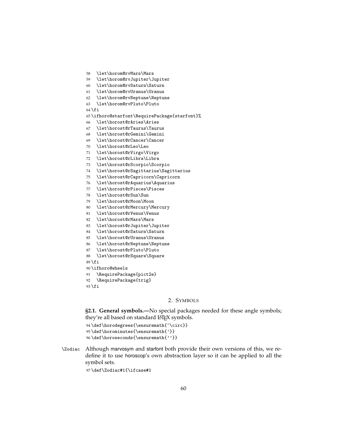\let\horom@rvMars\Mars

- \let\horom@rvJupiter\Jupiter
- \let\horom@rvSaturn\Saturn

\let\horom@rvUranus\Uranus

- \let\horom@rvNeptune\Neptune
- \let\horom@rvPluto\Pluto

\fi

- \ifhoro@starfont\RequirePackage{starfont}%
- \let\horost@rAries\Aries
- \let\horost@rTaurus\Taurus
- \let\horost@rGemini\Gemini
- \let\horost@rCancer\Cancer
- \let\horost@rLeo\Leo
- \let\horost@rVirgo\Virgo
- \let\horost@rLibra\Libra
- \let\horost@rScorpio\Scorpio
- \let\horost@rSagittarius\Sagittarius
- \let\horost@rCapricorn\Capricorn
- \let\horost@rAquarius\Aquarius
- \let\horost@rPisces\Pisces
- \let\horost@rSun\Sun
- \let\horost@rMoon\Moon
- \let\horost@rMercury\Mercury
- \let\horost@rVenus\Venus
- \let\horost@rMars\Mars
- \let\horost@rJupiter\Jupiter
- \let\horost@rSaturn\Saturn
- \let\horost@rUranus\Uranus
- \let\horost@rNeptune\Neptune
- \let\horost@rPluto\Pluto
- \let\horost@rSquare\Square
- \fi

```
90 \ifhoro@wheels
```

```
91 \RequirePackage{pict2e}
92 \RequirePackage{trig}
```
\fi

## 2. SYMBOLS

**§2.1. General symbols.—**No special packages needed for these angle symbols; they're all based on standard LATEX symbols.

```
94 \def\horodegrees{\ensuremath{^\circ}}
95 \def\horominutes{\ensuremath{'}}
96 \def\horoseconds{\ensuremath{''}}
```
\Zodiac Although marvosym and starfont both provide their own versions of this, we redefine it to use horoscop's own abstraction layer so it can be applied to all the symbol sets.

\def\Zodiac#1{\ifcase#1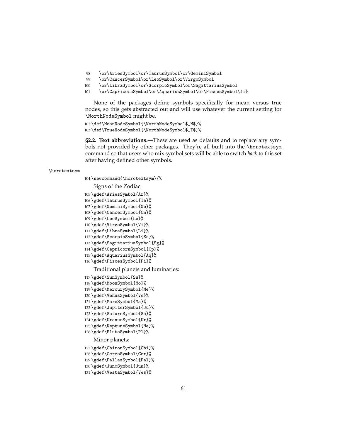- \or\AriesSymbol\or\TaurusSymbol\or\GeminiSymbol
- \or\CancerSymbol\or\LeoSymbol\or\VirgoSymbol
- \or\LibraSymbol\or\ScorpioSymbol\or\SagittariusSymbol
- \or\CapricornSymbol\or\AquariusSymbol\or\PiscesSymbol\fi}

None of the packages define symbols specifically for mean versus true nodes, so this gets abstracted out and will use whatever the current setting for \NorthNodeSymbol might be.

 \def\MeanNodeSymbol{\NorthNodeSymbol\$\_M\$}% \def\TrueNodeSymbol{\NorthNodeSymbol\$\_T\$}%

**§2.2. Text abbreviations.—**These are used as defaults and to replace any symbols not provided by other packages. They're all built into the \horotextsym command so that users who mix symbol sets will be able to switch *back* to this set after having defined other symbols.

#### \horotextsym

\newcommand{\horotextsym}{%

Signs of the Zodiac:

```
105 \gdef\AriesSymbol{Ar}%
106 \gdef\TaurusSymbol{Ta}%
107 \gdef\GeminiSymbol{Ge}%
108 \gdef\CancerSymbol{Cn}%
109 \gdef\LeoSymbol{Le}%
110 \gdef\VirgoSymbol{Vi}%
111 \gdef\LibraSymbol{Li}%
112 \gdef\ScorpioSymbol{Sc}%
113 \gdef\SagittariusSymbol{Sg}%
114 \gdef\CapricornSymbol{Cp}%
115 \gdef\AquariusSymbol{Aq}%
116 \gdef\PiscesSymbol{Pi}%
```
Traditional planets and luminaries:

```
117 \gdef\SunSymbol{Su}%
118 \gdef\MoonSymbol{Mo}%
119 \gdef\MercurySymbol{Me}%
120 \gdef\VenusSymbol{Ve}%
121 \gdef\MarsSymbol{Ma}%
122 \gdef\JupiterSymbol{Ju}%
123 \gdef\SaturnSymbol{Sa}%
124 \gdef\UranusSymbol{Ur}%
125 \gdef\NeptuneSymbol{Ne}%
126 \gdef\PlutoSymbol{Pl}%
   Minor planets:
127 \gdef\ChironSymbol{Chi}%
128 \gdef\CeresSymbol{Cer}%
129 \gdef\PallasSymbol{Pal}%
130 \gdef\JunoSymbol{Jun}%
131 \gdef\VestaSymbol{Ves}%
```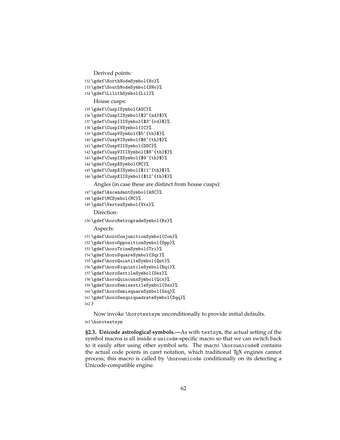```
Derived points:
```

```
132 \gdef\NorthNodeSymbol{No}%
133 \gdef\SouthNodeSymbol{SNo}%
134 \gdef\LilithSymbol{Lil}%
   House cusps:
135 \gdef\CuspISymbol{ASC}%
136 \gdef\CuspIISymbol{$2^{nd}$}%
137 \gdef\CuspIIISymbol{$3^{rd}$}%
138 \gdef\CuspIVSymbol{IC}%
139 \gdef\CuspVSymbol{$5^{th}$}%
140 \gdef\CuspVISymbol{$6^{th}$}%
141 \gdef\CuspVIISymbol{DSC}%
142 \gdef\CuspVIIISymbol{$8^{th}$}%
143 \gdef\CuspIXSymbol{$9^{th}$}%
144 \gdef\CuspXSymbol{MC}%
145 \gdef\CuspXISymbol{$11^{th}$}%
```

```
146 \gdef\CuspXIISymbol{$12^{th}$}%
```
Angles (in case these are distinct from house cusps):

- \gdef\AscendantSymbol{ASC}%
- \gdef\MCSymbol{MC}%
- \gdef\VertexSymbol{Vtx}%

Direction:

\gdef\horoRetrogradeSymbol{Rx}%

Aspects:

```
151 \gdef\horoConjunctionSymbol{Con}%
```

```
152 \gdef\horoOppositionSymbol{Opp}%
```

```
153 \gdef\horoTrineSymbol{Tri}%
```
\gdef\horoSquareSymbol{Sqr}%

```
155 \gdef\horoQuintileSymbol{Qnt}%
```

```
156 \gdef\horoBiquintileSymbol{Bqi}%
```

```
157 \gdef\horoSextileSymbol{Sex}%
```

```
158 \gdef\horoQuincunxSymbol{Qcx}%
159 \gdef\horoSemisextileSymbol{Ssx}%
```

```
160 \gdef\horoSemisquareSymbol{Ssq}%
```

```
161 \gdef\horoSesquiquadrateSymbol{Sqq}%
```

```
162 }
```
Now invoke \horotextsym unconditionally to provide initial defaults.

## \horotextsym

**§2.3. Unicode astrological symbols.—**As with textsym, the actual setting of the symbol macros is all inside a unicode-specific macro so that we can switch back to it easily after using other symbol sets. The macro \horounicode@ contains the actual code points in caret notation, which traditional  $Tr X$  engines cannot process; this macro is called by \horounicode conditionally on its detecting a Unicode-compatible engine.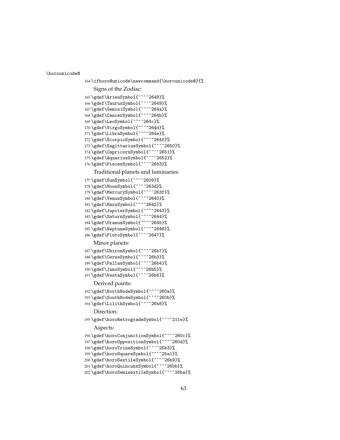\horounicode@

```
164 \ifhoro@unicode\newcommand{\horounicode@}{%
   Signs of the Zodiac:
165 \gdef\AriesSymbol{^^^^2648}%
166 \gdef\TaurusSymbol{^^^^2649}%
167 \gdef\GeminiSymbol{^^^^264a}%
168 \gdef\CancerSymbol{^^^^264b}%
169 \gdef\LeoSymbol{^^^^264c}%
170 \gdef\VirgoSymbol{^^^^264d}%
171 \gdef\LibraSymbol{^^^^264e}%
172 \gdef\ScorpioSymbol{^^^^264f}%
173 \gdef\SagittariusSymbol{^^^^2650}%
174 \gdef\CapricornSymbol{^^^^2651}%
175 \gdef\AquariusSymbol{^^^^2652}%
176 \gdef\PiscesSymbol{^^^^2653}%
   Traditional planets and luminaries:
177 \gdef\SunSymbol{^^^^2609}%
178 \gdef\MoonSymbol{^^^^263d}%
179 \gdef\MercurySymbol{^^^^263f}%
180 \gdef\VenusSymbol{^^^^2640}%
181 \gdef\MarsSymbol{^^^^2642}%
182 \gdef\JupiterSymbol{^^^^2643}%
183 \gdef\SaturnSymbol{^^^^2644}%
184 \gdef\UranusSymbol{^^^^2645}%
185 \gdef\NeptuneSymbol{^^^^2646}%
186 \gdef\PlutoSymbol{^^^^2647}%
   Minor planets:
187 \gdef\ChironSymbol{^^^^26b7}%
188 \gdef\CeresSymbol{^^^^26b3}%
189 \gdef\PallasSymbol{^^^^26b4}%
190 \gdef\JunoSymbol{^^^^26b5}%
191 \gdef\VestaSymbol{^^^^26b6}%
   Derived points:
192 \gdef\NorthNodeSymbol{^^^^260a}%
193 \gdef\SouthNodeSymbol{^^^^260b}%
194 \gdef\LilithSymbol{^^^^26b8}%
   Direction:
195 \gdef\horoRetrogradeSymbol{^^^^211e}%
    Aspects:
196 \gdef\horoConjunctionSymbol{^^^^260c}%
197 \gdef\horoOppositionSymbol{^^^^260d}%
198 \gdef\horoTrineSymbol{^^^^25b3}%
199 \gdef\horoSquareSymbol{^^^^25a1}%
200 \gdef\horoSextileSymbol{^^^^26b9}%
201 \gdef\horoQuincunxSymbol{^^^^26bb}%
202 \gdef\horoSemisextileSymbol{^^^^26ba}%
```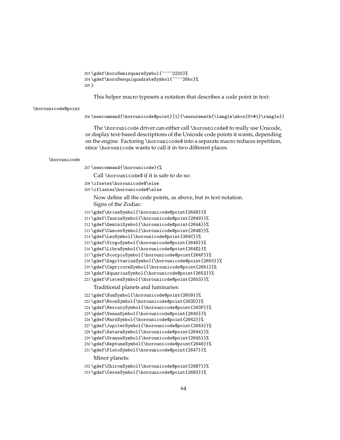```
203 \gdef\horoSemisquareSymbol{^^^^2220}%
204 \gdef\horoSesquiquadrateSymbol{^^^^26bc}%
205 }
```
This helper macro typesets a notation that describes a code point in text:

#### \horounicode@point

\newcommand{\horounicode@point}[1]{\ensuremath{\langle\mbox{U+#1}\rangle}}

The \horounicode driver can either call \horounicode@ to really use Unicode, or display text-based descriptions of the Unicode code points it wants, depending on the engine. Factoring \horounicode@ into a separate macro reduces repetition, since \horounicode wants to call it in two different places.

#### \horounicode

\newcommand{\horounicode}{%

Call \horounicode@ if it is safe to do so:

- \ifxetex\horounicode@\else
- \ifluatex\horounicode@\else

Now define all the code points, as above, but in text notation. Signs of the Zodiac:

- \gdef\AriesSymbol{\horounicode@point{2648}}%
- \gdef\TaurusSymbol{\horounicode@point{2649}}%
- \gdef\GeminiSymbol{\horounicode@point{264A}}%
- \gdef\CancerSymbol{\horounicode@point{264B}}%
- \gdef\LeoSymbol{\horounicode@point{264C}}%
- \gdef\VirgoSymbol{\horounicode@point{264D}}%
- \gdef\LibraSymbol{\horounicode@point{264E}}%
- \gdef\ScorpioSymbol{\horounicode@point{264F}}%
- \gdef\SagittariusSymbol{\horounicode@point{2650}}%
- \gdef\CapricornSymbol{\horounicode@point{2651}}%
- \gdef\AquariusSymbol{\horounicode@point{2652}}%
- \gdef\PiscesSymbol{\horounicode@point{2653}}%

Traditional planets and luminaries:

```
222 \gdef\SunSymbol{\horounicode@point{2609}}%
223 \gdef\MoonSymbol{\horounicode@point{263D}}%
224 \gdef\MercurySymbol{\horounicode@point{263F}}%
225 \gdef\VenusSymbol{\horounicode@point{2640}}%
226 \gdef\MarsSymbol{\horounicode@point{2642}}%
227 \gdef\JupiterSymbol{\horounicode@point{2643}}%
228 \gdef\SaturnSymbol{\horounicode@point{2644}}%
229 \gdef\UranusSymbol{\horounicode@point{2645}}%
230 \gdef\NeptuneSymbol{\horounicode@point{2646}}%
231 \gdef\PlutoSymbol{\horounicode@point{2647}}%
   Minor planets:
232 \gdef\ChironSymbol{\horounicode@point{26B7}}%
233 \gdef\CeresSymbol{\horounicode@point{26B3}}%
```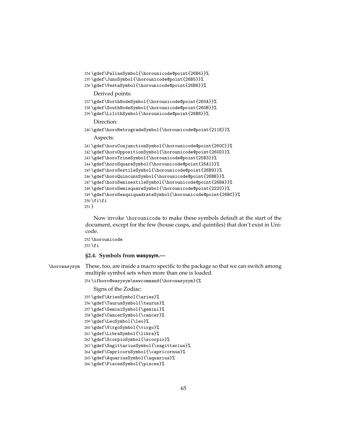```
234 \gdef\PallasSymbol{\horounicode@point{26B4}}%
235 \gdef\JunoSymbol{\horounicode@point{26B5}}%
236 \gdef\VestaSymbol{\horounicode@point{26B6}}%
    Derived points:
237 \gdef\NorthNodeSymbol{\horounicode@point{260A}}%
238 \gdef\SouthNodeSymbol{\horounicode@point{260B}}%
239 \gdef\LilithSymbol{\horounicode@point{26B8}}%
    Direction:
240 \gdef\horoRetrogradeSymbol{\horounicode@point{211E}}%
   Aspects:
241 \gdef\horoConjunctionSymbol{\horounicode@point{260C}}%
242 \gdef\horoOppositionSymbol{\horounicode@point{260D}}%
243 \gdef\horoTrineSymbol{\horounicode@point{25B3}}%
244 \gdef\horoSquareSymbol{\horounicode@point{25A1}}%
245 \gdef\horoSextileSymbol{\horounicode@point{26B9}}%
246 \gdef\horoQuincunxSymbol{\horounicode@point{26BB}}%
247 \gdef\horoSemisextileSymbol{\horounicode@point{26BA}}%
248 \gdef\horoSemisquareSymbol{\horounicode@point{2220}}%
249 \gdef\horoSesquiquadrateSymbol{\horounicode@point{26BC}}%
250 \ifmmode \big\vert\big\}
```

```
251 }
```
Now invoke \horounicode to make these symbols default at the start of the document, except for the few (house cusps, and quintiles) that don't exist in Unicode.

```
252 \horounicode
253 \fi
```
## **§2.4. Symbols from wasysym.—**

\horowasysym These, too, are inside a macro specific to the package so that we can switch among multiple symbol sets when more than one is loaded.

```
254 \ifhoro@wasysym\newcommand{\horowasysym}{%
```
Signs of the Zodiac:

```
255 \gdef\AriesSymbol{\aries}%
```

```
256 \gdef\TaurusSymbol{\taurus}%
```

```
257 \gdef\GeminiSymbol{\gemini}%
```

```
258 \gdef\CancerSymbol{\cancer}%
```

```
259 \gdef\LeoSymbol{\leo}%
260 \gdef\VirgoSymbol{\virgo}%
```

```
261 \gdef\LibraSymbol{\libra}%
```

```
262 \gdef\ScorpioSymbol{\scorpio}%
```

```
263 \gdef\SagittariusSymbol{\sagittarius}%
```

```
264 \gdef\CapricornSymbol{\capricornus}%
```

```
265 \gdef\AquariusSymbol{\aquarius}%
```

```
266 \gdef\PiscesSymbol{\pisces}%
```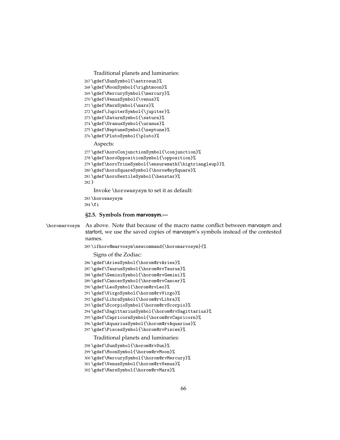```
Traditional planets and luminaries:
267 \gdef\SunSymbol{\astrosun}%
268 \gdef\MoonSymbol{\rightmoon}%
269 \gdef\MercurySymbol{\mercury}%
270 \gdef\VenusSymbol{\venus}%
271 \gdef\MarsSymbol{\mars}%
272 \gdef\JupiterSymbol{\jupiter}%
273 \gdef\SaturnSymbol{\saturn}%
274 \gdef\UranusSymbol{\uranus}%
275 \gdef\NeptuneSymbol{\neptune}%
276 \gdef\PlutoSymbol{\pluto}%
    Aspects:
277 \gdef\horoConjunctionSymbol{\conjunction}%
278 \gdef\horoOppositionSymbol{\opposition}%
279 \gdef\horoTrineSymbol{\ensuremath{\bigtriangleup}}%
280 \gdef\horoSquareSymbol{\horow@sySquare}%
281 \gdef\horoSextileSymbol{\hexstar}%
282 }
   Invoke \horowasysym to set it as default:
283 \horowasysym
284 \fi
```

```
§2.5. Symbols from marvosym.—
```
\horomarvosym As above. Note that because of the macro name conflict between marvosym and starfont, we use the saved copies of marvosym's symbols instead of the contested names.

```
285 \ifhoro@marvosym\newcommand{\horomarvosym}{%
```
Signs of the Zodiac:

```
286 \gdef\AriesSymbol{\horom@rvAries}%
```

```
287 \gdef\TaurusSymbol{\horom@rvTaurus}%
```

```
288 \gdef\GeminiSymbol{\horom@rvGemini}%
```

```
289 \gdef\CancerSymbol{\horom@rvCancer}%
```

```
290 \gdef\LeoSymbol{\horom@rvLeo}%
```

```
291 \gdef\VirgoSymbol{\horom@rvVirgo}%
```

```
292 \gdef\LibraSymbol{\horom@rvLibra}%
```

```
293 \gdef\ScorpioSymbol{\horom@rvScorpio}%
```
\gdef\SagittariusSymbol{\horom@rvSagittarius}%

```
295 \gdef\CapricornSymbol{\horom@rvCapricorn}%
```

```
296 \gdef\AquariusSymbol{\horom@rvAquarius}%
```

```
297 \gdef\PiscesSymbol{\horom@rvPisces}%
```
Traditional planets and luminaries:

```
298 \gdef\SunSymbol{\horom@rvSun}%
```

```
299 \gdef\MoonSymbol{\horom@rvMoon}%
```

```
300 \gdef\MercurySymbol{\horom@rvMercury}%
```

```
301 \gdef\VenusSymbol{\horom@rvVenus}%
```

```
302 \gdef\MarsSymbol{\horom@rvMars}%
```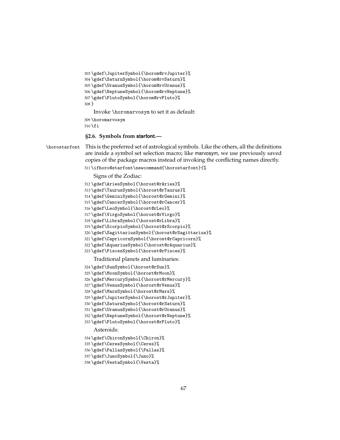```
303 \gdef\JupiterSymbol{\horom@rvJupiter}%
304 \gdef\SaturnSymbol{\horom@rvSaturn}%
305 \gdef\UranusSymbol{\horom@rvUranus}%
306 \gdef\NeptuneSymbol{\horom@rvNeptune}%
307 \gdef\PlutoSymbol{\horom@rvPluto}%
308 }
   Invoke \horomarvosym to set it as default:
```
\horomarvosym

\fi

#### **§2.6. Symbols from starfont.—**

\horostarfont This is the preferred set of astrological symbols. Like the others, all the definitions are inside a symbol set selection macro; like marvosym, we use previously saved copies of the package macros instead of invoking the conflicting names directly.

```
311 \ifhoro@starfont\newcommand{\horostarfont}{%
```
Signs of the Zodiac:

- \gdef\AriesSymbol{\horost@rAries}%
- \gdef\TaurusSymbol{\horost@rTaurus}%
- \gdef\GeminiSymbol{\horost@rGemini}%
- \gdef\CancerSymbol{\horost@rCancer}%
- \gdef\LeoSymbol{\horost@rLeo}%
- \gdef\VirgoSymbol{\horost@rVirgo}%
- \gdef\LibraSymbol{\horost@rLibra}%
- \gdef\ScorpioSymbol{\horost@rScorpio}%
- \gdef\SagittariusSymbol{\horost@rSagittarius}%
- \gdef\CapricornSymbol{\horost@rCapricorn}%
- \gdef\AquariusSymbol{\horost@rAquarius}%
- \gdef\PiscesSymbol{\horost@rPisces}%

Traditional planets and luminaries:

- \gdef\SunSymbol{\horost@rSun}%
- \gdef\MoonSymbol{\horost@rMoon}%
- \gdef\MercurySymbol{\horost@rMercury}%
- \gdef\VenusSymbol{\horost@rVenus}%
- \gdef\MarsSymbol{\horost@rMars}%
- \gdef\JupiterSymbol{\horost@rJupiter}%
- \gdef\SaturnSymbol{\horost@rSaturn}%
- \gdef\UranusSymbol{\horost@rUranus}%
- \gdef\NeptuneSymbol{\horost@rNeptune}%
- \gdef\PlutoSymbol{\horost@rPluto}%

Asteroids:

- \gdef\ChironSymbol{\Chiron}%
- \gdef\CeresSymbol{\Ceres}%
- \gdef\PallasSymbol{\Pallas}%
- \gdef\JunoSymbol{\Juno}%
- \gdef\VestaSymbol{\Vesta}%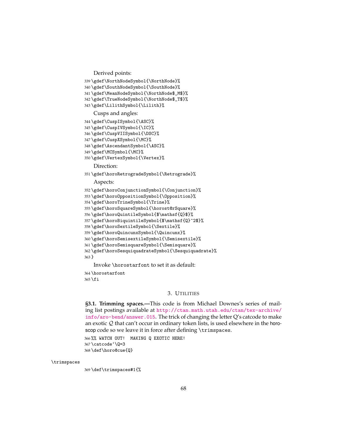```
Derived points:
```

```
339 \gdef\NorthNodeSymbol{\NorthNode}%
```

```
340 \gdef\SouthNodeSymbol{\SouthNode}%
```
- \gdef\MeanNodeSymbol{\NorthNode\$\_M\$}%
- \gdef\TrueNodeSymbol{\NorthNode\$\_T\$}%
- \gdef\LilithSymbol{\Lilith}%

Cusps and angles:

- \gdef\CuspISymbol{\ASC}%
- \gdef\CuspIVSymbol{\IC}%
- \gdef\CuspVIISymbol{\DSC}%
- \gdef\CuspXSymbol{\MC}%
- \gdef\AscendantSymbol{\ASC}%
- \gdef\MCSymbol{\MC}%
- \gdef\VertexSymbol{\Vertex}%

Direction:

\gdef\horoRetrogradeSymbol{\Retrograde}%

Aspects:

```
352 \gdef\horoConjunctionSymbol{\Conjunction}%
```
- \gdef\horoOppositionSymbol{\Opposition}%
- \gdef\horoTrineSymbol{\Trine}%
- \gdef\horoSquareSymbol{\horost@rSquare}%
- \gdef\horoQuintileSymbol{\$\mathsf{Q}\$}%
- \gdef\horoBiquintileSymbol{\$\mathsf{Q}^2\$}%
- \gdef\horoSextileSymbol{\Sextile}%
- \gdef\horoQuincunxSymbol{\Quincunx}%
- \gdef\horoSemisextileSymbol{\Semisextile}%
- \gdef\horoSemisquareSymbol{\Semisquare}%

```
362 \gdef\horoSesquiquadrateSymbol{\Sesquiquadrate}%
```
}

Invoke \horostarfont to set it as default:

\horostarfont

\fi

#### 3. UTILITIES

**§3.1. Trimming spaces.—**This code is from Michael Downes's series of mailing list postings available at [http://ctan.math.utah.edu/ctan/tex-archive/](http://ctan.math.utah.edu/ctan/tex-archive/info/aro-bend/answer.015) [info/aro-bend/answer.015](http://ctan.math.utah.edu/ctan/tex-archive/info/aro-bend/answer.015). The trick of changing the letter Q's catcode to make an exotic  $Q$  that can't occur in ordinary token lists, is used elsewhere in the horoscop code so we leave it in force after defining \trimspaces. %% WATCH OUT! MAKING Q EXOTIC HERE!

\catcode'\Q=3

\def\horo@cue{Q}

#### \trimspaces

\def\trimspaces#1{%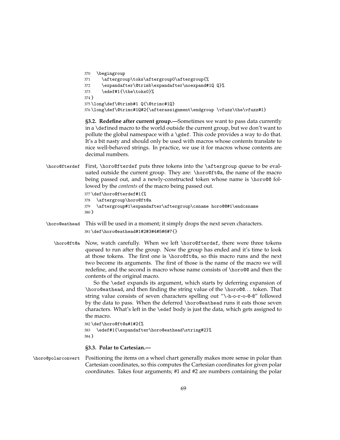```
370 \begingroup
371 \aftergroup\toks\aftergroup0\aftergroup{%
372 \expandafter\@trimb\expandafter\noexpand#1Q Q}%
373 \edef#1{\the\toks0}%
374 }
375 \long\def\@trimb#1 Q{\@trimc#1Q}
376 \long\def\@trimc#1Q#2{\afterassignment\endgroup \vfuzz\the\vfuzz#1}
```
**§3.2. Redefine after current group.—**Sometimes we want to pass data currently in a \defined macro to the world outside the current group, but we don't want to pollute the global namespace with a \gdef. This code provides a way to do that. It's a bit nasty and should only be used with macros whose contents translate to nice well-behaved strings. In practice, we use it for macros whose contents are decimal numbers.

\horo@fterdef First, \horo@fterdef puts three tokens into the \aftergroup queue to be evaluated outside the current group. They are: \horo@ft@a, the name of the macro being passed out, and a newly-constructed token whose name is \horo@@ followed by the *contents* of the macro being passed out.

```
377 \def\horo@fterdef#1{%
378 \aftergroup\horo@ft@a
```

```
379 \aftergroup#1\expandafter\aftergroup\csname horo@@#1\endcsname
380 }
```
- \horo@eathead This will be used in a moment; it simply drops the next seven characters. 381 \def\horo@eathead#1#2#3#4#5#6#7{}
	- \horo@ft@a Now, watch carefully. When we left \horo@fterdef, there were three tokens queued to run after the group. Now the group has ended and it's time to look at those tokens. The first one is \horo@ft@a, so this macro runs and the next two become its arguments. The first of those is the name of the macro we will redefine, and the second is macro whose name consists of \horo@@ and then the contents of the original macro.

So the \edef expands its argument, which starts by deferring expansion of \horo@eathead, and then finding the string value of the \horo@@. . . token. That string value consists of seven characters spelling out "\-h-o-r-o-@-@" followed by the data to pass. When the deferred \horo@eathead runs it eats those seven characters. What's left in the \edef body is just the data, which gets assigned to the macro.

```
382 \def\horo@ft@a#1#2{%
383 \edef#1{\expandafter\horo@eathead\string#2}%
384 }
```
## **§3.3. Polar to Cartesian.—**

\horo@polarconvert Positioning the items on a wheel chart generally makes more sense in polar than Cartesian coordinates, so this computes the Cartesian coordinates for given polar coordinates. Takes four arguments; #1 and #2 are numbers containing the polar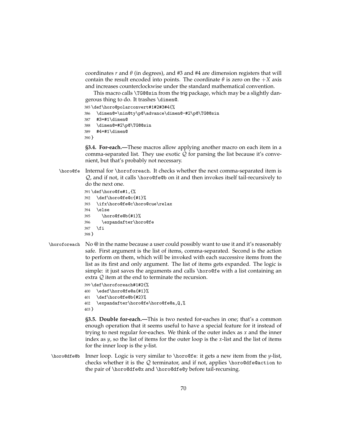coordinates *r* and *θ* (in degrees), and #3 and #4 are dimension registers that will contain the result encoded into points. The coordinate  $\theta$  is zero on the  $+X$  axis and increases counterclockwise under the standard mathematical convention.

This macro calls \TG@@sin from the trig package, which may be a slightly dangerous thing to do. It trashes \dimen@.

385 \def\horo@polarconvert#1#2#3#4{%

- 386 \dimen@=\nin@ty\p@\advance\dimen@-#2\p@\TG@@sin
- 387 #3=#1\dimen@
- 388 \dimen@=#2\p@\TG@@sin
- 389 #4=#1\dimen@
- 390 }

**§3.4. For-each.—**These macros allow applying another macro on each item in a comma-separated list. They use exotic  $Q$  for parsing the list because it's convenient, but that's probably not necessary.

\horo@fe Internal for \horoforeach. It checks whether the next comma-separated item is  $Q$ , and if not, it calls \horo@fe@b on it and then invokes itself tail-recursively to do the next one.

```
391 \def\horo@fe#1,{%
392 \def\horo@fe@c{#1}%
393 \ifx\horo@fe@c\horo@cue\relax
394 \else
395 \horo@fe@b{#1}%
396 \expandafter\horo@fe
397 \fi
398 }
```
\horoforeach No @ in the name because a user could possibly want to use it and it's reasonably safe. First argument is the list of items, comma-separated. Second is the action to perform on them, which will be invoked with each successive items from the list as its first and only argument. The list of items gets expanded. The logic is simple: it just saves the arguments and calls \horo@fe with a list containing an extra Q item at the end to terminate the recursion.

```
399 \def\horoforeach#1#2{%
400 \edef\horo@fe@a{#1}%
401 \def\horo@fe@b{#2}%
402 \expandafter\horo@fe\horo@fe@a,Q,%
403 }
```
**§3.5. Double for-each.—**This is two nested for-eaches in one; that's a common enough operation that it seems useful to have a special feature for it instead of trying to nest regular for-eaches. We think of the outer index as *x* and the inner index as *y*, so the list of items for the outer loop is the *x*-list and the list of items for the inner loop is the *y*-list.

\horo@dfe@b Inner loop. Logic is very similar to \horo@fe: it gets a new item from the *y*-list, checks whether it is the  $Q$  terminator, and if not, applies \horo@dfe@action to the pair of \horo@dfe@x and \horo@dfe@y before tail-recursing.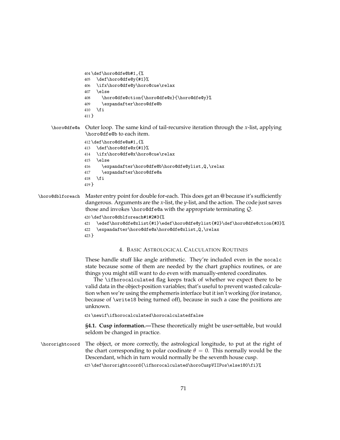```
404 \def\horo@dfe@b#1,{%
405 \def\horo@dfe@y{#1}%
406 \ifx\horo@dfe@y\horo@cue\relax
407 \else
408 \horo@dfe@ction{\horo@dfe@x}{\horo@dfe@y}%
409 \expandafter\horo@dfe@b
410 \fi
411 }
```
\horo@dfe@a Outer loop. The same kind of tail-recursive iteration through the *x*-list, applying \horo@dfe@b to each item.

```
412 \def\horo@dfe@a#1,{%
413 \def\horo@dfe@x{#1}%
414 \ifx\horo@dfe@x\horo@cue\relax
415 \else
416 \expandafter\horo@dfe@b\horo@dfe@ylist,Q,\relax
417 \expandafter\horo@dfe@a
418 \fi
419 }
```
# \horo@dblforeach Master entry point for double for-each. This does get an @ because it's sufficiently dangerous. Arguments are the *x*-list, the *y*-list, and the action. The code just saves those and invokes \horo@dfe@a with the appropriate terminating Q.

```
420 \def\horo@dblforeach#1#2#3{%
```

```
421 \edef\horo@dfe@xlist{#1}\edef\horo@dfe@ylist{#2}\def\horo@dfe@ction{#3}%
```

```
422 \expandafter\horo@dfe@a\horo@dfe@xlist,Q,\relax
```
423 }

## 4. BASIC ASTROLOGICAL CALCULATION ROUTINES

These handle stuff like angle arithmetic. They're included even in the nocalc state because some of them are needed by the chart graphics routines, or are things you might still want to do even with manually-entered coordinates.

The \ifhorocalculated flag keeps track of whether we expect there to be valid data in the object-position variables; that's useful to prevent wasted calculation when we're using the emphemeris interface but it isn't working (for instance, because of \write18 being turned off), because in such a case the positions are unknown.

424 \newif\ifhorocalculated\horocalculatedfalse

**§4.1. Cusp information.—**These theoretically might be user-settable, but would seldom be changed in practice.

\hororightcoord The object, or more correctly, the astrological longitude, to put at the right of the chart corresponding to polar coodinate  $\theta = 0$ . This normally would be the Descendant, which in turn would normally be the seventh house cusp.

425 \def\hororightcoord{\ifhorocalculated\horoCuspVIIPos\else180\fi}%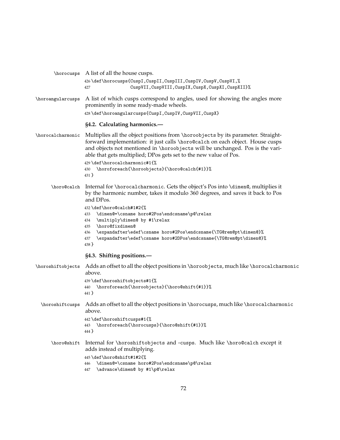|                   | \horocusps A list of all the house cusps.                                                                                                                                                                                                                                                                                |
|-------------------|--------------------------------------------------------------------------------------------------------------------------------------------------------------------------------------------------------------------------------------------------------------------------------------------------------------------------|
|                   | 426 \def \horocusps{CuspI, CuspII, CuspIII, CuspIV, CuspV, CuspVI, %<br>CuspVII, CuspVIII, CuspIX, CuspX, CuspXI, CuspXII}%<br>427                                                                                                                                                                                       |
| \horoangularcusps | A list of which cusps correspond to angles, used for showing the angles more<br>prominently in some ready-made wheels.                                                                                                                                                                                                   |
|                   | 428\def\horoangularcusps{CuspI,CuspIV,CuspVII,CuspX}                                                                                                                                                                                                                                                                     |
|                   | §4.2. Calculating harmonics.-                                                                                                                                                                                                                                                                                            |
| \horocalcharmonic | Multiplies all the object positions from \horoobjects by its parameter. Straight-<br>forward implementation: it just calls \horo@ca1ch on each object. House cusps<br>and objects not mentioned in \horoobjects will be unchanged. Pos is the vari-<br>able that gets multiplied; DPos gets set to the new value of Pos. |
|                   | 429 \def \horocalcharmonic#1{%<br>430 \horoforeach{\horoobjects}{\horo@calch{#1}}%<br>431 }                                                                                                                                                                                                                              |
| \horo@calch       | Internal for \horocalcharmonic. Gets the object's Pos into \dimen@, multiplies it<br>by the harmonic number, takes it modulo 360 degrees, and saves it back to Pos<br>and DPos.                                                                                                                                          |
|                   | 432 \def\horo@calch#1#2{%<br>\dimen@=\csname horo#2Pos\endcsname\p@\relax<br>433<br>\multiply\dimen@ by #1\relax<br>434<br>\horo@fixdimen@<br>435<br>\expandafter\edef\csname horo#2Pos\endcsname{\TG@rem@pt\dimen@}%<br>436<br>\expandafter\edef\csname horo#2DPos\endcsname{\TG@rem@pt\dimen@}%<br>437<br>438 }        |
|                   | §4.3. Shifting positions.-                                                                                                                                                                                                                                                                                               |
| \horoshiftobjects | Adds an offset to all the object positions in \horoobjects, much like \horocalcharmonic<br>above.<br>439\def\horoshiftobjects#1{%                                                                                                                                                                                        |
|                   | \horoforeach{\horoobjects}{\horo@shift{#1}}%<br>440<br>441 }                                                                                                                                                                                                                                                             |
| \horoshiftcusps   | Adds an offset to all the object positions in \horocusps, much like \horocalcharmonic<br>above.                                                                                                                                                                                                                          |
|                   | 442 \def\horoshiftcusps#1{%<br>443 \horoforeach{\horocusps}{\horo@shift{#1}}%<br>444 }                                                                                                                                                                                                                                   |
| \horo@shift       | Internal for \horoshiftobjects and -cusps. Much like \horo@calch except it<br>adds instead of multiplying.                                                                                                                                                                                                               |
|                   | 445 \def\horo@shift#1#2{%<br>\dimen@=\csname horo#2Pos\endcsname\p@\relax<br>446<br>\advance\dimen@ by #1\p@\relax<br>447                                                                                                                                                                                                |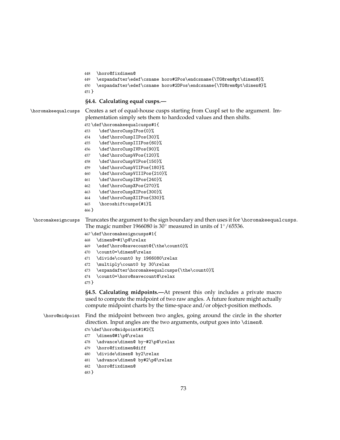```
448 \horo@fixdimen@
```

```
449 \expandafter\edef\csname horo#2Pos\endcsname{\TG@rem@pt\dimen@}%
```

```
450 \expandafter\edef\csname horo#2DPos\endcsname{\TG@rem@pt\dimen@}%
```
}

# **§4.4. Calculating equal cusps.—**

\horomakeequalcusps Creates a set of equal-house cusps starting from CuspI set to the argument. Im-

plementation simply sets them to hardcoded values and then shifts.

- \def\horomakeequalcusps#1{
- \def\horoCuspIPos{0}%
- \def\horoCuspIIPos{30}%
- \def\horoCuspIIIPos{60}%
- \def\horoCuspIVPos{90}%
- \def\horoCuspVPos{120}%
- \def\horoCuspVIPos{150}%
- \def\horoCuspVIIPos{180}%
- \def\horoCuspVIIIPos{210}%
- \def\horoCuspIXPos{240}%
- \def\horoCuspXPos{270}%
- \def\horoCuspXIPos{300}%
- \def\horoCuspXIIPos{330}%
- \horoshiftcusps{#1}%
- }

\horomakesigncusps Truncates the argument to the sign boundary and then uses it for \horomakeequalcusps.

The magic number 1966080 is 30◦ measured in units of 1◦/65536.

\def\horomakesigncusps#1{

- \dimen@=#1\p@\relax
- \edef\horo@savecount@{\the\count0}%
- \count0=\dimen@\relax
- \divide\count0 by 1966080\relax
- \multiply\count0 by 30\relax
- \expandafter\horomakeequalcusps{\the\count0}%
- \count0=\horo@savecount@\relax
- }

**§4.5. Calculating midpoints.—**At present this only includes a private macro used to compute the midpoint of two raw angles. A future feature might actually compute midpoint charts by the time-space and/or object-position methods.

# \horo@midpoint Find the midpoint between two angles, going around the circle in the shorter direction. Input angles are the two arguments, output goes into \dimen@.

# \def\horo@midpoint#1#2{%

- \dimen@#1\p@\relax
- \advance\dimen@ by-#2\p@\relax
- \horo@fixdimen@diff
- \divide\dimen@ by2\relax
- \advance\dimen@ by#2\p@\relax
- \horo@fixdimen@
- }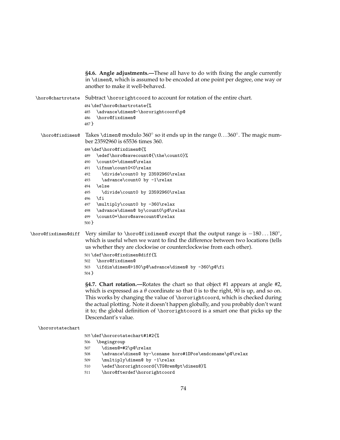**§4.6. Angle adjustments.—**These all have to do with fixing the angle currently in \dimen@, which is assumed to be encoded at one point per degree, one way or another to make it well-behaved. \horo@chartrotate Subtract \hororightcoord to account for rotation of the entire chart. \def\horo@chartrotate{% \advance\dimen@-\hororightcoord\p@ \horo@fixdimen@ } \horo@fixdimen@ Takes \dimen@ modulo 360◦ so it ends up in the range 0. . . 360◦ . The magic number 23592960 is 65536 times 360. \def\horo@fixdimen@{% \edef\horo@savecount@{\the\count0}% \count0=\dimen@\relax \ifnum\count0<0\relax \divide\count0 by 23592960\relax \advance\count0 by -1\relax \else \divide\count0 by 23592960\relax \fi \multiply\count0 by -360\relax \advance\dimen@ by\count0\p@\relax \count0=\horo@savecount@\relax } \horo@fixdimen@diff Very similar to \horo@fixdimen@ except that the output range is −180 . . . 180◦ , which is useful when we want to find the difference between two locations (tells us whether they are clockwise or counterclockwise from each other). \def\horo@fixdimen@diff{% \horo@fixdimen@ \ifdim\dimen@>180\p@\advance\dimen@ by -360\p@\fi } **§4.7. Chart rotation.—**Rotates the chart so that object #1 appears at angle #2, which is expressed as a  $\theta$  coordinate so that 0 is to the right,  $\overline{90}$  is up, and so on. This works by changing the value of \hororightcoord, which is checked during the actual plotting. Note it doesn't happen globally, and you probably don't want it to; the global definition of \hororightcoord is a smart one that picks up the Descendant's value. \hororotatechart \def\hororotatechart#1#2{% \begingroup \dimen@=#2\p@\relax

- \advance\dimen@ by-\csname horo#1DPos\endcsname\p@\relax
- \multiply\dimen@ by -1\relax
- \edef\hororightcoord{\TG@rem@pt\dimen@}%
- \horo@fterdef\hororightcoord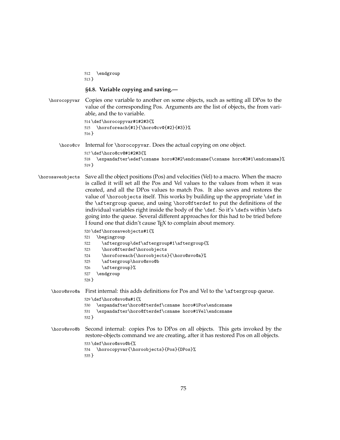```
512 \endgroup
                  513 }
                  §4.8. Variable copying and saving.—
    \horocopyvar Copies one variable to another on some objects, such as setting all DPos to the
                  value of the corresponding Pos. Arguments are the list of objects, the from vari-
                  able, and the to variable.
                  514 \def\horocopyvar#1#2#3{%
                  515 \horoforeach{#1}{\horo@cv@{#2}{#3}}%
                  516 }
        \horo@cv Internal for \horocopyvar. Does the actual copying on one object.
                  517 \def\horo@cv@#1#2#3{%
                  518 \expandafter\edef\csname horo#3#2\endcsname{\csname horo#3#1\endcsname}%
                  519 }
\horosaveobjects Save all the object positions (Pos) and velocities (Vel) to a macro. When the macro
                  is called it will set all the Pos and Vel values to the values from when it was
                  created, and all the DPos values to match Pos. It also saves and restores the
                  value of \horoobjects itself. This works by building up the appropriate \def in
                  the \aftergroup queue, and using \horo@fterdef to put the definitions of the
                  individual variables right inside the body of the \def. So it's \defs within \defs
                  going into the queue. Several different approaches for this had to be tried before
                  I found one that didn't cause T<sub>E</sub>X to complain about memory.
                  520 \def\horosaveobjects#1{%
                  521 \begingroup
                  522 \aftergroup\def\aftergroup#1\aftergroup{%
                  523 \horo@fterdef\horoobjects
                  524 \horoforeach{\horoobjects}{\horo@svo@a}%
                  525 \aftergroup\horo@svo@b
                  526 \aftergroup}%
                  527 \endgroup
                  528 }
     \horo@svo@a First internal: this adds definitions for Pos and Vel to the \aftergroup queue.
                  529 \def\horo@svo@a#1{%
                  530 \expandafter\horo@fterdef\csname horo#1Pos\endcsname
                  531 \expandafter\horo@fterdef\csname horo#1Vel\endcsname
                  532 }
     \horo@svo@b Second internal: copies Pos to DPos on all objects. This gets invoked by the
                  restore-objects command we are creating, after it has restored Pos on all objects.
                  533 \def\horo@svo@b{%
                  534 \horocopyvar{\horoobjects}{Pos}{DPos}%
                  535 }
```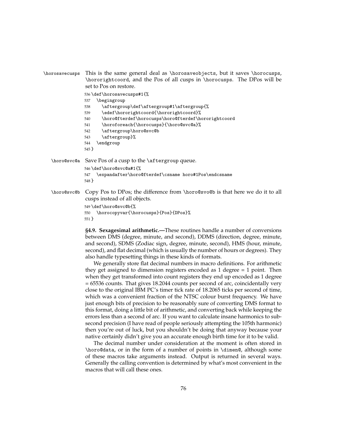| \horosavecusps This is the same general deal as \horosaveobjects, but it saves \horocusps, |
|--------------------------------------------------------------------------------------------|
| \hororightcoord, and the Pos of all cusps in \horocusps. The DPos will be                  |
| set to Pos on restore.                                                                     |

536 \def\horosavecusps#1{%

- 537 \begingroup
- 538 \aftergroup\def\aftergroup#1\aftergroup{%
- 539 \edef\hororightcoord{\hororightcoord}%
- 540 \horo@fterdef\horocusps\horo@fterdef\hororightcoord
- 541 \horoforeach{\horocusps}{\horo@svc@a}%
- 542 \aftergroup\horo@svc@b
- 543 \aftergroup}%
- 544 \endgroup
- 545 }
- \horo@svc@a Save Pos of a cusp to the \aftergroup queue. 546 \def\horo@svc@a#1{% 547 \expandafter\horo@fterdef\csname horo#1Pos\endcsname 548 }
- \horo@svc@b Copy Pos to DPos; the difference from \horo@svo@b is that here we do it to all cusps instead of all objects.

```
549 \def\horo@svc@b{%
550 \horocopyvar{\horocusps}{Pos}{DPos}%
551 }
```
**§4.9. Sexagesimal arithmetic.—**These routines handle a number of conversions between DMS (degree, minute, and second), DDMS (direction, degree, minute, and second), SDMS (Zodiac sign, degree, minute, second), HMS (hour, minute, second), and flat decimal (which is usually the number of hours or degrees). They also handle typesetting things in these kinds of formats.

We generally store flat decimal numbers in macro definitions. For arithmetic they get assigned to dimension registers encoded as 1 degree = 1 point. Then when they get transformed into count registers they end up encoded as 1 degree = 65536 counts. That gives 18.2044 counts per second of arc, coincidentally very close to the original IBM PC's timer tick rate of 18.2065 ticks per second of time, which was a convenient fraction of the NTSC colour burst frequency. We have just enough bits of precision to be reasonably sure of converting DMS format to this format, doing a little bit of arithmetic, and converting back while keeping the errors less than a second of arc. If you want to calculate insane harmonics to subsecond precision (I have read of people seriously attempting the 105th harmonic) then you're out of luck, but you shouldn't be doing that anyway because your native certainly didn't give you an accurate enough birth time for it to be valid.

The decimal number under consideration at the moment is often stored in \horo@data, or in the form of a number of points in \dimen@, although some of these macros take arguments instead. Output is returned in several ways. Generally the calling convention is determined by what's most convenient in the macros that will call these ones.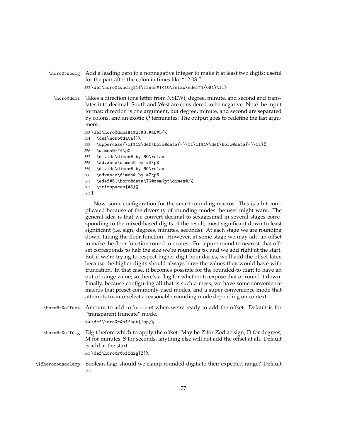\horo@twodig Add a leading zero to a nonnegative integer to make it at least two digits; useful for the part after the colon in times like "12:03." 552 \def\horo@twodig#1{\ifnum#1<10\relax\edef#1{0#1}\fi}

\horo@ddms Takes a direction (one letter from NSEW), degree, minute, and second and translates it to decimal. South and West are considered to be negative. Note the input format: direction is one argument, but degree, minute, and second are separated by colons, and an exotic Q terminates. The output goes to redefine the last argument.

553 \def\horo@ddms#1#2:#3:#4Q#5{%

```
554 \def\horo@data{}%
```

```
555 \uppercase{\if#1S\def\horo@data{-}\fi\if#1W\def\horo@data{-}\fi}%
```
- 556 \dimen@=#4\p@
- 557 \divide\dimen@ by 60\relax
- 558 \advance\dimen@ by #3\p@
- 559 \divide\dimen@ by 60\relax
- 560 \advance\dimen@ by #2\p@
- 561 \edef#5{\horo@data\TG@rem@pt\dimen@}%
- 562 \trimspaces{#5}%

```
563 }
```
Now, some configuration for the smart-rounding macros. This is a bit complicated because of the diversity of rounding modes the user might want. The general idea is that we convert decimal to sexagesimal in several stages corresponding to the mixed-based digits of the result, most significant down to least significant (i.e. sign, degrees, minutes, seconds). At each stage we are rounding down, taking the floor function. However, at some stage we may add an offset to make the floor function round to nearest. For a pure round to nearest, that offset corresponds to half the size we're rounding to, and we add right at the start. But if we're trying to respect higher-digit boundaries, we'll add the offset later, because the higher digits should always have the values they would have with truncation. In that case, it becomes possible for the rounded-to digit to have an out-of-range value; so there's a flag for whether to expose that or round it down. Finally, because configuring all that is such a mess, we have some convenience macros that preset commonly-used modes, and a super-convenience mode that attempts to auto-select a reasonable rounding mode depending on context.

- \horo@r@offset Amount to add to \dimen@ when we're ready to add the offset. Default is for "transparent truncate" mode. 564 \def\horo@r@offset{1sp}%
- \horo@r@offdig Digit before which to apply the offset. May be Z for Zodiac sign, D for degrees, M for minutes, S for seconds, anything else will not add the offset at all. Default is add at the start. 565 \def\horo@r@offdig{Z}%
- \ifhororoundclamp Boolean flag: should we clamp rounded digits to their expected range? Default no.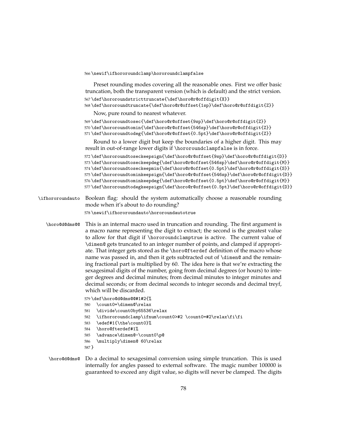566 \newif\ifhororoundclamp\hororoundclampfalse

Preset rounding modes covering all the reasonable ones. First we offer basic truncation, both the transparent version (which is default) and the strict version. 567 \def\hororoundstricttruncate{\def\horo@r@offdigit{X}}

568 \def\hororoundtruncate{\def\horo@r@offset{1sp}\def\horo@r@offdigit{Z}}

Now, pure round to nearest whatever.

```
569 \def\hororoundtosec{\def\horo@r@offset{9sp}\def\horo@r@offdigit{Z}}
```
570 \def\hororoundtomin{\def\horo@r@offset{546sp}\def\horo@r@offdigit{Z}}

571 \def\hororoundtodeg{\def\horo@r@offset{0.5pt}\def\horo@r@offdigit{Z}}

Round to a lower digit but keep the boundaries of a higher digit. This may result in out-of-range lower digits if \hororoundclampfalse is in force.

```
572 \def\hororoundtoseckeepsign{\def\horo@r@offset{9sp}\def\horo@r@offdigit{D}}
573 \def\hororoundtoseckeepdeg{\def\horo@r@offset{546sp}\def\horo@r@offdigit{M}}
574 \def\hororoundtoseckeepmin{\def\horo@r@offset{0.5pt}\def\horo@r@offdigit{S}}
575 \def\hororoundtominkeepsign{\def\horo@r@offset{546sp}\def\horo@r@offdigit{D}}
576 \def\hororoundtominkeepdeg{\def\horo@r@offset{0.5pt}\def\horo@r@offdigit{M}}
577 \def\hororoundtodegkeepsign{\def\horo@r@offset{0.5pt}\def\horo@r@offdigit{D}}
```
\ifhororoundauto Boolean flag: should the system automatically choose a reasonable rounding mode when it's about to do rounding? 578 \newif\ifhororoundauto\hororoundautotrue

\horo@d@dms@@ This is an internal macro used in truncation and rounding. The first argument is a macro name representing the digit to extract; the second is the greatest value to allow for that digit if \hororoundclamptrue is active. The current value of \dimen@ gets truncated to an integer number of points, and clamped if appropriate. That integer gets stored as the \horo@fterdef definition of the macro whose name was passed in, and then it gets subtracted out of \dimen@ and the remaining fractional part is multiplied by 60. The idea here is that we're extracting the sexagesimal digits of the number, going from decimal degrees (or hours) to integer degrees and decimal minutes; from decimal minutes to integer minutes and decimal seconds; or from decimal seconds to integer seconds and decimal treyf, which will be discarded.

579 \def\horo@d@dms@@#1#2{%

- 580 \count0=\dimen@\relax
- 581 \divide\count0by65536\relax
- 582 \ifhororoundclamp\ifnum\count0>#2 \count0=#2\relax\fi\fi
- 583 \edef#1{\the\count0}%
- 584 \horo@fterdef#1%
- 585 \advance\dimen@-\count0\p@
- 586 \multiply\dimen@ 60\relax
- 587 }
- \horo@d@dms@ Do a decimal to sexagesimal conversion using simple truncation. This is used internally for angles passed to external software. The magic number 100000 is guaranteed to exceed any digit value, so digits will never be clamped. The digits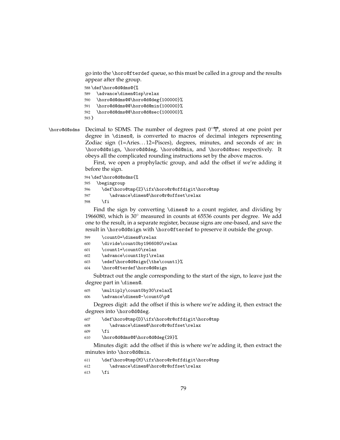go into the \horo@fterdef queue, so this must be called in a group and the results appear after the group.

588 \def\horo@d@dms@{%

```
589 \advance\dimen@1sp\relax
```
590 \horo@d@dms@@\horo@d@deg{100000}%

591 \horo@d@dms@@\horo@d@min{100000}%

592 \horo@d@dms@@\horo@d@sec{100000}%

```
593 }
```
\horo@d@sdms Decimal to SDMS. The number of degrees past  $0°\Upsilon$ , stored at one point per degree in \dimen@, is converted to macros of decimal integers representing Zodiac sign (1=Aries. . . 12=Pisces), degrees, minutes, and seconds of arc in \horo@d@sign, \horo@d@deg, \horo@d@min, and \horo@d@sec respectively. It obeys all the complicated rounding instructions set by the above macros.

> First, we open a prophylactic group, and add the offset if we're adding it before the sign.

```
594 \def\horo@d@sdms{%
595 \begingroup
596 \def\horo@tmp{Z}\ifx\horo@r@offdigit\horo@tmp
597 \advance\dimen@\horo@r@offset\relax
598 \fi
```
Find the sign by converting \dimen@ to a count register, and dividing by 1966080, which is 30◦ measured in counts at 65536 counts per degree. We add one to the result, in a separate register, because signs are one-based, and save the result in \horo@d@sign with \horo@fterdef to preserve it outside the group.

```
599 \count0=\dimen@\relax
600 \divide\count0by1966080\relax
601 \count1=\count0\relax
602 \advance\count1by1\relax
603 \edef\horo@d@sign{\the\count1}%
604 \horo@fterdef\horo@d@sign
```
Subtract out the angle corresponding to the start of the sign, to leave just the degree part in \dimen@.

```
605 \multiply\count0by30\relax%
```
606 \advance\dimen@-\count0\p@

Degrees digit: add the offset if this is where we're adding it, then extract the degrees into \horo@d@deg.

```
607 \def\horo@tmp{D}\ifx\horo@r@offdigit\horo@tmp
608 \advance\dimen@\horo@r@offset\relax
609 \fi
```
610 \horo@d@dms@@\horo@d@deg{29}%

Minutes digit: add the offset if this is where we're adding it, then extract the minutes into \horo@d@min.

```
611 \def\horo@tmp{M}\ifx\horo@r@offdigit\horo@tmp
612 \advance\dimen@\horo@r@offset\relax
```

```
613 \setminusfi
```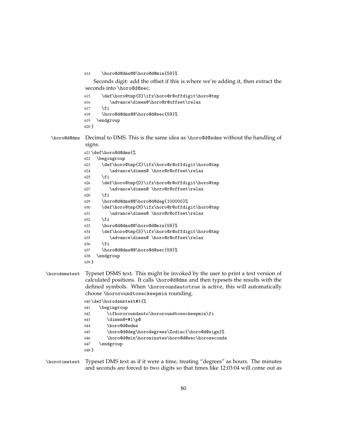\horo@d@dms@@\horo@d@min{59}%

Seconds digit: add the offset if this is where we're adding it, then extract the seconds into \horo@d@sec.

| 615     | \def\horo@tmp{S}\ifx\horo@r@offdigit\horo@tmp |
|---------|-----------------------------------------------|
| 616     | \advance\dimen@\horo@r@offset\relax           |
| 617     | \fi                                           |
| 618     | \horo@d@dms@@\horo@d@sec{59}%                 |
| 619     | \endgroup                                     |
| $620$ } |                                               |

\horo@d@dms Decimal to DMS. This is the same idea as \horo@d@sdms without the handling of signs.

```
621 \def\horo@d@dms{%
622 \begingroup
623 \def\horo@tmp{Z}\ifx\horo@r@offdigit\horo@tmp
624 \advance\dimen@ \horo@r@offset\relax
625 \fi
626 \def\horo@tmp{D}\ifx\horo@r@offdigit\horo@tmp
627 \advance\dimen@ \horo@r@offset\relax
628 \setminusfi
629 \horo@d@dms@@\horo@d@deg{100000}%
630 \def\horo@tmp{M}\ifx\horo@r@offdigit\horo@tmp
631 \advance\dimen@ \horo@r@offset\relax
632 \fi
633 \horo@d@dms@@\horo@d@min{59}%
634 \def\horo@tmp{S}\ifx\horo@r@offdigit\horo@tmp
635 \advance\dimen@ \horo@r@offset\relax
636 \fi
637 \horo@d@dms@@\horo@d@sec{59}%
638 \endgroup
639 }
```
# \horodsmstext Typeset DSMS text. This might be invoked by the user to print a text version of calculated positions. It calls \horo@d@dms and then typesets the results with the defined symbols. When \hororoundautotrue is active, this will automatically choose \hororoundtoseckeepmin rounding.

|         | $640 \def\horodsmstext#1 {\%}$                 |
|---------|------------------------------------------------|
| 641     | \begingroup                                    |
| 642     | \ifhororoundauto\hororoundtoseckeepmin\fi      |
| 643     | \dimen@=#1\p@                                  |
| 644     | \horo@d@sdms                                   |
| 645     | \horo@d@deg\horodegrees\Zodiac{\horo@d@sign}%  |
| 646     | \horo@d@min\horominutes\horo@d@sec\horoseconds |
| 647     | \endgroup                                      |
| $648$ } |                                                |
|         |                                                |

# \horotimetext Typeset DMS text as if it were a time, treating "degrees" as hours. The minutes and seconds are forced to two digits so that times like 12:03:04 will come out as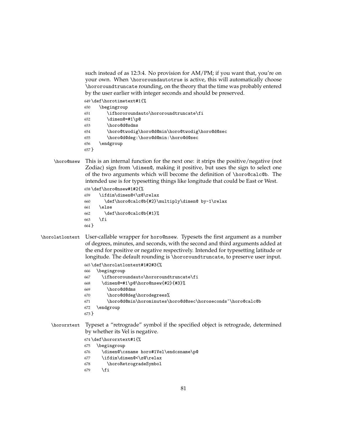such instead of as 12:3:4. No provision for AM/PM; if you want that, you're on your own. When \hororoundautotrue is active, this will automatically choose \hororoundtruncate rounding, on the theory that the time was probably entered by the user earlier with integer seconds and should be preserved.

- \def\horotimetext#1{%
- \begingroup
- \ifhororoundauto\hororoundtruncate\fi
- \dimen@=#1\p@
- \horo@d@sdms
- \horo@twodig\horo@d@min\horo@twodig\horo@d@sec
- \horo@d@deg:\horo@d@min:\horo@d@sec
- \endgroup
- }
- \horo@nsew This is an internal function for the next one: it strips the positive/negative (not Zodiac) sign from \dimen@, making it positive, but uses the sign to select one of the two arguments which will become the definition of \horo@calc@b. The intended use is for typesetting things like longitude that could be East or West.

```
658 \def\horo@nsew#1#2{%
```

```
659 \ifdim\dimen@<\z@\relax
660 \def\horo@calc@b{#2}\multiply\dimen@ by-1\relax
661 \else
662 \def\horo@calc@b{#1}%
663 \fi
664 }
```
- \horolatlontext User-callable wrapper for horo@nsew. Typesets the first argument as a number of degrees, minutes, and seconds, with the second and third arguments added at the end for positive or negative respectively. Intended for typesetting latitude or longitude. The default rounding is \hororoundtruncate, to preserve user input.
	- \def\horolatlontext#1#2#3{% \begingroup
	- \ifhororoundauto\hororoundtruncate\fi
	- \dimen@=#1\p@\horo@nsew{#2}{#3}%
	- \horo@d@dms
	- \horo@d@deg\horodegrees%
	- \horo@d@min\horominutes\horo@d@sec\horoseconds~\horo@calc@b
	- \endgroup
	- }
	- \hororxtext Typeset a "retrograde" symbol if the specified object is retrograde, determined by whether its Vel is negative.
		- \def\hororxtext#1{%
		- \begingroup
		- \dimen@\csname horo#1Vel\endcsname\p@
		- \ifdim\dimen@<\z@\relax
		- \horoRetrogradeSymbol
		- \fi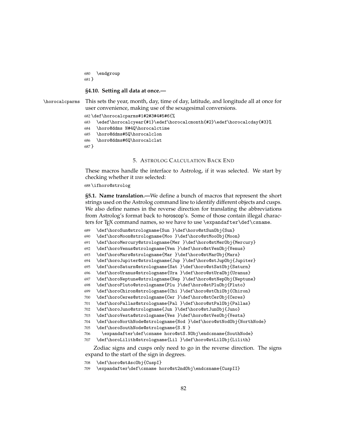```
680 \endgroup
681 }
```
# **§4.10. Setting all data at once.—**

```
\horocalcparms This sets the year, month, day, time of day, latitude, and longitude all at once for
                 user convenience, making use of the sexagesimal conversions.
```

```
682 \def\horocalcparms#1#2#3#4#5#6{%
683 \edef\horocalcyear{#1}\edef\horocalcmonth{#2}\edef\horocalcday{#3}%
684 \horo@ddms N#4Q\horocalctime
685 \horo@ddms#5Q\horocalclon
686 \horo@ddms#6Q\horocalclat
687 }
```
# 5. ASTROLOG CALCULATION BACK END

These macros handle the interface to Astrolog, if it was selected. We start by checking whether it *was* selected:

\ifhoro@strolog

**§5.1. Name translation.—**We define a bunch of macros that represent the short strings used on the Astrolog command line to identify different objects and cusps. We also define names in the reverse direction for translating the abbreviations from Astrolog's format back to horoscop's. Some of those contain illegal characters for T<sub>E</sub>X command names, so we have to use \expandafter\def\csname.

```
689 \def\horoSun@strologname{Sun }\def\horo@stSunObj{Sun}
```

```
690 \def\horoMoon@strologname{Moo }\def\horo@stMooObj{Moon}
```

```
691 \def\horoMercury@strologname{Mer }\def\horo@stMerObj{Mercury}
```

```
692 \def\horoVenus@strologname{Ven }\def\horo@stVenObj{Venus}
```

```
693 \def\horoMars@strologname{Mar }\def\horo@stMarObj{Mars}
```

```
694 \def\horoJupiter@strologname{Jup }\def\horo@stJupObj{Jupiter}
```

```
695 \def\horoSaturn@strologname{Sat }\def\horo@stSatObj{Saturn}
```

```
696 \def\horoUranus@strologname{Ura }\def\horo@stUraObj{Uranus}
```

```
697 \def\horoNeptune@strologname{Nep }\def\horo@stNepObj{Neptune}
```

```
698 \def\horoPluto@strologname{Plu }\def\horo@stPluObj{Pluto}
```

```
699 \def\horoChiron@strologname{Chi }\def\horo@stChiObj{Chiron}
```

```
700 \def\horoCeres@strologname{Cer }\def\horo@stCerObj{Ceres}
```

```
701 \def\horoPallas@strologname{Pal }\def\horo@stPalObj{Pallas}
```

```
702 \def\horoJuno@strologname{Jun }\def\horo@stJunObj{Juno}
```

```
703 \def\horoVesta@strologname{Ves }\def\horo@stVesObj{Vesta}
```

```
704 \def\horoNorthNode@strologname{Nod }\def\horo@stNodObj{NorthNode}
```

```
705 \def\horoSouthNode@strologname{S.N }
```

```
706 \expandafter\def\csname horo@stS.NObj\endcsname{SouthNode}
```

```
707 \def\horoLilith@strologname{Lil }\def\horo@stLilObj{Lilith}
```
Zodiac signs and cusps only need to go in the reverse direction. The signs expand to the start of the sign in degrees.

- \def\horo@stAscObj{CuspI}
- \expandafter\def\csname horo@st2ndObj\endcsname{CuspII}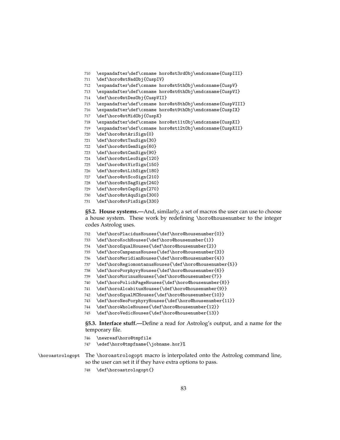- \expandafter\def\csname horo@st3rdObj\endcsname{CuspIII}
- \def\horo@stNadObj{CuspIV}
- \expandafter\def\csname horo@st5thObj\endcsname{CuspV}
- \expandafter\def\csname horo@st6thObj\endcsname{CuspVI}
- \def\horo@stDesObj{CuspVII}
- \expandafter\def\csname horo@st8thObj\endcsname{CuspVIII}
- \expandafter\def\csname horo@st9thObj\endcsname{CuspIX}
- \def\horo@stMidObj{CuspX}
- \expandafter\def\csname horo@st11tObj\endcsname{CuspXI}
- \expandafter\def\csname horo@st12tObj\endcsname{CuspXII}
- \def\horo@stAriSign{0}
- \def\horo@stTauSign{30}
- \def\horo@stGemSign{60}
- \def\horo@stCanSign{90}
- \def\horo@stLeoSign{120}
- \def\horo@stVirSign{150}
- \def\horo@stLibSign{180}
- \def\horo@stScoSign{210}
- \def\horo@stSagSign{240}
- \def\horo@stCapSign{270}
- \def\horo@stAquSign{300}
- \def\horo@stPisSign{330}

**§5.2. House systems.—**And, similarly, a set of macros the user can use to choose a house system. These work by redefining \horo@housenumber to the integer codes Astrolog uses.

- \def\horoPlacidusHouses{\def\horo@housenumber{0}}
- \def\horoKochHouses{\def\horo@housenumber{1}}
- \def\horoEqualHouses{\def\horo@housenumber{2}}
- \def\horoCampanusHouses{\def\horo@housenumber{3}}
- \def\horoMeridianHouses{\def\horo@housenumber{4}}
- \def\horoRegiomontanusHouses{\def\horo@housenumber{5}}
- \def\horoPorphyryHouses{\def\horo@housenumber{6}}
- \def\horoMorinusHouses{\def\horo@housenumber{7}}
- \def\horoPolichPageHouses{\def\horo@housenumber{8}}
- \def\horoAlcabitusHouses{\def\horo@housenumber{9}}
- \def\horoEqualMCHouses{\def\horo@housenumber{10}}
- \def\horoNeoPorphyryHouses{\def\horo@housenumber{11}}
- \def\horoWholeHouses{\def\horo@housenumber{12}}
- \def\horoVedicHouses{\def\horo@housenumber{13}}

**§5.3. Interface stuff.—**Define a read for Astrolog's output, and a name for the temporary file.

- \newread\horo@tmpfile
- \edef\horo@tmpfname{\jobname.hor}%

\horoastrologopt The \horoastrologopt macro is interpolated onto the Astrolog command line, so the user can set it if they have extra options to pass.

\def\horoastrologopt{}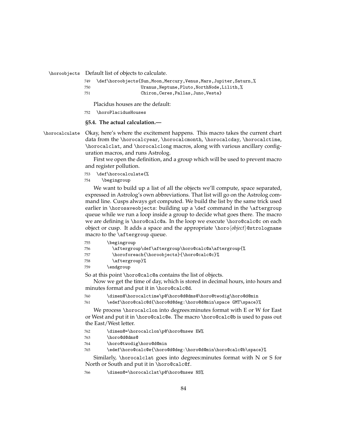\horoobjects Default list of objects to calculate.

| 749   | \def\horoobjects{Sun, Moon, Mercury, Venus, Mars, Jupiter, Saturn, % |
|-------|----------------------------------------------------------------------|
| 750   | Uranus, Neptune, Pluto, NorthNode, Lilith, %                         |
| - 751 | Chiron.Ceres.Pallas.Juno.Vestal                                      |

Placidus houses are the default:

752 \horoPlacidusHouses

**§5.4. The actual calculation.—**

\horocalculate Okay, here's where the excitement happens. This macro takes the current chart data from the \horocalcyear, \horocalcmonth, \horocalcday, \horocalctime, \horocalclat, and \horocalclong macros, along with various ancillary configuration macros, and runs Astrolog.

> First we open the definition, and a group which will be used to prevent macro and register pollution.

- 753 \def\horocalculate{%
- 754 \begingroup

We want to build up a list of all the objects we'll compute, space separated, expressed in Astrolog's own abbreviations. That list will go on the Astrolog command line. Cusps always get computed. We build the list by the same trick used earlier in \horosaveobjects: building up a \def command in the \aftergroup queue while we run a loop inside a group to decide what goes there. The macro we are defining is \horo@calc@a. In the loop we execute \horo@calc@c on each object or cusp. It adds a space and the appropriate \horoh*object*i@strologname macro to the \aftergroup queue.

- 755 \begingroup
- 756 \aftergroup\def\aftergroup\horo@calc@a\aftergroup{%
- 757 \horoforeach{\horoobjects}{\horo@calc@c}%
- 758 \aftergroup}%
- 759 \endgroup

So at this point \horo@calc@a contains the list of objects.

Now we get the time of day, which is stored in decimal hours, into hours and minutes format and put it in \horo@calc@d.

760 \dimen@\horocalctime\p@\horo@d@dms@\horo@twodig\horo@d@min

761 \edef\horo@calc@d{\horo@d@deg:\horo@d@min\space GMT\space}%

We process \horocalclon into degrees:minutes format with E or W for East or West and put it in \horo@calc@e. The macro \horo@calc@b is used to pass out the East/West letter.

- 762 \dimen@=\horocalclon\p@\horo@nsew EW%
- 763 \horo@d@dms@
- 764 \horo@twodig\horo@d@min
- 765 \edef\horo@calc@e{\horo@d@deg:\horo@d@min\horo@calc@b\space}%

Similarly, \horocalclat goes into degrees:minutes format with N or S for North or South and put it in \horo@calc@f.

766 \dimen@=\horocalclat\p@\horo@nsew NS%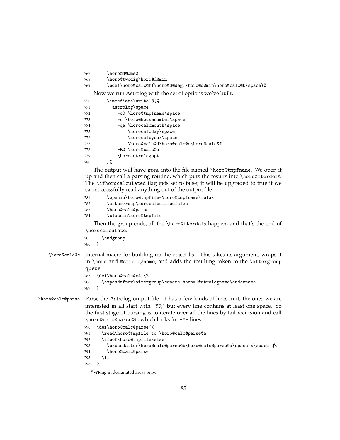\horo@d@dms@

```
768 \horo@twodig\horo@d@min
```

```
769 \edef\horo@calc@f{\horo@d@deg:\horo@d@min\horo@calc@b\space}%
```
Now we run Astrolog with the set of options we've built.

| 770 | \immediate\write18{%                 |
|-----|--------------------------------------|
| 771 | astrolog\space                       |
| 772 | -o0 \horo@tmpfname\space             |
| 773 | -c \horo@housenumber\space           |
| 774 | -qa \horocalcmonth\space             |
| 775 | \horocalcday\space                   |
| 776 | \horocalcyear\space                  |
| 777 | \horo@calc@d\horo@calc@e\horo@calc@f |
| 778 | -RO \horo@calc@a                     |
| 779 | \horoastrologopt                     |
| 780 | ን%                                   |

The output will have gone into the file named \horo@tmpfname. We open it up and then call a parsing routine, which puts the results into \horo@fterdefs. The \ifhorocalculated flag gets set to false; it will be upgraded to true if we can successfully read anything out of the output file.

```
781 \openin\horo@tmpfile=\horo@tmpfname\relax
```
\aftergroup\horocalculatedfalse

- \horo@calc@parse
- \closein\horo@tmpfile

Then the group ends, all the \horo@fterdefs happen, and that's the end of \horocalculate.

 \endgroup }

\horo@calc@c Internal macro for building up the object list. This takes its argument, wraps it in \horo and @strologname, and adds the resulting token to the \aftergroup queue.

```
787 \def\horo@calc@c#1{%
788 \expandafter\aftergroup\csname horo#1@strologname\endcsname
789 }
```
\horo@calc@parse Parse the Astrolog output file. It has a few kinds of lines in it; the ones we are interested in all start with -YF;<sup>[8](#page-84-0)</sup> but every line contains at least one space. So the first stage of parsing is to iterate over all the lines by tail recursion and call \horo@calc@parse@b, which looks for -YF lines.

```
790 \def\horo@calc@parse{%
791 \read\horo@tmpfile to \horo@calc@parse@a
792 \ifeof\horo@tmpfile\else
793 \expandafter\horo@calc@parse@b\horo@calc@parse@a\space x\space Q%
794 \horo@calc@parse
795 \fi
796 }
```
<span id="page-84-0"></span>-YFing in designated areas only.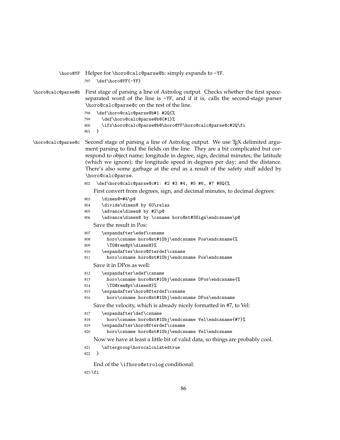```
\horo@YF Helper for \horo@calc@parse@b: simply expands to -YF.
                   797 \def\horo@YF{-YF}
\horo@calc@parse@b First stage of parsing a line of Astrolog output. Checks whether the first space-
                   separated word of the line is -YF, and if it is, calls the second-stage parser
                    \horo@calc@parse@c on the rest of the line.
                   798 \def\horo@calc@parse@b#1 #2Q{%
                   799 \def\horo@calc@parse@b@{#1}%
                   800 \ifx\horo@calc@parse@b@\horo@YF\horo@calc@parse@c#2Q\fi
                   801 }
\horo@calc@parse@c Second stage of parsing a line of Astrolog output. We use TEX delimited argu-
                   ment parsing to find the fields on the line. They are a bit complicated but cor-
                   respond to object name; longitude in degree, sign, decimal minutes; the latitude
                   (which we ignore); the longitude speed in degrees per day; and the distance.
                   There's also some garbage at the end as a result of the safety stuff added by
                    \horo@calc@parse.
                   802 \def\horo@calc@parse@c#1: #2 #3 #4, #5 #6, #7 #8Q{%
                       First convert from degrees, sign, and decimal minutes, to decimal degrees:
                   803 \dimen@=#4\p@
                   804 \divide\dimen@ by 60\relax
                   805 \advance\dimen@ by #2\p@
                   806 \advance\dimen@ by \csname horo@st#3Sign\endcsname\p@
                       Save the result in Pos:
                   807 \expandafter\edef\csname
                   808 horo\csname horo@st#1Obj\endcsname Pos\endcsname{%
                   809 \TG@rem@pt\dimen@}%
                   810 \expandafter\horo@fterdef\csname
                   811 horo\csname horo@st#1Obj\endcsname Pos\endcsname
                       Save it in DPos as well:
                   812 \expandafter\edef\csname
                   813 horo\csname horo@st#1Obj\endcsname DPos\endcsname{%
                   814 \TG@rem@pt\dimen@}%
                   815 \expandafter\horo@fterdef\csname
                   816 horo\csname horo@st#1Obj\endcsname DPos\endcsname
                       Save the velocity, which is already nicely formatted in #7, to Vel:
                   817 \expandafter\def\csname
                   818 horo\csname horo@st#1Obj\endcsname Vel\endcsname{#7}%
                   819 \expandafter\horo@fterdef\csname
                   820 horo\csname horo@st#1Obj\endcsname Vel\endcsname
                       Now we have at least a little bit of valid data, so things are probably cool.
                   821 \aftergroup\horocalculatedtrue
                   822 }
                       End of the \ifhoro@strolog conditional:
                   823 \fi
```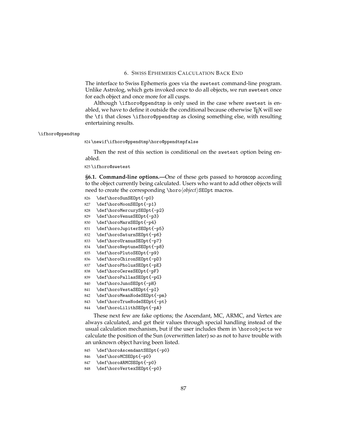## 6. SWISS EPHEMERIS CALCULATION BACK END

The interface to Swiss Ephemeris goes via the swetest command-line program. Unlike Astrolog, which gets invoked once to do all objects, we run swetest once for each object and once more for all cusps.

Although \ifhoro@ppendtmp is only used in the case where swetest is enabled, we have to define it outside the conditional because otherwise T<sub>E</sub>X will see the \fi that closes \ifhoro@ppendtmp as closing something else, with resulting entertaining results.

#### \ifhoro@ppendtmp

824 \newif\ifhoro@ppendtmp\horo@ppendtmpfalse

Then the rest of this section is conditional on the swetest option being enabled.

825 \ifhoro@swetest

**§6.1. Command-line options.—**One of these gets passed to horoscop according to the object currently being calculated. Users who want to add other objects will need to create the corresponding \horo*\object*}SE0pt macros.

- 826 \def\horoSunSEOpt{-p0}
- 827 \def\horoMoonSEOpt{-p1}
- 828 \def\horoMercurySEOpt{-p2}
- 829 \def\horoVenusSEOpt{-p3}
- 830 \def\horoMarsSEOpt{-p4}
- 831 \def\horoJupiterSEOpt{-p5}
- 832 \def\horoSaturnSEOpt{-p6}
- 833 \def\horoUranusSEOpt{-p7}
- 834 \def\horoNeptuneSEOpt{-p8}
- 835 \def\horoPlutoSEOpt{-p9}
- 836 \def\horoChironSEOpt{-pD}
- 837 \def\horoPholusSEOpt{-pE}
- 838 \def\horoCeresSEOpt{-pF} 839 \def\horoPallasSEOpt{-pG}
- 840 \def\horoJunoSEOpt{-pH}
- 841 \def\horoVestaSEOpt{-pI}
- 842 \def\horoMeanNodeSEOpt{-pm}
- 843 \def\horoTrueNodeSEOpt{-pt}
- 844 \def\horoLilithSEOpt{-pA}

These next few are fake options; the Ascendant, MC, ARMC, and Vertex are always calculated, and get their values through special handling instead of the usual calculation mechanism, but if the user includes them in \horoobjects we calculate the position of the Sun (overwritten later) so as not to have trouble with an unknown object having been listed.

- 845 \def\horoAscendantSEOpt{-p0}
- 846 \def\horoMCSEOpt{-p0}
- 847 \def\horoARMCSEOpt{-p0}
- 848 \def\horoVertexSEOpt{-p0}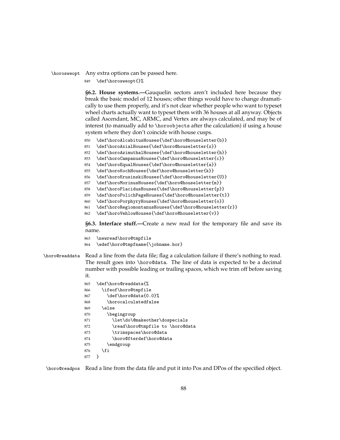# \horosweopt Any extra options can be passed here.

849 \def\horosweopt{}%

**§6.2. House systems.—**Gauquelin sectors aren't included here because they break the basic model of 12 houses; other things would have to change dramatically to use them properly, and it's not clear whether people who want to typeset wheel charts actually want to typeset them with 36 houses at all anyway. Objects called Ascendant, MC, ARMC, and Vertex are always calculated, and may be of interest (to manually add to \horoobjects after the calculation) if using a house system where they don't coincide with house cusps.

- 850 \def\horoAlcabitusHouses{\def\horo@houseletter{b}}
- 851 \def\horoAxialHouses{\def\horo@houseletter{x}}
- 852 \def\horoAzimuthalHouses{\def\horo@houseletter{h}}
- 853 \def\horoCampanusHouses{\def\horo@houseletter{c}}
- 854 \def\horoEqualHouses{\def\horo@houseletter{a}}
- 855 \def\horoKochHouses{\def\horo@houseletter{k}}
- 856 \def\horoKrusinskiHouses{\def\horo@houseletter{U}}
- 857 \def\horoMorinusHouses{\def\horo@houseletter{m}}
- 858 \def\horoPlacidusHouses{\def\horo@houseletter{p}}

```
859 \def\horoPolichPageHouses{\def\horo@houseletter{t}}
```
- 860 \def\horoPorphyryHouses{\def\horo@houseletter{o}}
- 861 \def\horoRegiomontanusHouses{\def\horo@houseletter{r}}
- 862 \def\horoVehlowHouses{\def\horo@houseletter{v}}

**§6.3. Interface stuff.—**Create a new read for the temporary file and save its name.

```
863 \newread\horo@tmpfile
864 \edef\horo@tmpfname{\jobname.hor}
```
\horo@readdata Read a line from the data file; flag a calculation failure if there's nothing to read. The result goes into \horo@data. The line of data is expected to be a decimal number with possible leading or trailing spaces, which we trim off before saving it.

> 865 \def\horo@readdata{% 866 \ifeof\horo@tmpfile 867 \def\horo@data{0.0}% 868 \horocalculatedfalse 869 \else 870 \begingroup 871 \let\do\@makeother\dospecials 872 \read\horo@tmpfile to \horo@data 873 \trimspaces\horo@data 874 \horo@fterdef\horo@data 875 \endgroup 876 \fi 877 }

\horo@readpos Read a line from the data file and put it into Pos and DPos of the specified object.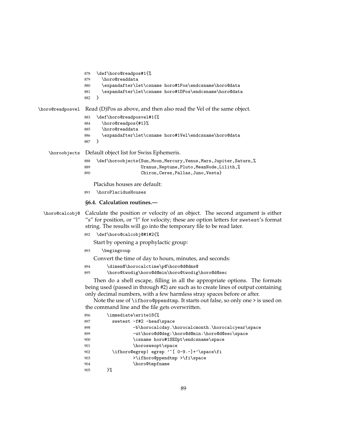```
878 \def\horo@readpos#1{%
                879 \horo@readdata
                880 \expandafter\let\csname horo#1Pos\endcsname\horo@data
                881 \expandafter\let\csname horo#1DPos\endcsname\horo@data
                882 }
\horo@readposvel Read (D)Pos as above, and then also read the Vel of the same object.
                883 \def\horo@readposvel#1{%
                884 \horo@readpos{#1}%
                885 \horo@readdata
                886 \expandafter\let\csname horo#1Vel\endcsname\horo@data
                887 }
   \horoobjects Default object list for Swiss Ephemeris.
                888 \def\horoobjects{Sun,Moon,Mercury,Venus,Mars,Jupiter,Saturn,%
                889 Uranus, Neptune, Pluto, MeanNode, Lilith, %
                890 Chiron,Ceres,Pallas,Juno,Vesta}
                    Placidus houses are default:
                891 \horoPlacidusHouses
                 §6.4. Calculation routines.—
 \horo@calcobj@ Calculate the position or velocity of an object. The second argument is either
                 "s" for position, or "l" for velocity; these are option letters for swetest's format
                 string. The results will go into the temporary file to be read later.
                892 \def\horo@calcobj@#1#2{%
                    Start by opening a prophylactic group:
                893 \begingroup
                    Convert the time of day to hours, minutes, and seconds:
                894 \dimen@\horocalctime\p@\horo@d@dms@
                895 \horo@twodig\horo@d@min\horo@twodig\horo@d@sec
                    Then do a shell escape, filling in all the appropriate options. The formats
                 being used (passed in through #2) are such as to create lines of output containing
                 only decimal numbers, with a few harmless stray spaces before or after.
                    Note the use of \ifhoro@ppendtmp. It starts out false, so only one > is used on
                 the command line and the file gets overwritten.
                896 \immediate\write18{%
                897 swetest -f#2 -head\space
                898 -b\horocalcday.\horocalcmonth.\horocalcyear\space
                899 -ut\horo@d@deg:\horo@d@min:\horo@d@sec\space
                900 \csname horo#1SEOpt\endcsname\space
                901 \horosweopt\space
                902 \ifhoro@egrep| egrep '^[ 0-9.-]+'\space\fi
                903 > > > > > > > > + ifhoro@ppendtmp > + i + space
                904 \horo@tmpfname
```
905 }%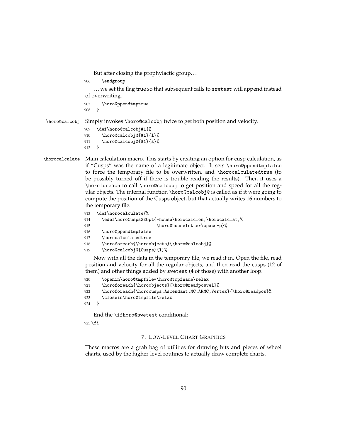But after closing the prophylactic group. . .

906 \endgroup

... we set the flag true so that subsequent calls to swetest will append instead of overwriting.

```
907 \horo@ppendtmptrue
908 }
```
\horo@calcobj Simply invokes \horo@calcobj twice to get both position and velocity.

```
909 \def\horo@calcobj#1{%
910 \horo@calcobj@{#1}{1}%
911 \horo@calcobj@{#1}{s}%
912 }
```
\horocalculate Main calculation macro. This starts by creating an option for cusp calculation, as if "Cusps" was the name of a legitimate object. It sets \horo@ppendtmpfalse to force the temporary file to be overwritten, and \horocalculatedtrue (to be possibly turned off if there is trouble reading the results). Then it uses a \horoforeach to call \horo@calcobj to get position and speed for all the regular objects. The internal function \horo@calcobj@ is called as if it were going to compute the position of the Cusps object, but that actually writes 16 numbers to the temporary file.

```
913 \def\horocalculate{%
914 \edef\horoCuspsSEOpt{-house\horocalclon,\horocalclat,%
915 \horo@houseletter\space-p}%
916 \horo@ppendtmpfalse
917 \horocalculatedtrue
918 \horoforeach{\horoobjects}{\horo@calcobj}%
919 \horo@calcobj@{Cusps}{l}%
```
Now with all the data in the temporary file, we read it in. Open the file, read position and velocity for all the regular objects, and then read the cusps (12 of them) and other things added by swetest (4 of those) with another loop.

```
920 \openin\horo@tmpfile=\horo@tmpfname\relax
921 \horoforeach{\horoobjects}{\horo@readposvel}%
922 \horoforeach{\horocusps,Ascendant,MC,ARMC,Vertex}{\horo@readpos}%
923 \closein\horo@tmpfile\relax
924 }
```
End the \ifhoro@swetest conditional:

 $925$  \fi

## 7. LOW-LEVEL CHART GRAPHICS

These macros are a grab bag of utilities for drawing bits and pieces of wheel charts, used by the higher-level routines to actually draw complete charts.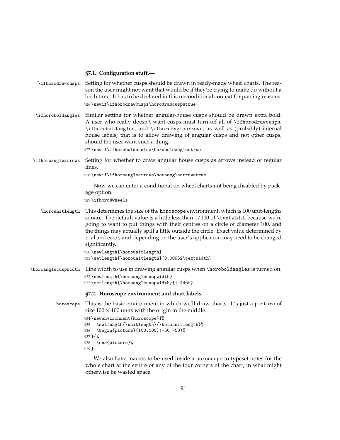#### **§7.1. Configuration stuff.—**

- \ifhorodrawcusps Setting for whether cusps should be drawn in ready-made wheel charts. The reason the user might not want that would be if they're trying to make do without a birth time. It has to be declared in this unconditional context for parsing reasons. 926 \newif\ifhorodrawcusps\horodrawcuspstrue
- \ifhoroboldangles Similar setting for whether angular-house cusps should be drawn extra bold. A user who really doesn't want cusps must turn off all of \ifhorodrawcusps, \ifhoroboldangles, and \ifhoroanglearrows, as well as (probably) internal house labels; that is to allow drawing of angular cusps and not other cusps, should the user want such a thing.

927 \newif\ifhoroboldangles\horoboldanglestrue

\ifhoroanglearrows Setting for whether to draw angular house cusps as arrows instead of regular lines.

928 \newif\ifhoroanglearrows\horoanglearrowstrue

Now we can enter a conditional on wheel charts not being disabled by package option.

929 \ifhoro@wheels

\horounitlength This determines the size of the horoscope environment, which is 100 unit-lengths square. The default value is a little less than 1/100 of \textwidth because we're going to want to put things with their centres on a circle of diameter 100, and the things may actually spill a little outside the circle. Exact value determined by trial and error, and depending on the user's application may need to be changed significantly.

```
930 \newlength{\horounitlength}
931 \setlength{\horounitlength}{0.00952\textwidth}
```
\horoanglecuspwidth Line width to use in drawing angular cusps when \horoboldangles is turned on. 932 \newlength{\horoanglecuspwidth} 933 \setlength{\horoanglecuspwidth}{1.44pt}

# **§7.2. Horoscope environment and chart labels.—**

```
horoscope This is the basic environment in which we'll draw charts. It's just a picture of
           size 100 \times 100 units with the origin in the middle.
           934 \newenvironment{horoscope}{%
           935 \setlength{\unitlength}{\horounitlength}%
           936 \begin{picture}(100,100)(-50,-50)%
           937 }{%
```
938 \end{picture}%

939 }

We also have macros to be used inside a horoscope to typeset notes for the whole chart at the centre or any of the four corners of the chart, in what might otherwise be wasted space.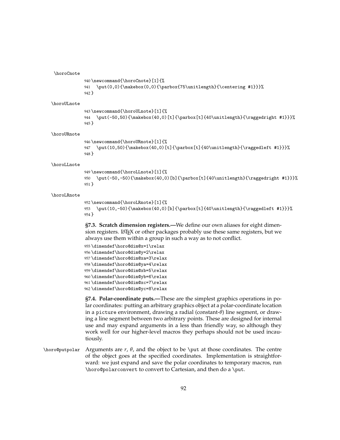#### \horoCnote

```
940 \newcommand{\horoCnote}[1]{%
941 \put(0,0){\makebox(0,0){\parbox{75\unitlength}{\centering #1}}}%
942 }
```
#### \horoULnote

```
943 \newcommand{\horoULnote}[1]{%
944 \put(-50,50){\makebox(40,0)[t]{\parbox[t]{40\unitlength}{\raggedright #1}}}%
945 }
```
#### \horoURnote

```
946 \newcommand{\horoURnote}[1]{%
947 \put(10,50){\makebox(40,0)[t]{\parbox[t]{40\unitlength}{\raggedleft #1}}}%
948 }
```
#### \horoLLnote

```
949 \newcommand{\horoLLnote}[1]{%
950 \put(-50,-50){\makebox(40,0)[b]{\parbox[t]{40\unitlength}{\raggedright #1}}}%
951 }
```
# \horoLRnote

```
952 \newcommand{\horoLRnote}[1]{%
953 \put(10,-50){\makebox(40,0)[b]{\parbox[t]{40\unitlength}{\raggedleft #1}}}%
954 }
```

```
§7.3. Scratch dimension registers.—We define our own aliases for eight dimen-
sion registers. LATEX or other packages probably use these same registers, but we
always use them within a group in such a way as to not conflict.
```

```
955 \dimendef\horo@dim@x=1\relax
956 \dimendef\horo@dim@y=2\relax
957 \dimendef\horo@dim@xa=3\relax
958 \dimendef\horo@dim@ya=4\relax
959 \dimendef\horo@dim@xb=5\relax
960 \dimendef\horo@dim@yb=6\relax
961 \dimendef\horo@dim@xc=7\relax
962 \dimendef\horo@dim@yc=8\relax
```
**§7.4. Polar-coordinate puts.—**These are the simplest graphics operations in polar coordinates: putting an arbitrary graphics object at a polar-coordinate location in a picture environment, drawing a radial (constant-*θ*) line segment, or drawing a line segment between two arbitrary points. These are designed for internal use and may expand arguments in a less than friendly way, so although they work well for our higher-level macros they perhaps should not be used incautiously.

 $\hbar$ oro@putpolar Arguments are *r*,  $\theta$ , and the object to be  $\hbar$  at those coordinates. The centre of the object goes at the specified coordinates. Implementation is straightforward: we just expand and save the polar coordinates to temporary macros, run \horo@polarconvert to convert to Cartesian, and then do a \put.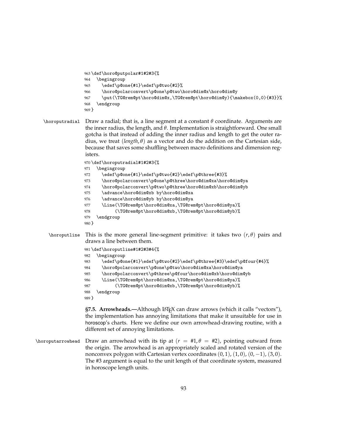```
963 \def\horo@putpolar#1#2#3{%
964 \begingroup
965 \edef\p@one{#1}\edef\p@two{#2}%
966 \horo@polarconvert\p@one\p@two\horo@dim@x\horo@dim@y
967 \put(\TG@rem@pt\horo@dim@x,\TG@rem@pt\horo@dim@y){\makebox(0,0){#3}}%
968 \endgroup
969 }
```

```
\horoputradial Draw a radial; that is, a line segment at a constant θ coordinate. Arguments are
                 the inner radius, the length, and θ. Implementation is straightforward. One small
                 gotcha is that instead of adding the inner radius and length to get the outer ra-
                 dius, we treat (length, θ) as a vector and do the addition on the Cartesian side,
                 because that saves some shuffling between macro definitions and dimension reg-
                 isters.
```
\def\horoputradial#1#2#3{%

```
971 \begingroup
```

```
972 \edef\p@one{#1}\edef\p@two{#2}\edef\p@three{#3}%
```
- \horo@polarconvert\p@one\p@three\horo@dim@xa\horo@dim@ya
- \horo@polarconvert\p@two\p@three\horo@dim@xb\horo@dim@yb
- \advance\horo@dim@xb by\horo@dim@xa
- \advance\horo@dim@yb by\horo@dim@ya
- \Line(\TG@rem@pt\horo@dim@xa,\TG@rem@pt\horo@dim@ya)%
- (\TG@rem@pt\horo@dim@xb,\TG@rem@pt\horo@dim@yb)%
- \endgroup
- }
- \horoputline This is the more general line-segment primitive: it takes two (*r*, *θ*) pairs and draws a line between them.

```
981 \def\horoputline#1#2#3#4{%
982 \begingroup
983 \edef\p@one{#1}\edef\p@two{#2}\edef\p@three{#3}\edef\p@four{#4}%
984 \horo@polarconvert\p@one\p@two\horo@dim@xa\horo@dim@ya
985 \horo@polarconvert\p@three\p@four\horo@dim@xb\horo@dim@yb
986 \Line(\TG@rem@pt\horo@dim@xa,\TG@rem@pt\horo@dim@ya)%
987 (\TG@rem@pt\horo@dim@xb,\TG@rem@pt\horo@dim@yb)%
988 \endgroup
989 }
```
**§7.5. Arrowheads.—Although LATEX can draw arrows (which it calls "vectors"),** the implementation has annoying limitations that make it unsuitable for use in horoscop's charts. Here we define our own arrowhead-drawing routine, with a different set of annoying limitations.

\horoputarrowhead Draw an arrowhead with its tip at (*r* = #1, *θ* = #2), pointing outward from the origin. The arrowhead is an appropriately scaled and rotated version of the nonconvex polygon with Cartesian vertex coordinates  $(0, 1)$ ,  $(1, 0)$ ,  $(0, -1)$ ,  $(3, 0)$ . The #3 argument is equal to the unit length of that coordinate system, measured in horoscope length units.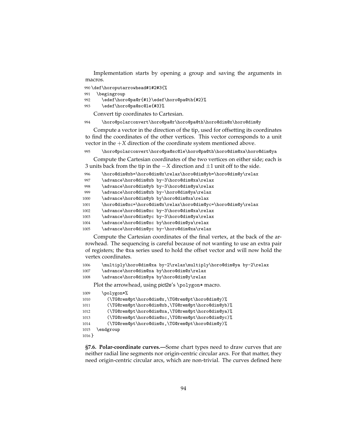Implementation starts by opening a group and saving the arguments in macros.

\def\horoputarrowhead#1#2#3{%

\begingroup

\edef\horo@pa@r{#1}\edef\horo@pa@th{#2}%

\edef\horo@pa@sc@le{#3}%

Convert tip coordinates to Cartesian.

\horo@polarconvert\horo@pa@r\horo@pa@th\horo@dim@x\horo@dim@y

Compute a vector in the direction of the tip, used for offsetting its coordinates to find the coordinates of the other vertices. This vector corresponds to a unit vector in the  $+X$  direction of the coordinate system mentioned above.

\horo@polarconvert\horo@pa@sc@le\horo@pa@th\horo@dim@xa\horo@dim@ya

Compute the Cartesian coordinates of the two vertices on either side; each is 3 units back from the tip in the −*X* direction and ±1 unit off to the side.

```
996 \horo@dim@xb=\horo@dim@x\relax\horo@dim@yb=\horo@dim@y\relax
```

```
997 \advance\horo@dim@xb by-3\horo@dim@xa\relax
```
\advance\horo@dim@yb by-3\horo@dim@ya\relax

\advance\horo@dim@xb by-\horo@dim@ya\relax

\advance\horo@dim@yb by\horo@dim@xa\relax

\horo@dim@xc=\horo@dim@x\relax\horo@dim@yc=\horo@dim@y\relax

1002 \advance\horo@dim@xc by-3\horo@dim@xa\relax

\advance\horo@dim@yc by-3\horo@dim@ya\relax

\advance\horo@dim@xc by\horo@dim@ya\relax

\advance\horo@dim@yc by-\horo@dim@xa\relax

Compute the Cartesian coordinates of the final vertex, at the back of the arrowhead. The sequencing is careful because of not wanting to use an extra pair of registers; the @xa series used to hold the offset vector and will now hold the vertex coordinates.

```
1006 \multiply\horo@dim@xa by-2\relax\multiply\horo@dim@ya by-2\relax
```

```
1007 \advance\horo@dim@xa by\horo@dim@x\relax
```
\advance\horo@dim@ya by\horo@dim@y\relax

Plot the arrowhead, using pict2e's \polygon\* macro.

```
1009 \polygon*%
```

```
1010 (\TG@rem@pt\horo@dim@x,\TG@rem@pt\horo@dim@y)%
1011 (\TG@rem@pt\horo@dim@xb,\TG@rem@pt\horo@dim@yb)%
1012 (\TG@rem@pt\horo@dim@xa,\TG@rem@pt\horo@dim@ya)%
1013 (\TG@rem@pt\horo@dim@xc,\TG@rem@pt\horo@dim@yc)%
1014 (\TG@rem@pt\horo@dim@x,\TG@rem@pt\horo@dim@y)%
1015 \endgroup
1016 }
```
**§7.6. Polar-coordinate curves.—**Some chart types need to draw curves that are neither radial line segments nor origin-centric circular arcs. For that matter, they need origin-centric circular arcs, which are non-trivial. The curves defined here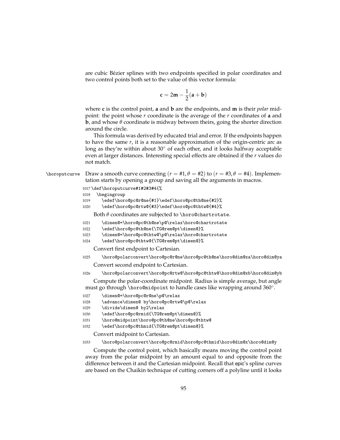are cubic Bézier splines with two endpoints specified in polar coordinates and two control points both set to the value of this vector formula:

$$
\mathbf{c} = 2\mathbf{m} - \frac{1}{2}(\mathbf{a} + \mathbf{b})
$$

where **c** is the control point, **a** and **b** are the endpoints, and **m** is their *polar* midpoint: the point whose *r* coordinate is the average of the *r* coordinates of **a** and **b**, and whose *θ* coordinate is midway between theirs, going the shorter direction around the circle.

This formula was derived by educated trial and error. If the endpoints happen to have the same *r*, it is a reasonable approximation of the origin-centric arc as long as they're within about  $30°$  of each other, and it looks halfway acceptable even at larger distances. Interesting special effects are obtained if the *r* values do not match.

 $\hbar$ oroputcurve Draw a smooth curve connecting ( $r = #1, \theta = #2$ ) to ( $r = #3, \theta = #4$ ). Implementation starts by opening a group and saving all the arguments in macros.

1017 \def\horoputcurve#1#2#3#4{%

- 1018 \begingroup
- 1019 \edef\horo@pc@r@ne{#1}\edef\horo@pc@th@ne{#2}%
- 1020 \edef\horo@pc@rtw@{#3}\edef\horo@pc@thtw@{#4}%

Both *θ* coordinates are subjected to \horo@chartrotate.

- 1021 \dimen@=\horo@pc@th@ne\p@\relax\horo@chartrotate
- 1022 \edef\horo@pc@th@ne{\TG@rem@pt\dimen@}%
- 1023 \dimen@=\horo@pc@thtw@\p@\relax\horo@chartrotate
- 1024 \edef\horo@pc@thtw@{\TG@rem@pt\dimen@}%

Convert first endpoint to Cartesian.

- 1025 \horo@polarconvert\horo@pc@r@ne\horo@pc@th@ne\horo@dim@xa\horo@dim@ya Convert second endpoint to Cartesian.
- 1026 \horo@polarconvert\horo@pc@rtw@\horo@pc@thtw@\horo@dim@xb\horo@dim@yb

Compute the polar-coordinate midpoint. Radius is simple average, but angle must go through \horo@midpoint to handle cases like wrapping around 360◦ .

- 1027 \dimen@=\horo@pc@r@ne\p@\relax
- 1028 \advance\dimen@ by\horo@pc@rtw@\p@\relax
- 1029 \divide\dimen@ by2\relax
- 1030 \edef\horo@pc@rmid{\TG@rem@pt\dimen@}%
- 1031 \horo@midpoint\horo@pc@th@ne\horo@pc@thtw@
- 1032 \edef\horo@pc@thmid{\TG@rem@pt\dimen@}%

Convert midpoint to Cartesian.

#### 1033 \horo@polarconvert\horo@pc@rmid\horo@pc@thmid\horo@dim@x\horo@dim@y

Compute the control point, which basically means moving the control point away from the polar midpoint by an amount equal to and opposite from the difference between it and the Cartesian midpoint. Recall that epic's spline curves are based on the Chaikin technique of cutting corners off a polyline until it looks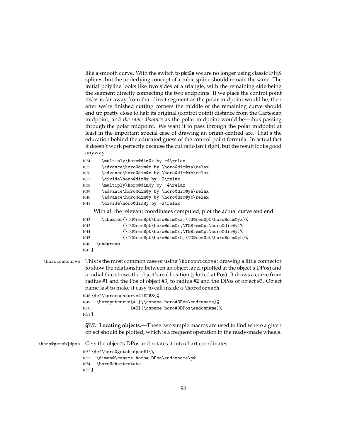like a smooth curve. With the switch to pict2e we are no longer using classic  $L^2F$ <sub>F</sub>X splines, but the underlying concept of a cubic spline should remain the same. The initial polyline looks like two sides of a triangle, with the remaining side being the segment directly connecting the two endpoints. If we place the control point *twice* as far away from that direct segment as the polar midpoint would be, then after we're finished cutting corners the middle of the remaining curve should end up pretty close to half its original (control point) distance from the Cartesian midpoint, and *the same distance* as the polar midpoint would be—thus passing through the polar midpoint. We want it to pass through the polar midpoint at least in the important special case of drawing an origin-centred arc. That's the education behind the educated guess of the control point formula. In actual fact it doesn't work perfectly because the cut ratio isn't right, but the result looks good anyway.

```
1034 \multiply\horo@dim@x by -4\relax
1035 \advance\horo@dim@x by \horo@dim@xa\relax
1036 \advance\horo@dim@x by \horo@dim@xb\relax
1037 \divide\horo@dim@x by -2\relax
1038 \multiply\horo@dim@y by -4\relax
1039 \advance\horo@dim@y by \horo@dim@ya\relax
1040 \advance\horo@dim@y by \horo@dim@yb\relax
1041 \divide\horo@dim@y by -2\relax
```
With all the relevant coordinates computed, plot the actual curve and end.

```
1042 \cbezier(\TG@rem@pt\horo@dim@xa,\TG@rem@pt\horo@dim@ya)%
1043 (\TG@rem@pt\horo@dim@x,\TG@rem@pt\horo@dim@y)%
1044 (\TG@rem@pt\horo@dim@x,\TG@rem@pt\horo@dim@y)%
1045 (\TG@rem@pt\horo@dim@xb,\TG@rem@pt\horo@dim@yb)%
1046 \endgroup
```

```
1047 }
```
\horoconncurve This is the most common case of using \horoputcurve: drawing a little connector to show the relationship between an object label (plotted at the object's DPos) and a radial that shows the object's real location (plotted at Pos). It draws a curve from radius #1 and the Pos of object #3, to radius #2 and the DPos of object #3. Object name last to make it easy to call inside a \horoforeach.

> \def\horoconncurve#1#2#3{% \horoputcurve{#1}{\csname horo#3Pos\endcsname}%  $\{\#2\}\{\cosh \theta \bmod 3DP \osch \theta\}$ 1051 }

**§7.7. Locating objects.—**These two simple macros are used to find where a given object should be plotted, which is a frequent operation in the ready-made wheels.

\horo@getobjdpos Gets the object's DPos and rotates it into chart coordinates.

```
1052 \def\horo@getobjdpos#1{%
1053 \dimen@\csname horo#1DPos\endcsname\p@
1054 \horo@chartrotate
1055 }
```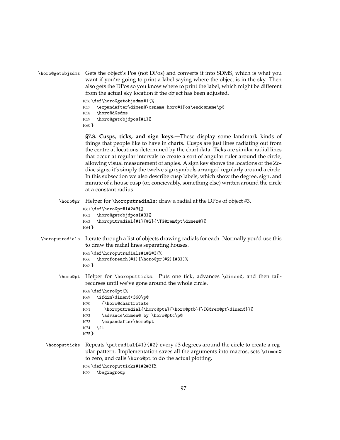```
\horo@getobjsdms Gets the object's Pos (not DPos) and converts it into SDMS, which is what you
                   want if you're going to print a label saying where the object is in the sky. Then
                   also gets the DPos so you know where to print the label, which might be different
                   from the actual sky location if the object has been adjusted.
```
1056 \def\horo@getobjsdms#1{% 1057 \expandafter\dimen@\csname horo#1Pos\endcsname\p@

```
1058 \horo@d@sdms
```

```
1059 \horo@getobjdpos{#1}%
```
1060 }

**§7.8. Cusps, ticks, and sign keys.—**These display some landmark kinds of things that people like to have in charts. Cusps are just lines radiating out from the centre at locations determined by the chart data. Ticks are similar radial lines that occur at regular intervals to create a sort of angular ruler around the circle, allowing visual measurement of angles. A sign key shows the locations of the Zodiac signs; it's simply the twelve sign symbols arranged regularly around a circle. In this subsection we also describe cusp labels, which show the degree, sign, and minute of a house cusp (or, concievably, something else) written around the circle at a constant radius.

\horo@pr Helper for \horoputradials: draw a radial at the DPos of object #3.

```
1061 \def\horo@pr#1#2#3{%
1062 \horo@getobjdpos{#3}%
1063 \horoputradial{#1}{#2}{\TG@rem@pt\dimen@}%
1064 }
```
\horoputradials Iterate through a list of objects drawing radials for each. Normally you'd use this to draw the radial lines separating houses. 1065 \def\horoputradials#1#2#3{%

```
1066 \horoforeach{#1}{\horo@pr{#2}{#3}}%
1067 }
```
\horo@pt Helper for \horoputticks. Puts one tick, advances \dimen@, and then tailrecurses until we've gone around the whole circle.

```
1068 \def\horo@pt{%
```

```
1069 \ifdim\dimen@<360\p@
1070 {\horo@chartrotate
1071 \horoputradial{\horo@pta}{\horo@ptb}{\TG@rem@pt\dimen@}}%
1072 \advance\dimen@ by \horo@ptc\p@
1073 \expandafter\horo@pt
1074 \fi
1075 }
```
\horoputticks Repeats \putradial{#1}{#2} every #3 degrees around the circle to create a regular pattern. Implementation saves all the arguments into macros, sets \dimen@ to zero, and calls \horo@pt to do the actual plotting.

1076 \def\horoputticks#1#2#3{%

```
1077 \begingroup
```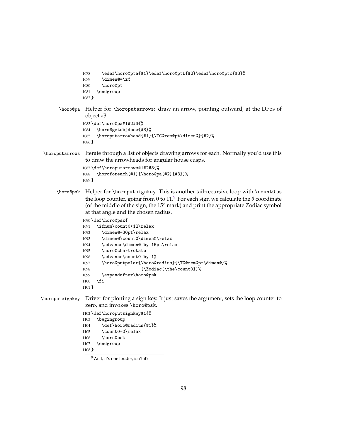```
1078 \edef\horo@pta{#1}\edef\horo@ptb{#2}\edef\horo@ptc{#3}%
               1079 \dimen@=\z@
               1080 \horo@pt
               1081 \endgroup
               1082 }
      \horo@pa Helper for \horoputarrows: draw an arrow, pointing outward, at the DPos of
                object #3.
               1083 \def\horo@pa#1#2#3{%
               1084 \horo@getobjdpos{#3}%
               1085 \horoputarrowhead{#1}{\TG@rem@pt\dimen@}{#2}%
               1086 }
\horoputarrows Iterate through a list of objects drawing arrows for each. Normally you'd use this
                to draw the arrowheads for angular house cusps.
               1087 \def\horoputarrows#1#2#3{%
               1088 \horoforeach{#1}{\horo@pa{#2}{#3}}%
               1089 }
      \horo@psk Helper for \horoputsignkey. This is another tail-recursive loop with \count0 as
                9</sup> For each sign we calculate the \theta coordinate
                (of the middle of the sign, the 15◦ mark) and print the appropriate Zodiac symbol
                at that angle and the chosen radius.
               1090 \def\horo@psk{
               1091 \ifnum\count0<12\relax
               1092 \dimen@=30pt\relax
               1093 \dimen@\count0\dimen@\relax
               1094 \advance\dimen@ by 15pt\relax
               1095 \horo@chartrotate
               1096 \advance\count0 by 1%
               1097 \horo@putpolar{\horo@radius}{\TG@rem@pt\dimen@}%
               1098 {\Delta c{\theta\}}1099 \expandafter\horo@psk
               1100 \fi
               1101 }
\horoputsignkey Driver for plotting a sign key. It just saves the argument, sets the loop counter to
                zero, and invokes \horo@psk.
               1102 \def\horoputsignkey#1{%
```
 \begingroup \def\horo@radius{#1}% 1105 \count0=0\relax \horo@psk \endgroup }

<span id="page-97-0"></span>Well, it's one louder, isn't it?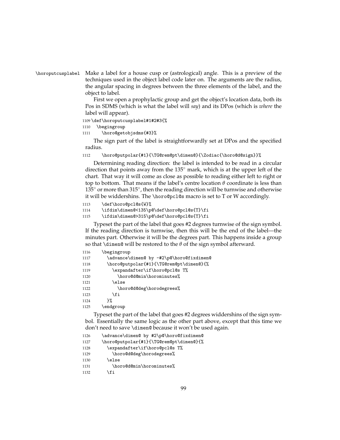# \horoputcusplabel Make a label for a house cusp or (astrological) angle. This is a preview of the techniques used in the object label code later on. The arguments are the radius, the angular spacing in degrees between the three elements of the label, and the object to label.

First we open a prophylactic group and get the object's location data, both its Pos in SDMS (which is what the label will *say*) and its DPos (which is *where* the label will appear).

#### 1109 \def\horoputcusplabel#1#2#3{%

1110 \begingroup

```
1111 \horo@getobjsdms{#3}%
```
The sign part of the label is straightforwardly set at DPos and the specified radius.

1112 \horo@putpolar{#1}{\TG@rem@pt\dimen@}{\Zodiac{\horo@d@sign}}%

Determining reading direction: the label is intended to be read in a circular direction that points away from the 135◦ mark, which is at the upper left of the chart. That way it will come as close as possible to reading either left to right or top to bottom. That means if the label's centre location  $\theta$  coordinate is less than  $135^{\circ}$  or more than 315 $^{\circ}$ , then the reading direction will be turnwise and otherwise it will be widdershins. The \horo@pcl@s macro is set to T or W accordingly.

```
1113 \def\horo@pcl@s{W}%
```

```
1114 \ifdim\dimen@<135\p@\def\horo@pcl@s{T}\fi
```
1115 \ifdim\dimen@>315\p@\def\horo@pcl@s{T}\fi

Typeset the part of the label that goes #2 degrees turnwise of the sign symbol. If the reading direction is turnwise, then this will be the end of the label—the minutes part. Otherwise it will be the degrees part. This happens inside a group so that \dimen@ will be restored to the *θ* of the sign symbol afterward.

| 1116 | \begingroup                              |
|------|------------------------------------------|
| 1117 | \advance\dimen@ by -#2\p@\horo@fixdimen@ |
| 1118 | \horo@putpolar{#1}{\TG@rem@pt\dimen@}{%  |
| 1119 | \expandafter\if\horo@pcl@s T%            |
| 1120 | \horo@d@min\horominutes%                 |
| 1121 | \else                                    |
| 1122 | \horo@d@deg\horodegrees%                 |
| 1123 | \fi                                      |
| 1124 | ጉ%                                       |
| 1125 | \endgroup                                |

Typeset the part of the label that goes #2 degrees widdershins of the sign symbol. Essentially the same logic as the other part above, except that this time we don't need to save \dimen@ because it won't be used again.

```
1126 \advance\dimen@ by #2\p@\horo@fixdimen@
1127 \horo@putpolar{#1}{\TG@rem@pt\dimen@}{%
1128 \expandafter\if\horo@pcl@s T%
1129 \horo@d@deg\horodegrees%
1130 \qquad \text{lelesc}1131 \horo@d@min\horominutes%
1132 \fi
```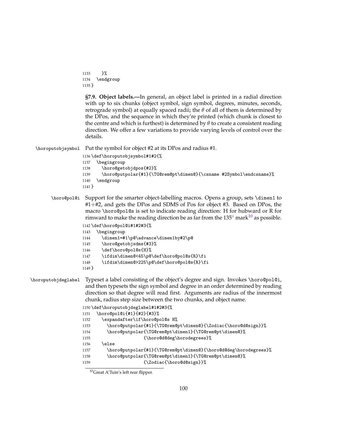```
1133 }%
1134 \endgroup
1135 }
```
**§7.9. Object labels.—**In general, an object label is printed in a radial direction with up to six chunks (object symbol, sign symbol, degrees, minutes, seconds, retrograde symbol) at equally spaced radii; the  $\theta$  of all of them is determined by the DPos, and the sequence in which they're printed (which chunk is closest to the centre and which is furthest) is determined by  $\theta$  to create a consistent reading direction. We offer a few variations to provide varying levels of control over the details.

\horoputobjsymbol Put the symbol for object #2 at its DPos and radius #1.

```
1136 \def\horoputobjsymbol#1#2{%
1137 \begingroup
1138 \horo@getobjdpos{#2}%
1139 \horo@putpolar{#1}{\TG@rem@pt\dimen@}{\csname #2Symbol\endcsname}%
1140 \endgroup
1141 }
```
\horo@pol@i Support for the smarter object-labelling macros. Opens a group, sets \dimen1 to #1+#2, and gets the DPos and SDMS of Pos for object #3. Based on DPos, the macro \horo@pol@s is set to indicate reading direction: H for hubward or R for rimward to make the reading direction be as far from the  $135^{\circ}$  mark $^{10}$  $^{10}$  $^{10}$  as possible.

1142 \def\horo@pol@i#1#2#3{%

- 1143 \begingroup
- 1144 \dimen1=#1\p@\advance\dimen1by#2\p@
- 1145 \horo@getobjsdms{#3}%
- 1146 \def\horo@pol@s{H}%
- 1147 \ifdim\dimen@<45\p@\def\horo@pol@s{R}\fi
- 1148 \ifdim\dimen@>225\p@\def\horo@pol@s{R}\fi
- 1149 }
- \horoputobjdeglabel Typeset a label consisting of the object's degree and sign. Invokes \horo@pol@i, and then typesets the sign symbol and degree in an order determined by reading direction so that degree will read first. Arguments are radius of the innermost chunk, radius step size between the two chunks, and object name.

```
1150 \def\horoputobjdeglabel#1#2#3{%
1151 \horo@pol@i{#1}{#2}{#3}%
1152 \expandafter\if\horo@pol@s H%
1153 \horo@putpolar{#1}{\TG@rem@pt\dimen@}{\Zodiac{\horo@d@sign}}%
1154 \horo@putpolar{\TG@rem@pt\dimen1}{\TG@rem@pt\dimen@}%
1155 {\hbox{\rm Odd0deg\hbox{horodegrees}}\n1156 \else
1157 \horo@putpolar{#1}{\TG@rem@pt\dimen@}{\horo@d@deg\horodegrees}%
1158 \horo@putpolar{\TG@rem@pt\dimen1}{\TG@rem@pt\dimen@}%
1159 {\Delta c}{\Delta c}
```
<span id="page-99-0"></span><sup>10</sup>Great A'Tuin's left rear flipper.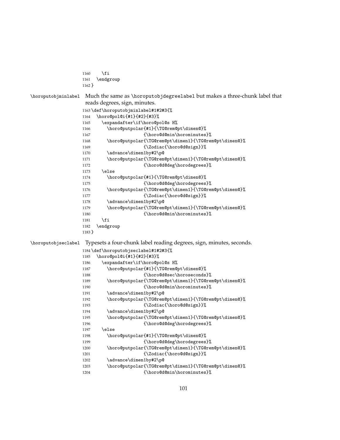```
1160 \fi
                 1161 \endgroup
                 1162 }
\horoputobjminlabel Much the same as \horoputobjdegreelabel but makes a three-chunk label that
                  reads degrees, sign, minutes.
                 1163 \def\horoputobjminlabel#1#2#3{%
                 1164 \horo@pol@i{#1}{#2}{#3}%
                 1165 \expandafter\if\horo@pol@s H%
                 1166 \horo@putpolar{#1}{\TG@rem@pt\dimen@}%
                 1167 {\horo@d@min\horominutes}%
                 1168 \horo@putpolar{\TG@rem@pt\dimen1}{\TG@rem@pt\dimen@}%
                 1169 {\Xodiac{\hbox{O}}1170 \advance\dimen1by#2\p@
                 1171 \horo@putpolar{\TG@rem@pt\dimen1}{\TG@rem@pt\dimen@}%
                 1172 {\hbox{\sf{Norod}Qdeg\hbox{\sf{horod}M}}1173 \else
                 1174 \horo@putpolar{#1}{\TG@rem@pt\dimen@}%
                 1175 {\hbox{\bf{horoddeg}thorodegrees}\}}1176 \horo@putpolar{\TG@rem@pt\dimen1}{\TG@rem@pt\dimen@}%
                 1177 {\Zodiac{\hbox{Odegign}}\%1178 \advance\dimen1by#2\p@
                 1179 \horo@putpolar{\TG@rem@pt\dimen1}{\TG@rem@pt\dimen@}%
                 1180 {\horo@d@min\horominutes}%
                 1181 \fi
                 1182 \endgroup
                 1183 }
\horoputobjseclabel Typesets a four-chunk label reading degrees, sign, minutes, seconds.
                 1184 \def\horoputobjseclabel#1#2#3{%
                 1185 \horo@pol@i{#1}{#2}{#3}%
                 1186 \expandafter\if\horo@pol@s H%
                 1187 \horo@putpolar{#1}{\TG@rem@pt\dimen@}%
                 1188 {\hbox{\bf{horo0d0sec\honpsilon}}\}1189 \horo@putpolar{\TG@rem@pt\dimen1}{\TG@rem@pt\dimen@}%
                 1190 {\horo@d@min\horominutes}%
                 1191 \advance\dimen1by#2\p@
                 1192 \horo@putpolar{\TG@rem@pt\dimen1}{\TG@rem@pt\dimen@}%
                 1193 {\Zodiac{\hbox{\sf Noro@dQsign}}}\1194 \advance\dimen1by#2\p@
                 1195 \horo@putpolar{\TG@rem@pt\dimen1}{\TG@rem@pt\dimen@}%
                 1196 {\horo@d@deg\horodegrees}%
                 1197 \else
                 1198 \horo@putpolar{#1}{\TG@rem@pt\dimen@}%
                 1199 {\hbox{\rm Odd0deg\hbox{horodegrees}}\% }1200 \horo@putpolar{\TG@rem@pt\dimen1}{\TG@rem@pt\dimen@}%
                 1201 {\lambda \space {\Lambda \space \text{0}}\1202 \advance\dimen1by#2\p@
                 1203 \horo@putpolar{\TG@rem@pt\dimen1}{\TG@rem@pt\dimen@}%
                 1204 {\horo@d@min\horominutes}%
```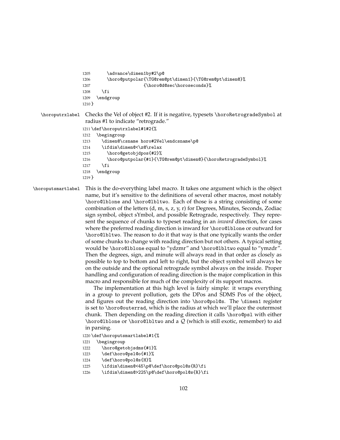```
1205 \advance\dimen1by#2\p@
1206 \horo@putpolar{\TG@rem@pt\dimen1}{\TG@rem@pt\dimen@}%
1207 {\horo@d@sec\horoseconds}%
1208 \fi
1209 \endgroup
1210 }
```
\horoputrxlabel Checks the Vel of object #2. If it is negative, typesets \horoRetrogradeSymbol at radius #1 to indicate "retrograde."

```
1211 \def\horoputrxlabel#1#2{%
1212 \begingroup
1213 \dimen@\csname horo#2Vel\endcsname\p@
1214 \ifdim\dimen@<\z@\relax
1215 \horo@getobjdpos{#2}%
1216 \horo@putpolar{#1}{\TG@rem@pt\dimen@}{\horoRetrogradeSymbol}%
1217 \fi
1218 \endgroup
1219 }
```
\horoputsmartlabel This is the do-everything label macro. It takes one argument which is the object name, but it's sensitive to the definitions of several other macros, most notably \horo@lblone and \horo@lbltwo. Each of those is a string consisting of some combination of the letters (d, m, s, z, y, r) for Degrees, Minutes, Seconds, Zodiac sign symbol, object sYmbol, and possible Retrograde, respectively. They represent the sequence of chunks to typeset reading in an *inward* direction, for cases where the preferred reading direction is inward for \horo@lblone or outward for \horo@lbltwo. The reason to do it that way is that one typically wants the order of some chunks to change with reading direction but not others. A typical setting would be \horo@lblone equal to "ydzmr" and \horo@lbltwo equal to "ymzdr". Then the degrees, sign, and minute will always read in that order as closely as possible to top to bottom and left to right, but the object symbol will always be on the outside and the optional retrograde symbol always on the inside. Proper handling and configuration of reading direction is the major complication in this macro and responsible for much of the complexity of its support macros.

> The implementation at this high level is fairly simple: it wraps everything in a group to prevent pollution, gets the DPos and SDMS Pos of the object, and figures out the reading direction into \horo@pol@s. The \dimen1 register is set to \horo@outerrad, which is the radius at which we'll place the outermost chunk. Then depending on the reading direction it calls \horo@psl with either \horo@lblone or \horo@lbltwo and a  $Q$  (which is still exotic, remember) to aid in parsing.

1220 \def\horoputsmartlabel#1{%

- 1221 \begingroup
- 1222 \horo@getobjsdms{#1}%
- 1223 \def\horo@psl@o{#1}%
- 1224 \def\horo@pol@s{H}%
- 1225 \ifdim\dimen@<45\p@\def\horo@pol@s{R}\fi
- 1226 \ifdim\dimen@>225\p@\def\horo@pol@s{R}\fi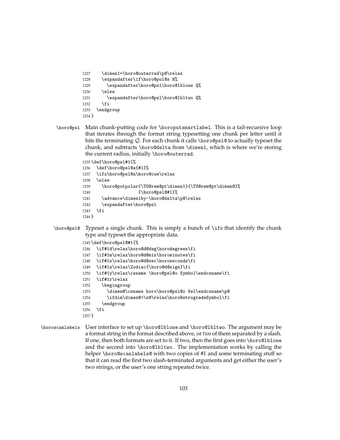- 1227 \dimen1=\horo@outerrad\p@\relax 1228 \expandafter\if\horo@pol@s H% 1229 \expandafter\horo@psl\horo@lblone Q% 1230 \else 1231 \expandafter\horo@psl\horo@lbltwo Q% 1232 \fi 1233 \endgroup 1234 }
- \horo@psl Main chunk-putting code for \horoputsmartlabel. This is a tail-recursive loop that iterates through the format string typesetting one chunk per letter until it hits the terminating  $Q$ . For each chunk it calls \horo@ps1@ to actually typeset the chunk, and subtracts \horo@delta from \dimen1, which is where we're storing the current radius, initially \horo@outerrad.

 \def\horo@psl#1{% \def\horo@psl@a{#1}% \ifx\horo@psl@a\horo@cue\relax 1238 \else \horo@putpolar{\TG@rem@pt\dimen1}{\TG@rem@pt\dimen@}% 1240 {\horo@psl@#1}%

1241 \advance\dimen1by-\horo@delta\p@\relax

- 1242 \expandafter\horo@psl 1243 \fi
- 1244 }
- \horo@psl@ Typeset a single chunk. This is simply a bunch of \ifs that identify the chunk type and typeset the appropriate data.

```
1245 \def\horo@psl@#1{%
1246 \if#1d\relax\horo@d@deg\horodegrees\fi
1247 \if#1m\relax\horo@d@min\horominutes\fi
1248 \if#1s\relax\horo@d@sec\horoseconds\fi
1249 \if#1z\relax\Zodiac{\horo@d@sign}\fi
1250 \if#1y\relax\csname \horo@psl@o Symbol\endcsname\fi
1251 \if#1r\relax
1252 \begingroup
1253 \dimen@\csname horo\horo@psl@o Vel\endcsname\p@
1254 \ifdim\dimen@<\z@\relax\horoRetrogradeSymbol\fi
1255 \endgroup
1256 \fi
1257 }
```
\horoscanlabels User interface to set up \horo@lblone and \horo@lbltwo. The argument may be a format string in the format described above, or *two* of them separated by a slash. If one, then both formats are set to it. If two, then the first goes into \horo@lblone and the second into \horo@lbltwo. The implementation works by calling the helper \horo@scanlabels@ with two copies of #1 and some terminating stuff so that it can read the first two slash-terminated arguments and get either the user's two strings, or the user's one string repeated twice.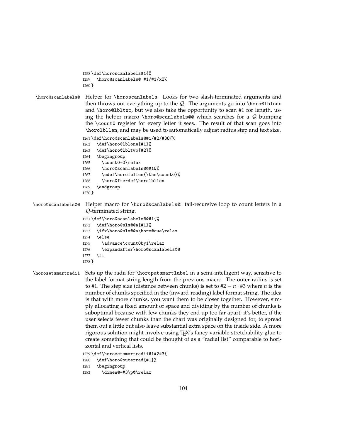```
1258 \def\horoscanlabels#1{%
1259 \horo@scanlabels@ #1/#1/xQ%
1260 }
```
\horo@scanlabels@ Helper for \horoscanlabels. Looks for two slash-terminated arguments and then throws out everything up to the  $Q$ . The arguments go into \horo@lblone and \horo@lbltwo, but we also take the opportunity to scan #1 for length, using the helper macro \horo@scanlabels@@ which searches for a  $Q$  bumping the \count0 register for every letter it sees. The result of that scan goes into \horolbllen, and may be used to automatically adjust radius step and text size.

> 1261 \def\horo@scanlabels@#1/#2/#3Q{% 1262 \def\horo@lblone{#1}% 1263 \def\horo@lbltwo{#2}%

- 1264 \begingroup
- 1265 \count0=0\relax
- 1266 \horo@scanlabels@@#1Q%
- 1267 \edef\horolbllen{\the\count0}%
- 1268 \horo@fterdef\horolbllen
- 1269 \endgroup
- 1270 }

\horo@scanlabels@@ Helper macro for \horo@scanlabels@: tail-recursive loop to count letters in a Q-terminated string.

> 1271 \def\horo@scanlabels@@#1{% 1272 \def\horo@sls@@a{#1}% 1273 \ifx\horo@sls@@a\horo@cue\relax 1274 \else 1275 \advance\count0by1\relax 1276 \expandafter\horo@scanlabels@@ 1277 \fi 1278 }

\horosetsmartradii Sets up the radii for \horoputsmartlabel in a semi-intelligent way, sensitive to the label format string length from the previous macro. The outer radius is set to #1. The step size (distance between chunks) is set to #2 − *n* · #3 where *n* is the number of chunks specified in the (inward-reading) label format string. The idea is that with more chunks, you want them to be closer together. However, simply allocating a fixed amount of space and dividing by the number of chunks is suboptimal because with few chunks they end up too far apart; it's better, if the user selects fewer chunks than the chart was originally designed for, to spread them out a little but also leave substantial extra space on the inside side. A more rigorous solution might involve using TEX's fancy variable-stretchability glue to create something that could be thought of as a "radial list" comparable to horizontal and vertical lists.

1279 \def\horosetsmartradii#1#2#3{

- 1280 \def\horo@outerrad{#1}%
- 1281 \begingroup

```
1282 \dimen@=#3\p@\relax
```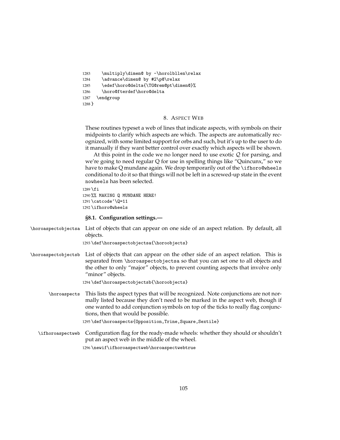```
1283 \multiply\dimen@ by -\horolbllen\relax
1284 \advance\dimen@ by #2\p@\relax
1285 \edef\horo@delta{\TG@rem@pt\dimen@}%
1286 \horo@fterdef\horo@delta
1287 \endgroup
1288 }
```
## 8. ASPECT WEB

These routines typeset a web of lines that indicate aspects, with symbols on their midpoints to clarify which aspects are which. The aspects are automatically recognized, with some limited support for orbs and such, but it's up to the user to do it manually if they want better control over exactly which aspects will be shown.

At this point in the code we no longer need to use exotic  $Q$  for parsing, and we're going to need regular Q for use in spelling things like "Quincunx," so we have to make Q mundane again. We drop temporarily out of the \ifhoro@wheels conditional to do it so that things will not be left in a screwed-up state in the event nowheels has been selected.

```
1289 \fi
1290 %% MAKING Q MUNDANE HERE!
1291 \catcode'\Q=11
1292 \ifhoro@wheels
```
# **§8.1. Configuration settings.—**

|                     | \horoaspectobjectsa List of objects that can appear on one side of an aspect relation. By default, all<br>objects.                                                                                                                                                                                |
|---------------------|---------------------------------------------------------------------------------------------------------------------------------------------------------------------------------------------------------------------------------------------------------------------------------------------------|
|                     | 1293 \def \horoaspectobjectsa{\horoobjects}                                                                                                                                                                                                                                                       |
| \horoaspectobjectsb | List of objects that can appear on the other side of an aspect relation. This is<br>separated from \horoaspectobjectsa so that you can set one to all objects and<br>the other to only "major" objects, to prevent counting aspects that involve only<br>"minor" objects.                         |
|                     | 1294 \def \horoaspectobjectsb{\horoobjects}                                                                                                                                                                                                                                                       |
| \horoaspects        | This lists the aspect types that will be recognized. Note conjunctions are not nor-<br>mally listed because they don't need to be marked in the aspect web, though if<br>one wanted to add conjunction symbols on top of the ticks to really flag conjunc-<br>tions, then that would be possible. |
|                     | 1295 \def \horoaspects{0pposition, Trine, Square, Sextile}                                                                                                                                                                                                                                        |
| \ifhoroaspectweb    | Configuration flag for the ready-made wheels: whether they should or shouldn't<br>put an aspect web in the middle of the wheel.                                                                                                                                                                   |
|                     | 1296 \newif \ifhoroaspectweb \horoaspectwebtrue                                                                                                                                                                                                                                                   |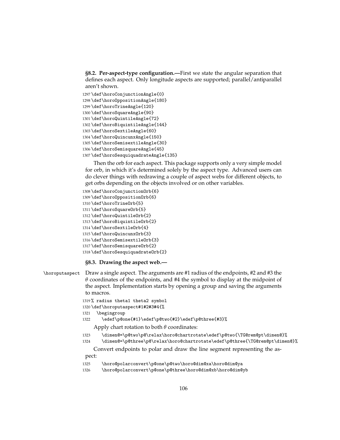**§8.2. Per-aspect-type configuration.—**First we state the angular separation that defines each aspect. Only longitude aspects are supported; parallel/antiparallel aren't shown.

```
1297 \def\horoConjunctionAngle{0}
1298 \def\horoOppositionAngle{180}
1299 \def\horoTrineAngle{120}
1300 \def\horoSquareAngle{90}
1301 \def\horoQuintileAngle{72}
1302 \def\horoBiquintileAngle{144}
1303 \def\horoSextileAngle{60}
1304 \def\horoQuincunxAngle{150}
1305 \def\horoSemisextileAngle{30}
1306 \def\horoSemisquareAngle{45}
1307 \def\horoSesquiquadrateAngle{135}
```
Then the orb for each aspect. This package supports only a very simple model for orb, in which it's determined solely by the aspect type. Advanced users can do clever things with redrawing a couple of aspect webs for different objects, to get orbs depending on the objects involved or on other variables.

```
1308 \def\horoConjunctionOrb{6}
1309 \def\horoOppositionOrb{6}
1310 \def\horoTrineOrb{5}
1311 \def\horoSquareOrb{5}
1312 \def\horoQuintileOrb{2}
1313 \def\horoBiquintileOrb{2}
1314 \def\horoSextileOrb{4}
1315 \def\horoQuincunxOrb{3}
1316 \def\horoSemisextileOrb{3}
1317 \def\horoSemisquareOrb{2}
1318 \def\horoSesquiquadrateOrb{2}
```
**§8.3. Drawing the aspect web.—**

```
\horoputaspect Draw a single aspect. The arguments are #1 radius of the endpoints, #2 and #3 the
                θ coordinates of the endpoints, and #4 the symbol to display at the midpoint of
                the aspect. Implementation starts by opening a group and saving the arguments
                to macros.
```

```
1319 % radius theta1 theta2 symbol
1320 \def\horoputaspect#1#2#3#4{%
1321 \begingroup
1322 \edef\p@one{#1}\edef\p@two{#2}\edef\p@three{#3}%
```
Apply chart rotation to both *θ* coordinates:

```
1323 \dimen@=\p@two\p@\relax\horo@chartrotate\edef\p@two{\TG@rem@pt\dimen@}%
```
\dimen@=\p@three\p@\relax\horo@chartrotate\edef\p@three{\TG@rem@pt\dimen@}%

Convert endpoints to polar and draw the line segment representing the aspect:

```
1325 \horo@polarconvert\p@one\p@two\horo@dim@xa\horo@dim@ya
```
\horo@polarconvert\p@one\p@three\horo@dim@xb\horo@dim@yb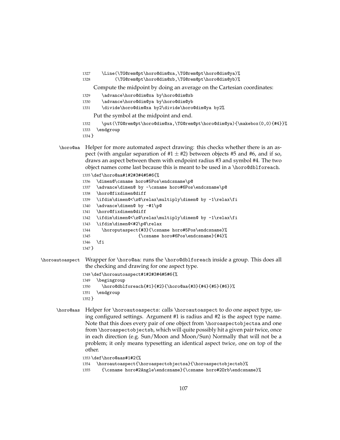```
1327 \Line(\TG@rem@pt\horo@dim@xa,\TG@rem@pt\horo@dim@ya)%
1328 (\TG@rem@pt\horo@dim@xb,\TG@rem@pt\horo@dim@yb)%
    Compute the midpoint by doing an average on the Cartesian coordinates:
1329 \advance\horo@dim@xa by\horo@dim@xb
1330 \advance\horo@dim@ya by\horo@dim@yb
1331 \divide\horo@dim@xa by2\divide\horo@dim@ya by2%
    Put the symbol at the midpoint and end.
1332 \put(\TG@rem@pt\horo@dim@xa,\TG@rem@pt\horo@dim@ya){\makebox(0,0){#4}}%
1333 \endgroup
1334 }
```
\horo@aa Helper for more automated aspect drawing: this checks whether there is an aspect (with angular separation of  $#1 \pm #2$ ) between objects #5 and #6, and if so, draws an aspect between them with endpoint radius #3 and symbol #4. The two object names come last because this is meant to be used in a \horo@dblforeach.

```
1335 \def\horo@aa#1#2#3#4#5#6{%
1336 \dimen@\csname horo#5Pos\endcsname\p@
1337 \advance\dimen@ by -\csname horo#6Pos\endcsname\p@
1338 \horo@fixdimen@diff
1339 \ifdim\dimen@<\z@\relax\multiply\dimen@ by -1\relax\fi
1340 \advance\dimen@ by -#1\p@
1341 \horo@fixdimen@diff
1342 \ifdim\dimen@<\z@\relax\multiply\dimen@ by -1\relax\fi
1343 \ifdim\dimen@<#2\p@\relax
1344 \horoputaspect{#3}{\csname horo#5Pos\endcsname}%
1345 {\csname horo#6Pos\endcsname}{#4}%
1346 \fi
1347 }
```
\horoautoaspect Wrapper for \horo@aa: runs the \horo@dblforeach inside a group. This does all the checking and drawing for one aspect type.

```
1348 \def\horoautoaspect#1#2#3#4#5#6{%
1349 \begingroup
1350 \horo@dblforeach{#1}{#2}{\horo@aa{#3}{#4}{#5}{#6}}%
1351 \endgroup
1352 }
```
\horo@aas Helper for \horoautoaspects: calls \horoautoaspect to do one aspect type, using configured settings. Argument #1 is radius and #2 is the aspect type name. Note that this does every pair of one object from \horoaspectobjectsa and one from \horoaspectobjectsb, which will quite possibly hit a given pair twice, once in each direction (e.g. Sun/Moon and Moon/Sun) Normally that will not be a problem; it only means typesetting an identical aspect twice, one on top of the other.

```
1353 \def\horo@aas#1#2{%
```

```
1354 \horoautoaspect{\horoaspectobjectsa}{\horoaspectobjectsb}%
```

```
1355 {\csname horo#2Angle\endcsname}{\csname horo#2Orb\endcsname}%
```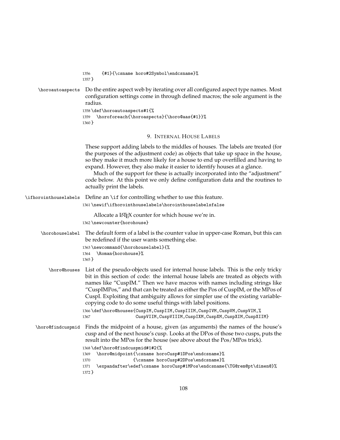|                       | {#1}{\csname horo#2Symbol\endcsname}%<br>1356<br>$1357$ }                                                                                                                                                                                                                                                                                                                                                                                                                                                                                                                                                                                          |
|-----------------------|----------------------------------------------------------------------------------------------------------------------------------------------------------------------------------------------------------------------------------------------------------------------------------------------------------------------------------------------------------------------------------------------------------------------------------------------------------------------------------------------------------------------------------------------------------------------------------------------------------------------------------------------------|
| \horoautoaspects      | Do the entire aspect web by iterating over all configured aspect type names. Most<br>configuration settings come in through defined macros; the sole argument is the<br>radius.<br>1358 \def \horoautoaspects#1{%<br>\horoforeach{\horoaspects}{\horo@aas{#1}}%<br>1359<br>$1360$ }                                                                                                                                                                                                                                                                                                                                                                |
|                       | 9. INTERNAL HOUSE LABELS                                                                                                                                                                                                                                                                                                                                                                                                                                                                                                                                                                                                                           |
|                       | These support adding labels to the middles of houses. The labels are treated (for<br>the purposes of the adjustment code) as objects that take up space in the house,<br>so they make it much more likely for a house to end up overfilled and having to<br>expand. However, they also make it easier to identify houses at a glance.<br>Much of the support for these is actually incorporated into the "adjustment"<br>code below. At this point we only define configuration data and the routines to<br>actually print the labels.                                                                                                             |
| \ifhorointhouselabels | Define an \if for controlling whether to use this feature.                                                                                                                                                                                                                                                                                                                                                                                                                                                                                                                                                                                         |
|                       | 1361\newif\ifhorointhouselabels\horointhouselabelsfalse                                                                                                                                                                                                                                                                                                                                                                                                                                                                                                                                                                                            |
|                       | Allocate a LAT <sub>E</sub> X counter for which house we're in.<br>1362 \newcounter {horohouse}                                                                                                                                                                                                                                                                                                                                                                                                                                                                                                                                                    |
| \horohouselabel       | The default form of a label is the counter value in upper-case Roman, but this can<br>be redefined if the user wants something else.<br>1363 \newcommand{\horohouselabel}{%<br>\Roman{horohouse}%<br>1364<br>$1365$ }                                                                                                                                                                                                                                                                                                                                                                                                                              |
| \horo@houses          | List of the pseudo-objects used for internal house labels. This is the only tricky<br>bit in this section of code: the internal house labels are treated as objects with<br>names like "CuspIM." Then we have macros with names including strings like<br>"CuspIMPos," and that can be treated as either the Pos of CuspIM, or the MPos of<br>CuspI. Exploiting that ambiguity allows for simpler use of the existing variable-<br>copying code to do some useful things with label positions.<br>1366 \def \horo@houses{CuspIM, CuspIIM, CuspIIIM, CuspIVM, CuspVM, CuspVIM,%<br>CuspVIIM, CuspVIIIM, CuspIXM, CuspXM, CuspXIM, CuspXIIM}<br>1367 |
| \horo@findcuspmid     | Finds the midpoint of a house, given (as arguments) the names of the house's<br>cusp and of the next house's cusp. Looks at the DPos of those two cusps, puts the<br>result into the MPos for the house (see above about the Pos/MPos trick).<br>1368 \def\horo@findcuspmid#1#2{%<br>\horo@midpoint{\csname horoCusp#1DPos\endcsname}%<br>1369<br>{\csname horoCusp#2DPos\endcsname}%<br>1370<br>\expandafter\edef\csname horoCusp#1MPos\endcsname{\TG@rem@pt\dimen@}%<br>1371<br>1372 }                                                                                                                                                           |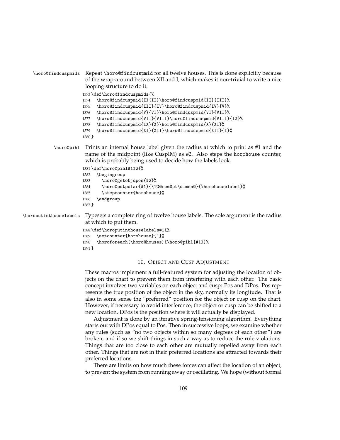```
\horo@findcuspmids Repeat \horo@findcuspmid for all twelve houses. This is done explicitly because
                        of the wrap-around between XII and I, which makes it non-trivial to write a nice
                        looping structure to do it.
                       1373 \def\horo@findcuspmids{%
                       1374 \horo@findcuspmid{I}{II}\horo@findcuspmid{II}{III}%
                       1375 \horo@findcuspmid{III}{IV}\horo@findcuspmid{IV}{V}%
                       1376 \horo@findcuspmid{V}{VI}\horo@findcuspmid{VI}{VII}%
                       1377 \horo@findcuspmid{VII}{VIII}\horo@findcuspmid{VIII}{IX}%
                       1378 \horo@findcuspmid{IX}{X}\horo@findcuspmid{X}{XI}%
                       1379 \horo@findcuspmid{XI}{XII}\horo@findcuspmid{XII}{I}%
                       1380 }
            \horo@pihl Prints an internal house label given the radius at which to print as #1 and the
                        name of the midpoint (like CuspIM) as #2. Also steps the horohouse counter,
                        which is probably being used to decide how the labels look.
                       1381 \def\horo@pihl#1#2{%
                       1382 \begingroup
                       1383 \horo@getobjdpos{#2}%
                       1384 \horo@putpolar{#1}{\TG@rem@pt\dimen@}{\horohouselabel}%
                       1385 \stepcounter{horohouse}%
                       1386 \endgroup
                       1387 }
\horoputinthouselabels Typesets a complete ring of twelve house labels. The sole argument is the radius
                        at which to put them.
                       1388 \def\horoputinthouselabels#1{%
```

```
1389 \setcounter{horohouse}{1}%
1390 \horoforeach{\horo@houses}{\horo@pihl{#1}}%
1391 }
```
#### 10. OBJECT AND CUSP ADJUSTMENT

These macros implement a full-featured system for adjusting the location of objects on the chart to prevent them from interfering with each other. The basic concept involves two variables on each object and cusp: Pos and DPos. Pos represents the true position of the object in the sky, normally its longitude. That is also in some sense the "preferred" position for the object or cusp on the chart. However, if necessary to avoid interference, the object or cusp can be shifted to a new location. DPos is the position where it will actually be displayed.

Adjustment is done by an iterative spring-tensioning algorithm. Everything starts out with DPos equal to Pos. Then in successive loops, we examine whether any rules (such as "no two objects within so many degrees of each other") are broken, and if so we shift things in such a way as to reduce the rule violations. Things that are too close to each other are mutually repelled away from each other. Things that are not in their preferred locations are attracted towards their preferred locations.

There are limits on how much these forces can affect the location of an object, to prevent the system from running away or oscillating. We hope (without formal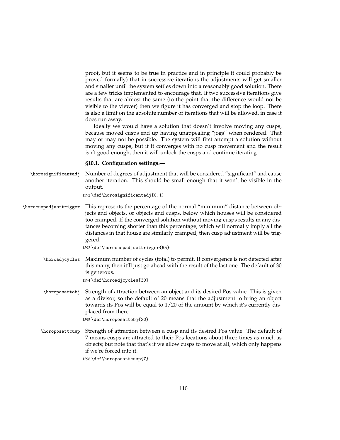proof, but it seems to be true in practice and in principle it could probably be proved formally) that in successive iterations the adjustments will get smaller and smaller until the system settles down into a reasonably good solution. There are a few tricks implemented to encourage that. If two successive iterations give results that are almost the same (to the point that the difference would not be visible to the viewer) then we figure it has converged and stop the loop. There is also a limit on the absolute number of iterations that will be allowed, in case it does run away.

Ideally we would have a solution that doesn't involve moving any cusps, because moved cusps end up having unappealing "jogs" when rendered. That may or may not be possible. The system will first attempt a solution without moving any cusps, but if it converges with no cusp movement and the result isn't good enough, then it will unlock the cusps and continue iterating.

#### **§10.1. Configuration settings.—**

\horosignificantadj Number of degrees of adjustment that will be considered "significant" and cause another iteration. This should be small enough that it won't be visible in the output.

1392 \def\horosignificantadj{0.1}

\horocuspadjusttrigger This represents the percentage of the normal "minimum" distance between objects and objects, or objects and cusps, below which houses will be considered too cramped. If the converged solution without moving cusps results in any distances becoming shorter than this percentage, which will normally imply all the distances in that house are similarly cramped, then cusp adjustment will be triggered.

1393 \def\horocuspadjusttrigger{65}

\horoadjcycles Maximum number of cycles (total) to permit. If convergence is not detected after this many, then it'll just go ahead with the result of the last one. The default of 30 is generous.

1394 \def\horoadjcycles{30}

\horoposattobj Strength of attraction between an object and its desired Pos value. This is given as a divisor, so the default of 20 means that the adjustment to bring an object towards its Pos will be equal to 1/20 of the amount by which it's currently displaced from there.

1395 \def\horoposattobj{20}

\horoposattcusp Strength of attraction between a cusp and its desired Pos value. The default of 7 means cusps are attracted to their Pos locations about three times as much as objects; but note that that's if we allow cusps to move at all, which only happens if we're forced into it.

1396 \def\horoposattcusp{7}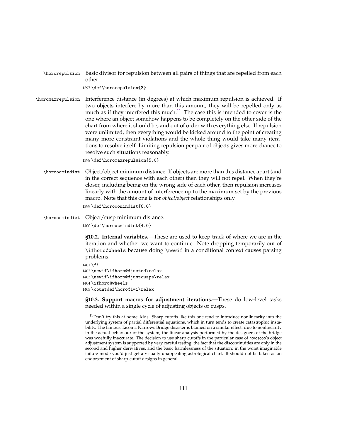\hororepulsion Basic divisor for repulsion between all pairs of things that are repelled from each other.

1397 \def\hororepulsion{3}

\horomaxrepulsion Interference distance (in degrees) at which maximum repulsion is achieved. If two objects interfere by more than this amount, they will be repelled only as much as if they interfered this much. $11$  The case this is intended to cover is the one where an object somehow happens to be completely on the other side of the chart from where it should be, and out of order with everything else. If repulsion were unlimited, then everything would be kicked around to the point of creating many more constraint violations and the whole thing would take many iterations to resolve itself. Limiting repulsion per pair of objects gives more chance to resolve such situations reasonably.

1398 \def\horomaxrepulsion{5.0}

\horooomindist Object/object minimum distance. If objects are more than this distance apart (and in the correct sequence with each other) then they will not repel. When they're closer, including being on the wrong side of each other, then repulsion increases linearly with the amount of interference up to the maximum set by the previous macro. Note that this one is for *object/object* relationships only. 1399 \def\horooomindist{6.0}

\horoocmindist Object/cusp minimum distance.

1400 \def\horoocmindist{4.0}

**§10.2. Internal variables.—**These are used to keep track of where we are in the iteration and whether we want to continue. Note dropping temporarily out of \ifhoro@wheels because doing \newif in a conditional context causes parsing problems.

1401 \fi \newif\ifhoro@djusted\relax \newif\ifhoro@djustcusps\relax \ifhoro@wheels \countdef\horo@i=1\relax

**§10.3. Support macros for adjustment iterations.—**These do low-level tasks needed within a single cycle of adjusting objects or cusps.

<span id="page-110-0"></span> $11$ Don't try this at home, kids. Sharp cutoffs like this one tend to introduce nonlinearity into the underlying system of partial differential equations, which in turn tends to create catastrophic instability. The famous Tacoma Narrows Bridge disaster is blamed on a similar effect: due to nonlinearity in the actual behaviour of the system, the linear analysis performed by the designers of the bridge was woefully inaccurate. The decision to use sharp cutoffs in the particular case of horoscop's object adjustment system is supported by very careful testing, the fact that the discontinuities are only in the second and higher derivatives, and the basic harmlessness of the situation: in the worst imaginable failure mode you'd just get a visually unappealing astrological chart. It should not be taken as an endorsement of sharp-cutoff designs in general.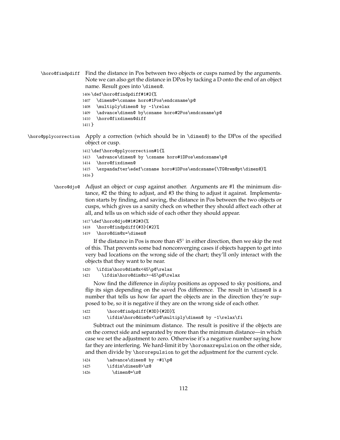```
\horo@findpdiff Find the distance in Pos between two objects or cusps named by the arguments.
                 Note we can also get the distance in DPos by tacking a D onto the end of an object
                 name. Result goes into \dimen@.
```
1406 \def\horo@findpdiff#1#2{%

1407 \dimen@=\csname horo#1Pos\endcsname\p@

1408 \multiply\dimen@ by -1\relax

```
1409 \advance\dimen@ by\csname horo#2Pos\endcsname\p@
```
1410 \horo@fixdimen@diff

```
1411 }
```
\horo@pplycorrection Apply a correction (which should be in \dimen@) to the DPos of the specified object or cusp.

```
1412 \def\horo@pplycorrection#1{%
1413 \advance\dimen@ by \csname horo#1DPos\endcsname\p@
1414 \horo@fixdimen@
1415 \expandafter\edef\csname horo#1DPos\endcsname{\TG@rem@pt\dimen@}%
1416 }
```
\horo@djo@ Adjust an object or cusp against another. Arguments are #1 the minimum distance, #2 the thing to adjust, and #3 the thing to adjust it against. Implementation starts by finding, and saving, the distance in Pos between the two objects or cusps, which gives us a sanity check on whether they should affect each other at all, and tells us on which side of each other they should appear.

```
1417 \def\horo@djo@#1#2#3{%
```

```
1418 \horo@findpdiff{#3}{#2}%
```
1419 \horo@dim@x=\dimen@

If the distance in Pos is more than  $45^{\circ}$  in either direction, then we skip the rest of this. That prevents some bad nonconverging cases if objects happen to get into very bad locations on the wrong side of the chart; they'll only interact with the objects that they want to be near.

```
1420 \ifdim\horo@dim@x<45\p@\relax
```

```
1421 \ifdim\horo@dim@x>-45\p@\relax
```
Now find the difference in *display* positions as opposed to sky positions, and flip its sign depending on the saved Pos difference. The result in \dimen@ is a number that tells us how far apart the objects are in the direction they're supposed to be, so it is negative if they are on the wrong side of each other.

```
1422 \horo@findpdiff{#3D}{#2D}%
1423 \ifdim\horo@dim@x<\z@\multiply\dimen@ by -1\relax\fi
```
Subtract out the minimum distance. The result is positive if the objects are on the correct side and separated by more than the minimum distance—in which case we set the adjustment to zero. Otherwise it's a negative number saying how far they are interfering. We hard-limit it by \horomaxrepulsion on the other side, and then divide by \hororepulsion to get the adjustment for the current cycle.

```
1424 \advance\dimen@ by -#1\p@
1425 \ifdim\dimen@>\z@
1426 \dimen@=\z@
```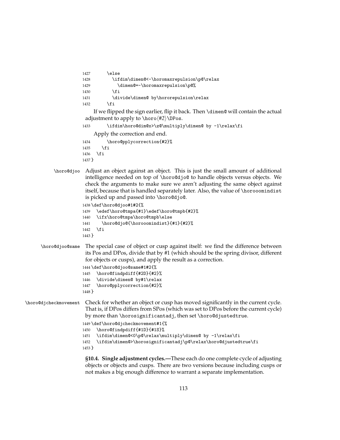```
1427 \else
1428 \ifdim\dimen@<-\horomaxrepulsion\p@\relax
1429 \dimen@ =-\horomaxrepulsion\p@%
1430 \quad \text{if}1431 \divide\dimen@ by\hororepulsion\relax
1432 \fi
```
If we flipped the sign earlier, flip it back. Then \dimen@ will contain the actual adjustment to apply to  $\hbox{horo}\#2\rangle\DP$ os.

```
1433 \ifdim\horo@dim@x>\z@\multiply\dimen@ by -1\relax\fi
```
Apply the correction and end.

1434 \horo@pplycorrection{#2}%  $1435$  \fi 1436 \fi 1437 }

\horo@djoo Adjust an object against an object. This is just the small amount of additional intelligence needed on top of \horo@djo@ to handle objects versus objects. We check the arguments to make sure we aren't adjusting the same object against itself, because that is handled separately later. Also, the value of \horooomindist is picked up and passed into \horo@djo@.

```
1438 \def\horo@djoo#1#2{%
```

```
1439 \edef\horo@tmpa{#1}\edef\horo@tmpb{#2}%
1440 \ifx\horo@tmpa\horo@tmpb\else
1441 \horo@djo@{\horooomindist}{#1}{#2}%
1442 \fi
1443 }
```
\horo@djoo@same The special case of object or cusp against itself: we find the difference between its Pos and DPos, divide that by #1 (which should be the spring divisor, different for objects or cusps), and apply the result as a correction.

```
1444 \def\horo@djoo@same#1#2{%
```

```
1445 \horo@findpdiff{#2D}{#2}%
1446 \divide\dimen@ by#1\relax
```
- 1447 \horo@pplycorrection{#2}%
- 1448 }

### \horo@djcheckmovement Check for whether an object or cusp has moved significantly in the current cycle. That is, if DPos differs from SPos (which was set to DPos before the current cycle) by more than \horosignificantadj, then set \horo@djustedtrue.

```
1449 \def\horo@djcheckmovement#1{%
```

```
1450 \horo@findpdiff{#1D}{#1S}%
```

```
1451 \ifdim\dimen@<0\p@\relax\multiply\dimen@ by -1\relax\fi
```

```
1452 \ifdim\dimen@>\horosignificantadj\p@\relax\horo@djustedtrue\fi
1453 }
```
**§10.4. Single adjustment cycles.—**These each do one complete cycle of adjusting objects or objects and cusps. There are two versions because including cusps or not makes a big enough difference to warrant a separate implementation.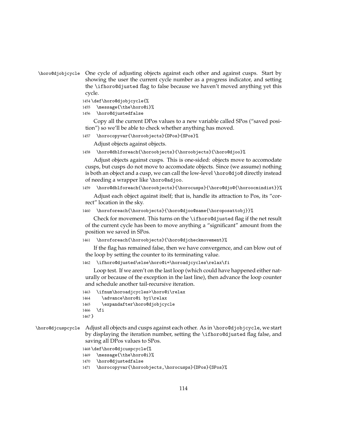```
\horo@djobjcycle One cycle of adjusting objects against each other and against cusps. Start by
                  showing the user the current cycle number as a progress indicator, and setting
                  the \ifhoro@djusted flag to false because we haven't moved anything yet this
                  cycle.
```

```
1454 \def\horo@djobjcycle{%
1455 \message{\the\horo@i}%
```

```
1456 \horo@djustedfalse
```
Copy all the current DPos values to a new variable called SPos ("saved position") so we'll be able to check whether anything has moved.

1457 \horocopyvar{\horoobjects}{DPos}{SPos}%

Adjust objects against objects.

1458 \horo@dblforeach{\horoobjects}{\horoobjects}{\horo@djoo}%

Adjust objects against cusps. This is one-sided: objects move to accomodate cusps, but cusps do not move to accomodate objects. Since (we assume) nothing is both an object and a cusp, we can call the low-level \horo@djo@ directly instead of needing a wrapper like \horo@adjoo.

```
1459 \horo@dblforeach{\horoobjects}{\horocusps}{\horo@djo@{\horoocmindist}}%
```
Adjust each object against itself; that is, handle its attraction to Pos, its "correct" location in the sky.

```
1460 \horoforeach{\horoobjects}{\horo@djoo@same{\horoposattobj}}%
```
Check for movement. This turns on the \ifhoro@djusted flag if the net result of the current cycle has been to move anything a "significant" amount from the position we saved in SPos.

```
1461 \horoforeach{\horoobjects}{\horo@djcheckmovement}%
```
If the flag has remained false, then we have convergence, and can blow out of the loop by setting the counter to its terminating value.

```
1462 \ifhoro@djusted\else\horo@i=\horoadjcycles\relax\fi
```
Loop test. If we aren't on the last loop (which could have happened either naturally or because of the exception in the last line), then advance the loop counter and schedule another tail-recursive iteration.

```
1463 \ifnum\horoadjcycles>\horo@i\relax
1464 \advance\horo@i by1\relax
1465 \expandafter\horo@djobjcycle
1466 \fi
1467 }
```
\horo@djcuspcycle Adjust all objects and cusps against each other. As in \horo@djobjcycle, we start by displaying the iteration number, setting the \ifhoro@djusted flag false, and saving all DPos values to SPos.

```
1468 \def\horo@djcuspcycle{%
```
1469 \message{\the\horo@i}%

- 1470 \horo@djustedfalse
- 1471 \horocopyvar{\horoobjects,\horocusps}{DPos}{SPos}%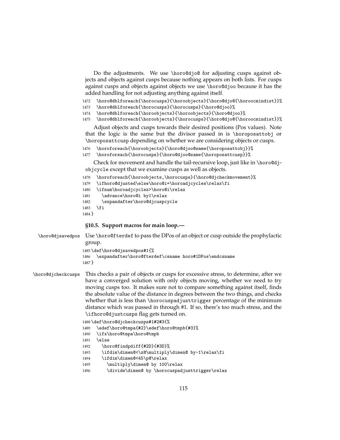|                    | Do the adjustments. We use \horo@djo@ for adjusting cusps against ob-<br>jects and objects against cusps because nothing appears on both lists. For cusps<br>against cusps and objects against objects we use \horo@djoo because it has the<br>added handling for not adjusting anything against itself.<br>1472<br>\horo@dblforeach{\horocusps}{\horoobjects}{\horo@djo@{\horoocmindist}}%                                                                                                                                                                                                                                                                                                                                                |
|--------------------|--------------------------------------------------------------------------------------------------------------------------------------------------------------------------------------------------------------------------------------------------------------------------------------------------------------------------------------------------------------------------------------------------------------------------------------------------------------------------------------------------------------------------------------------------------------------------------------------------------------------------------------------------------------------------------------------------------------------------------------------|
|                    | 1473<br>\horo@dblforeach{\horocusps}{\horocusps}{\horo@djoo}%<br>\horo@dblforeach{\horoobjects}{\horoobjects}{\horo@djoo}%<br>1474<br>\horo@dblforeach{\horoobjects}{\horocusps}{\horo@djo@{\horoocmindist}}%<br>1475                                                                                                                                                                                                                                                                                                                                                                                                                                                                                                                      |
|                    | Adjust objects and cusps towards their desired positions (Pos values). Note<br>that the logic is the same but the divisor passed in is \horoposattobj or<br>\horoposattcusp depending on whether we are considering objects or cusps.                                                                                                                                                                                                                                                                                                                                                                                                                                                                                                      |
|                    | \horoforeach{\horoobjects}{\horo@djoo@same{\horoposattobj}}%<br>1476<br>1477<br>\horoforeach{\horocusps}{\horo@djoo@same{\horoposattcusp}}%                                                                                                                                                                                                                                                                                                                                                                                                                                                                                                                                                                                                |
|                    | Check for movement and handle the tail-recursive loop, just like in \horo@dj-<br>objcycle except that we examine cusps as well as objects.                                                                                                                                                                                                                                                                                                                                                                                                                                                                                                                                                                                                 |
|                    | \horoforeach{\horoobjects,\horocusps}{\horo@djcheckmovement}%<br>1478<br>1479<br>\ifhoro@djusted\else\horo@i=\horoadjcycles\relax\fi<br>\ifnum\horoadjcycles>\horo@i\relax<br>1480<br>\advance\horo@i by1\relax<br>1481<br>\expandafter\horo@djcuspcycle<br>1482<br>1483<br>\fi<br>1484 }                                                                                                                                                                                                                                                                                                                                                                                                                                                  |
|                    | §10.5. Support macros for main loop.-                                                                                                                                                                                                                                                                                                                                                                                                                                                                                                                                                                                                                                                                                                      |
| \horo@djsavedpos   | Use \horo@fterdef to pass the DPos of an object or cusp outside the prophylactic<br>group.                                                                                                                                                                                                                                                                                                                                                                                                                                                                                                                                                                                                                                                 |
|                    | 1485\def\horo@djsavedpos#1{%<br>\expandafter\horo@fterdef\csname horo#1DPos\endcsname<br>1486<br>1487 }                                                                                                                                                                                                                                                                                                                                                                                                                                                                                                                                                                                                                                    |
| \horo@djcheckcusps | This checks a pair of objects or cusps for excessive stress, to determine, after we<br>have a converged solution with only objects moving, whether we need to try<br>moving cusps too. It makes sure not to compare something against itself, finds<br>the absolute value of the distance in degrees between the two things, and checks<br>whether that is less than \horocuspadjusttrigger percentage of the minimum<br>distance which was passed in through #1. If so, there's too much stress, and the<br>\ifhoro@djustcusps flag gets turned on.<br>1488 \def \horo@djcheckcusps#1#2#3{%<br>\edef\horo@tmpa{#2}\edef\horo@tmpb{#3}%<br>1489<br>\ifx\horo@tmpa\horo@tmpb<br>1490<br>\else<br>1491<br>\horo@findpdiff{#2D}{#3D}%<br>1492 |

```
1493 \ifdim\dimen@<\z@\multiply\dimen@ by-1\relax\fi
```
- 1494 \ifdim\dimen@<45\p@\relax
- 1495 \multiply\dimen@ by 100\relax
- 1496 \divide\dimen@ by \horocuspadjusttrigger\relax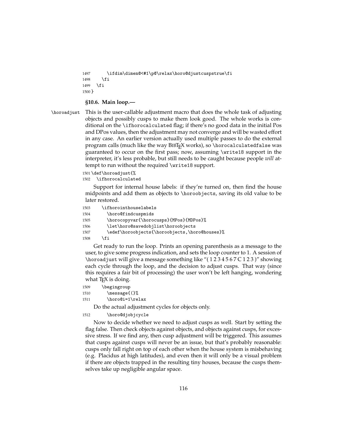```
1497 \ifdim\dimen@<#1\p@\relax\horo@djustcuspstrue\fi
1498 \fi
1499 \fi
1500 }
```
#### **§10.6. Main loop.—**

\horoadjust This is the user-callable adjustment macro that does the whole task of adjusting objects and possibly cusps to make them look good. The whole works is conditional on the \ifhorocalculated flag; if there's no good data in the initial Pos and DPos values, then the adjustment may not converge and will be wasted effort in any case. An earlier version actually used multiple passes to do the external program calls (much like the way BIBT<sub>E</sub>X works), so \horocalculatedfalse was guaranteed to occur on the first pass; now, assuming \write18 support in the interpreter, it's less probable, but still needs to be caught because people *will* attempt to run without the required \write18 support.

#### 1501 \def\horoadjust{%

1502 \ifhorocalculated

Support for internal house labels: if they're turned on, then find the house midpoints and add them as objects to \horoobjects, saving its old value to be later restored.

```
1503 \ifhorointhouselabels
1504 \horo@findcuspmids
1505 \horocopyvar{\horocusps}{MPos}{MDPos}%
1506 \let\horo@savedobjlist\horoobjects
1507 \edef\horoobjects{\horoobjects,\horo@houses}%
1508 \fi
```
Get ready to run the loop. Prints an opening parenthesis as a message to the user, to give some progress indication, and sets the loop counter to 1. A session of \horoadjust will give a message something like "( 1 2 3 4 5 6 7 C 1 2 3 )" showing each cycle through the loop, and the decision to adjust cusps. That way (since this requires a fair bit of processing) the user won't be left hanging, wondering what  $I_{F}X$  is doing.

```
1509 \begingroup
1510 \message{(}%
1511 \horo@i=1\relax
```
Do the actual adjustment cycles for objects only.

#### 1512 \horo@djobjcycle

Now to decide whether we need to adjust cusps as well. Start by setting the flag false. Then check objects against objects, and objects against cusps, for excessive stress. If we find any, then cusp adjustment will be triggered. This assumes that cusps against cusps will never be an issue, but that's probably reasonable: cusps only fall right on top of each other when the house system is misbehaving (e.g. Placidus at high latitudes), and even then it will only be a visual problem if there are objects trapped in the resulting tiny houses, because the cusps themselves take up negligible angular space.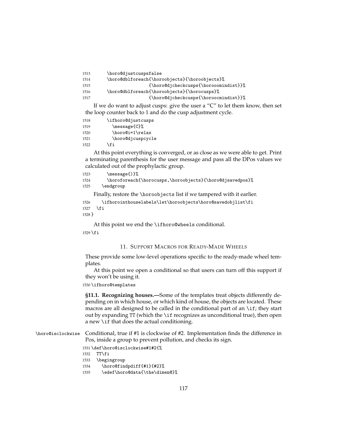| 1513 | \horo@djustcuspsfalse                         |
|------|-----------------------------------------------|
| 1514 | \horo@dblforeach{\horoobjects}{\horoobjects}% |
| 1515 | {\horo@djcheckcusps{\horooomindist}}%         |
| 1516 | \horo@dblforeach{\horoobjects}{\horocusps}%   |
| 1517 | {\horo@djcheckcusps{\horoocmindist}}%         |
|      |                                               |

If we do want to adjust cusps: give the user a "C" to let them know, then set the loop counter back to 1 and do the cusp adjustment cycle.

| 1518 | \ifhoro@djustcusps |
|------|--------------------|
| 1519 | \message{C}%       |
| 1520 | \horo@i=1\relax    |
| 1521 | \horo@djcuspcycle  |
| 1522 | \fi                |

At this point everything is converged, or as close as we were able to get. Print a terminating parenthesis for the user message and pass all the DPos values we calculated out of the prophylactic group.

```
1523 \message{)}%
```
1524 \horoforeach{\horocusps,\horoobjects}{\horo@djsavedpos}% 1525 \endgroup

Finally, restore the \horoobjects list if we tampered with it earlier.

```
1526 \ifhorointhouselabels\let\horoobjects\horo@savedobjlist\fi
1527 \fi
1528 }
```
At this point we end the \ifhoro@wheels conditional.

 $1529$  \fi

#### 11. SUPPORT MACROS FOR READY-MADE WHEELS

These provide some low-level operations specific to the ready-made wheel templates.

At this point we open a conditional so that users can turn off this support if they won't be using it.

1530 \ifhoro@templates

**§11.1. Recognizing houses.—**Some of the templates treat objects differently depending on in which house, or which kind of house, the objects are located. These macros are all designed to be called in the conditional part of an \if; they start out by expanding  $TT$  (which the \if recognizes as unconditional true), then open a new \if that does the actual conditioning.

\horo@isclockwise Conditional, true if #1 is clockwise of #2. Implementation finds the difference in Pos, inside a group to prevent pollution, and checks its sign.

1531 \def\horo@isclockwise#1#2{%

1532 TT\fi

1533 \begingroup

```
1534 \horo@findpdiff{#1}{#2}%
```

```
1535 \edef\horo@data{\the\dimen@}%
```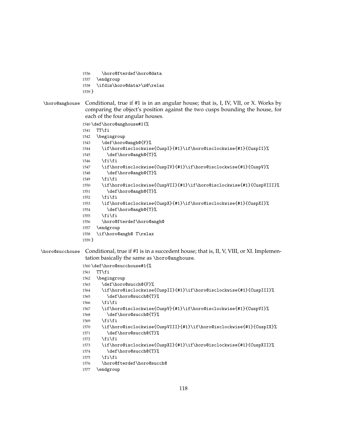```
1536 \horo@fterdef\horo@data
1537 \endgroup
1538 \ifdim\horo@data>\z@\relax
1539 }
```
\horo@anghouse Conditional, true if #1 is in an angular house; that is, I, IV, VII, or X. Works by comparing the object's position against the two cusps bounding the house, for each of the four angular houses.

1540 \def\horo@anghouse#1{%

```
1541 TT\fi
1542 \begingroup
1543 \def\horo@angh@{F}%
1544 \if\horo@isclockwise{CuspI}{#1}\if\horo@isclockwise{#1}{CuspII}%
1545 \def\horo@angh@{T}%
1546 \fi\fi
1547 \if\horo@isclockwise{CuspIV}{#1}\if\horo@isclockwise{#1}{CuspV}%
1548 \def\horo@angh@{T}%
1549 \if{if}1550 \if\horo@isclockwise{CuspVII}{#1}\if\horo@isclockwise{#1}{CuspVIII}%
1551 \def\horo@angh@{T}%
1552 \if{if}1553 \if\horo@isclockwise{CuspX}{#1}\if\horo@isclockwise{#1}{CuspXI}%
1554 \def\horo@angh@{T}%
1555 \if{if}1556 \horo@fterdef\horo@angh@
1557 \endgroup
1558 \if\horo@angh@ T\relax
1559 }
```
\horo@succhouse Conditional, true if #1 is in a succedent house; that is, II, V, VIII, or XI. Implementation basically the same as \horo@anghouse.

```
1560 \def\horo@succhouse#1{%
1561 TT\fi
1562 \begingroup
1563 \def\horo@succh@{F}%
1564 \if\horo@isclockwise{CuspII}{#1}\if\horo@isclockwise{#1}{CuspIII}%
1565 \def\horo@succh@{T}%
1566 \ifmmode \text{if} \ifmmode \text{if} \ifmmode \text{if} \ifmm{ii} \ifmmode \text{if} \ifmm{iii} \ifmm{ii} \ifmm{iii} \ifmm{iii} \ifmm{iii} \ifmm{iii} \ifmm{iv} \ifmm{iii} \ifmm{iv} \ifmm{iv} \ifmm{iv} \ifmm{iv} \ifmm{iv} \ifmm{iv} \ifmm{iv} \ifmm{iv} \ifmm{v} \ifmm{iv} \ifmm{v} \ifmm{v} \ifmm{v} \ifmm{v} \ifmm{v} \ifmm{v} \ifmm{v} \ifmm{v} \ifmm{v} \ifmm{v} \ifmm{v1567 \if\horo@isclockwise{CuspV}{#1}\if\horo@isclockwise{#1}{CuspVI}%
1568 \def\horo@succh@{T}%
1569 \ifmmode \text{if} \ifmmode \text{if} \ifmmode \text{if} \ifmm{ii} \ifmmode \text{if} \ifmm{iii} \ifmm{ii} \ifmm{iii} \ifmm{iii} \ifmm{iii} \ifmm{iii} \ifmm{iv} \ifmm{iii} \ifmm{iv} \ifmm{iv} \ifmm{iv} \ifmm{iv} \ifmm{iv} \ifmm{iv} \ifmm{iv} \ifmm{iv} \ifmm{iv} \ifmm{iv} \ifmm{v} \ifmm{iv} \ifmm{v} \ifmm{iv} \ifmm{v} \ifmm{iv} \ifmm{v} \ifmm{iv} \ifmm{v} \ifmm{v} \ifmm{v1570 \if\horo@isclockwise{CuspVIII}{#1}\if\horo@isclockwise{#1}{CuspIX}%
1571 \def\horo@succh@{T}%
1572 \if{if}1573 \if\horo@isclockwise{CuspXI}{#1}\if\horo@isclockwise{#1}{CuspXII}%
1574 \def\horo@succh@{T}%
1575 \fi\fi
1576 \horo@fterdef\horo@succh@
1577 \endgroup
```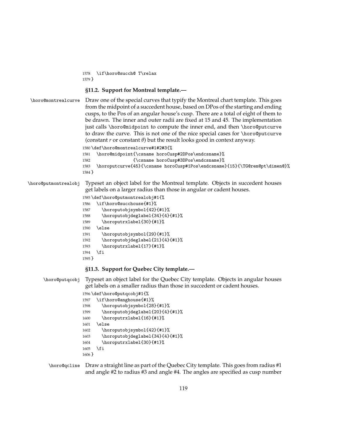\if\horo@succh@ T\relax }

#### **§11.2. Support for Montreal template.—**

\horo@montrealcurve Draw one of the special curves that typify the Montreal chart template. This goes from the midpoint of a succedent house, based on DPos of the starting and ending cusps, to the Pos of an angular house's cusp. There are a total of eight of them to be drawn. The inner and outer radii are fixed at 15 and 45. The implementation just calls \horo@midpoint to compute the inner end, and then \horo@putcurve to draw the curve. This is not one of the nice special cases for \horo@putcurve (constant *r* or constant *θ*) but the result looks good in context anyway.

```
1580 \def\horo@montrealcurve#1#2#3{%
1581 \horo@midpoint{\csname horoCusp#2DPos\endcsname}%
1582 {\csname horoCusp#3DPos\endcsname}%
1583 \horoputcurve{45}{\csname horoCusp#1Pos\endcsname}{15}{\TG@rem@pt\dimen@}%
1584 }
```
\horo@putmontrealobj Typeset an object label for the Montreal template. Objects in succedent houses get labels on a larger radius than those in angular or cadent houses.

```
1585 \def\horo@putmontrealobj#1{%
1586 \if\horo@succhouse{#1}%
1587 \horoputobjsymbol{42}{#1}%
1588 \horoputobjdeglabel{34}{4}{#1}%
1589 \horoputrxlabel{30}{#1}%
1590 \else
1591 \horoputobjsymbol{29}{#1}%
1592 \horoputobjdeglabel{21}{4}{#1}%
1593 \horoputrxlabel{17}{#1}%
1594 \fi
1595 }
```
#### **§11.3. Support for Quebec City template.—**

\horo@putqcobj Typeset an object label for the Quebec City template. Objects in angular houses get labels on a smaller radius than those in succedent or cadent houses.

```
1596 \def\horo@putqcobj#1{%
1597 \if\horo@anghouse{#1}%
1598 \horoputobjsymbol{28}{#1}%
1599 \horoputobjdeglabel{20}{4}{#1}%
1600 \horoputrxlabel{16}{#1}%
1601 \else
1602 \horoputobjsymbol{42}{#1}%
1603 \horoputobjdeglabel{34}{4}{#1}%
1604 \horoputrxlabel{30}{#1}%
1605 \fi
1606 }
```
\horo@qcline Draw a straight line as part of the Quebec City template. This goes from radius #1 and angle #2 to radius #3 and angle #4. The angles are specified as cusp number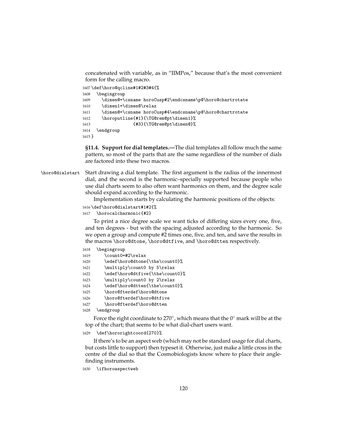concatenated with variable, as in "IIMPos," because that's the most convenient form for the calling macro.

```
1607 \def\horo@qcline#1#2#3#4{%
1608 \begingroup
1609 \dimen@=\csname horoCusp#2\endcsname\p@\horo@chartrotate
1610 \dimen1=\dimen@\relax
1611 \dimen@=\csname horoCusp#4\endcsname\p@\horo@chartrotate
1612 \horoputline{#1}{\TG@rem@pt\dimen1}%
1613 {#3}{\TG@rem@pt\dimen@}%
1614 \endgroup
1615 }
```
**§11.4. Support for dial templates.—**The dial templates all follow much the same pattern, so most of the parts that are the same regardless of the number of dials are factored into these two macros.

\horo@dialstart Start drawing a dial template. The first argument is the radius of the innermost dial, and the second is the harmonic–specially supported because people who use dial charts seem to also often want harmonics on them, and the degree scale should expand according to the harmonic.

Implementation starts by calculating the harmonic positions of the objects:

```
1616 \def\horo@dialstart#1#2{%
```

```
1617 \horocalcharmonic{#2}
```
To print a nice degree scale we want ticks of differing sizes every one, five, and ten degrees - but with the spacing adjusted according to the harmonic. So we open a group and compute #2 times one, five, and ten, and save the results in the macros \horo@dtone, \horo@dtfive, and \horo@dtten respectively.

```
1618 \begingroup
```

```
1619 \count0=#2\relax
1620 \edef\horo@dtone{\the\count0}%
1621 \multiply\count0 by 5\relax
1622 \edef\horo@dtfive{\the\count0}%
1623 \multiply\count0 by 2\relax
1624 \edef\horo@dtten{\the\count0}%
1625 \horo@fterdef\horo@dtone
```

```
1626 \horo@fterdef\horo@dtfive
```

```
1627 \horo@fterdef\horo@dtten
```

```
1628 \endgroup
```
Force the right coordinate to 270 $^{\circ}$ , which means that the 0 $^{\circ}$  mark will be at the top of the chart; that seems to be what dial-chart users want.

1629 \def\hororightcoord{270}%

If there's to be an aspect web (which may not be standard usage for dial charts, but costs little to support) then typeset it. Otherwise, just make a little cross in the centre of the dial so that the Cosmobiologists know where to place their anglefinding instruments.

1630 \ifhoroaspectweb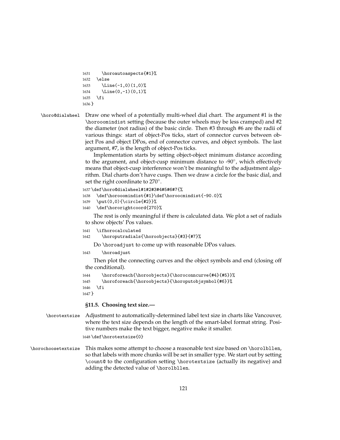```
1631 \horoautoaspects{#1}%
1632 \else
1633 \Line(-1,0)(1,0)%
1634 \Line(0,-1)(0,1)%
1635 \fi
1636 }
```

```
\horo@dialwheel Draw one wheel of a potentially multi-wheel dial chart. The argument #1 is the
                 \horooomindist setting (because the outer wheels may be less cramped) and #2
                 the diameter (not radius) of the basic circle. Then #3 through #6 are the radii of
                 various things: start of object-Pos ticks, start of connector curves between ob-
                 ject Pos and object DPos, end of connector curves, and object symbols. The last
                 argument, #7, is the length of object-Pos ticks.
```
Implementation starts by setting object-object minimum distance according to the argument, and object-cusp minimum distance to -90°, which effectively means that object-cusp interference won't be meaningful to the adjustment algorithm. Dial charts don't have cusps. Then we draw a circle for the basic dial, and set the right coordinate to 270°.

```
1637 \def\horo@dialwheel#1#2#3#4#5#6#7{%
```

```
1638 \def\horooomindist{#1}\def\horoocmindist{-90.0}%
```

```
1639 \put(0,0){\circle{#2}}%
```

```
1640 \def\hororightcoord{270}%
```
The rest is only meaningful if there is calculated data. We plot a set of radials to show objects' Pos values.

- 1641 \ifhorocalculated
- 1642 \horoputradials{\horoobjects}{#3}{#7}%

Do \horoadjust to come up with reasonable DPos values.

1643 \horoadjust

Then plot the connecting curves and the object symbols and end (closing off the conditional).

```
1644 \horoforeach{\horoobjects}{\horoconncurve{#4}{#5}}%
1645 \horoforeach{\horoobjects}{\horoputobjsymbol{#6}}%
1646 \fi
1647 }
```
**§11.5. Choosing text size.—**

\horotextsize Adjustment to automatically-determined label text size in charts like Vancouver, where the text size depends on the length of the smart-label format string. Positive numbers make the text bigger, negative make it smaller.

1648 \def\horotextsize{0}

\horochoosetextsize This makes some attempt to choose a reasonable text size based on \horolbllen, so that labels with more chunks will be set in smaller type. We start out by setting \count@ to the configuration setting \horotextsize (actually its negative) and adding the detected value of \horolbllen.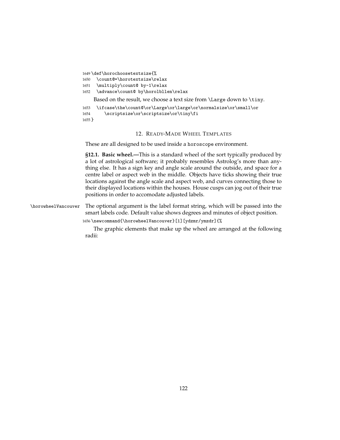```
1649 \def\horochoosetextsize{%
1650 \count@=\horotextsize\relax
1651 \multiply\count@ by-1\relax
1652 \advance\count@ by\horolbllen\relax
    Based on the result, we choose a text size from \Large down to \tiny.
1653 \ifcase\the\count@\or\Large\or\large\or\normalsize\or\small\or
1654 \scriptsize\or\scriptsize\or\tiny\fi
1655 }
```
#### 12. READY-MADE WHEEL TEMPLATES

These are all designed to be used inside a horoscope environment.

**§12.1. Basic wheel.—**This is a standard wheel of the sort typically produced by a lot of astrological software; it probably resembles Astrolog's more than anything else. It has a sign key and angle scale around the outside, and space for a centre label or aspect web in the middle. Objects have ticks showing their true locations against the angle scale and aspect web, and curves connecting those to their displayed locations within the houses. House cusps can jog out of their true positions in order to accomodate adjusted labels.

\horowheelVancouver The optional argument is the label format string, which will be passed into the smart labels code. Default value shows degrees and minutes of object position.

1656 \newcommand{\horowheelVancouver}[1][ydzmr/ymzdr]{%

The graphic elements that make up the wheel are arranged at the following radii: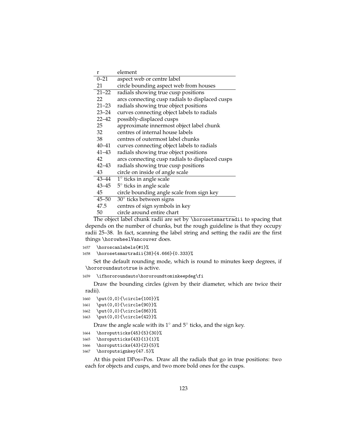| r         | element                                         |
|-----------|-------------------------------------------------|
| $0 - 21$  | aspect web or centre label                      |
| 21        | circle bounding aspect web from houses          |
| $21 - 22$ | radials showing true cusp positions             |
| 22        | arcs connecting cusp radials to displaced cusps |
| $21 - 23$ | radials showing true object positions           |
| 23–24     | curves connecting object labels to radials      |
| 22–42     | possibly-displaced cusps                        |
| 25        | approximate innermost object label chunk        |
| 32        | centres of internal house labels                |
| 38        | centres of outermost label chunks               |
| 40–41     | curves connecting object labels to radials      |
| 41–43     | radials showing true object positions           |
| 42        | arcs connecting cusp radials to displaced cusps |
| 42–43     | radials showing true cusp positions             |
| 43        | circle on inside of angle scale                 |
| 43–44     | $1^\circ$ ticks in angle scale                  |
| 43–45     | $5^\circ$ ticks in angle scale                  |
| 45        | circle bounding angle scale from sign key       |
| $45 - 50$ | 30° ticks between signs                         |
| 47.5      | centres of sign symbols in key                  |
| 50        | circle around entire chart                      |

The object label chunk radii are set by \horosetsmartradii to spacing that depends on the number of chunks, but the rough guideline is that they occupy radii 25–38. In fact, scanning the label string and setting the radii are the first things \horowheelVancouver does.

```
1657 \horoscanlabels{#1}%
```

```
1658 \horosetsmartradii{38}{4.666}{0.333}%
```
Set the default rounding mode, which is round to minutes keep degrees, if \hororoundautotrue is active.

```
1659 \ifhororoundauto\hororoundtominkeepdeg\fi
```
Draw the bounding circles (given by their diameter, which are twice their radii).

```
1660 \put(0,0){\circle{100}}%
```

```
1661 \put(0,0){\circle{90}}%
```

```
1662 \put(0,0){\circle{86}}%
```
1663 \put(0,0){\circle{42}}%

Draw the angle scale with its 1 $^{\circ}$  and  $5^{\circ}$  ticks, and the sign key.

```
1664 \horoputticks{45}{5}{30}%
```

```
1665 \horoputticks{43}{1}{1}%
```

```
1666 \horoputticks{43}{2}{5}%
```

```
1667 \horoputsignkey{47.5}%
```
At this point DPos=Pos. Draw all the radials that go in true positions: two each for objects and cusps, and two more bold ones for the cusps.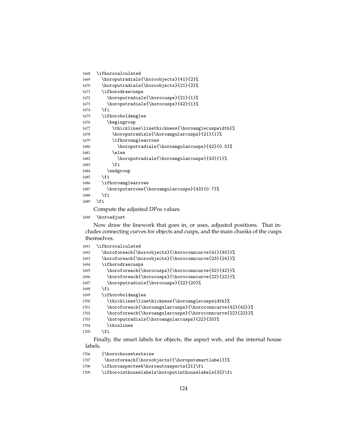```
1668 \ifhorocalculated
1669 \horoputradials{\horoobjects}{41}{2}%
1670 \horoputradials{\horoobjects}{21}{2}%
1671 \ifhorodrawcusps
1672 \horoputradials{\horocusps}{21}{1}%
1673 \horoputradials{\horocusps}{42}{1}%
1674 \fi
1675 \ifhoroboldangles
1676 \begingroup
1677 \thicklines\linethickness{\horoanglecuspwidth}%
1678 \horoputradials{\horoangularcusps}{21}{1}%
1679 \ifhoroanglearrows
1680 \horoputradials{\horoangularcusps}{42}{0.5}%
1681 \else
1682 \horoputradials{\horoangularcusps}{42}{1}%
1683 \fi
1684 \endgroup
1685 \fi
1686 \ifhoroanglearrows
1687 \horoputarrows{\horoangularcusps}{43}{0.7}%
1688 \fi
1689 \fi
```
Compute the adjusted DPos values.

1690 \horoadjust

Now draw the linework that goes in, or uses, adjusted positions. That includes connecting curves for objects and cusps, and the main chunks of the cusps themselves.

```
1691 \ifhorocalculated
1692 \horoforeach{\horoobjects}{\horoconncurve{41}{40}}%
1693 \horoforeach{\horoobjects}{\horoconncurve{23}{24}}%
1694 \ifhorodrawcusps
1695 \horoforeach{\horocusps}{\horoconncurve{42}{42}}%
1696 \horoforeach{\horocusps}{\horoconncurve{22}{22}}%
1697 \horoputradials{\horocusps}{22}{20}%
1698 \fi
1699 \ifhoroboldangles
1700 \thicklines\linethickness{\horoanglecuspwidth}%
1701 \horoforeach{\horoangularcusps}{\horoconncurve{42}{42}}%
1702 \horoforeach{\horoangularcusps}{\horoconncurve{22}{22}}%
1703 \horoputradials{\horoangularcusps}{22}{20}%
1704 \thinlines
1705 \fi
```
Finally, the smart labels for objects, the aspect web, and the internal house labels.

```
1706 {\horochoosetextsize
1707 \horoforeach{\horoobjects}{\horoputsmartlabel}}%
1708 \ifhoroaspectweb\horoautoaspects{21}\fi
1709 \ifhorointhouselabels\horoputinthouselabels{32}\fi
```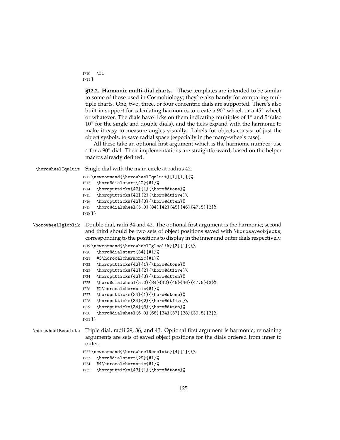1710 \fi 1711 }

> **§12.2. Harmonic multi-dial charts.—**These templates are intended to be similar to some of those used in Cosmobiology; they're also handy for comparing multiple charts. One, two, three, or four concentric dials are supported. There's also built-in support for calculating harmonics to create a  $90^\circ$  wheel, or a  $45^\circ$  wheel, or whatever. The dials have ticks on them indicating multiples of 1 $^{\circ}$  and 5 $^{\circ}$  (also 10◦ for the single and double dials), and the ticks expand with the harmonic to make it easy to measure angles visually. Labels for objects consist of just the object sysbols, to save radial space (especially in the many-wheels case).

> All these take an optional first argument which is the harmonic number; use 4 for a 90◦ dial. Their implementations are straightforward, based on the helper macros already defined.

\horowheelIqaluit Single dial with the main circle at radius 42.

```
1712 \newcommand{\horowheelIqaluit}[1][1]{{%
1713 \horo@dialstart{42}{#1}%
1714 \horoputticks{42}{1}{\horo@dtone}%
1715 \horoputticks{42}{2}{\horo@dtfive}%
1716 \horoputticks{42}{3}{\horo@dtten}%
1717 \horo@dialwheel{5.0}{84}{42}{45}{46}{47.5}{3}%
1718 }}
```
### \horowheelIgloolik Double dial, radii 34 and 42. The optional first argument is the harmonic; second and third should be two sets of object positions saved with \horosaveobjects, corresponding to the positions to display in the inner and outer dials respectively.

```
1719 \newcommand{\horowheelIgloolik}[3][1]{{%
1720 \horo@dialstart{34}{#1}%
1721 #3\horocalcharmonic{#1}%
1722 \horoputticks{42}{1}{\horo@dtone}%
1723 \horoputticks{42}{2}{\horo@dtfive}%
1724 \horoputticks{42}{3}{\horo@dtten}%
1725 \horo@dialwheel{5.0}{84}{42}{45}{46}{47.5}{3}%
1726 #2\horocalcharmonic{#1}%
1727 \horoputticks{34}{1}{\horo@dtone}%
1728 \horoputticks{34}{2}{\horo@dtfive}%
1729 \horoputticks{34}{3}{\horo@dtten}%
1730 \horo@dialwheel{6.0}{68}{34}{37}{38}{39.5}{3}%
1731 }}
```
\horowheelResolute Triple dial, radii 29, 36, and 43. Optional first argument is harmonic; remaining arguments are sets of saved object positions for the dials ordered from inner to outer.

```
1732 \newcommand{\horowheelResolute}[4][1]{{%
```

```
1733 \horo@dialstart{29}{#1}%
```

```
1734 #4\horocalcharmonic{#1}%
```

```
1735 \horoputticks{43}{1}{\horo@dtone}%
```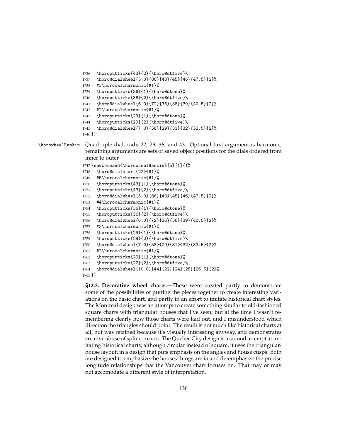```
1736 \horoputticks{43}{2}{\horo@dtfive}%
```
- \horo@dialwheel{5.0}{86}{43}{45}{46}{47.5}{2}%
- #3\horocalcharmonic{#1}%
- \horoputticks{36}{1}{\horo@dtone}%
- \horoputticks{36}{2}{\horo@dtfive}%
- \horo@dialwheel{6.0}{72}{36}{38}{39}{40.5}{2}%
- #2\horocalcharmonic{#1}%
- \horoputticks{29}{1}{\horo@dtone}%
- \horoputticks{29}{2}{\horo@dtfive}%

```
1745 \horo@dialwheel{7.0}{58}{29}{31}{32}{33.5}{2}%
```

```
1746 }}
```
\horowheelRankin Quadruple dial, radii 22, 29, 36, and 43. Optional first argument is harmonic; remaining arguments are sets of saved object positions for the dials ordered from inner to outer.

```
1747 \newcommand{\horowheelRankin}[5][1]{{%
```
- \horo@dialstart{22}{#1}%
- #5\horocalcharmonic{#1}%
- \horoputticks{43}{1}{\horo@dtone}%
- \horoputticks{43}{2}{\horo@dtfive}%
- \horo@dialwheel{5.0}{86}{43}{45}{46}{47.5}{2}%
- #4\horocalcharmonic{#1}%
- \horoputticks{36}{1}{\horo@dtone}%
- \horoputticks{36}{2}{\horo@dtfive}%
- \horo@dialwheel{6.0}{72}{36}{38}{39}{40.5}{2}%
- #3\horocalcharmonic{#1}%
- \horoputticks{29}{1}{\horo@dtone}%
- \horoputticks{29}{2}{\horo@dtfive}%
- \horo@dialwheel{7.0}{58}{29}{31}{32}{33.5}{2}%
- #2\horocalcharmonic{#1}%
- \horoputticks{22}{1}{\horo@dtone}%
- \horoputticks{22}{2}{\horo@dtfive}%

```
1764 \horo@dialwheel{10.0}{44}{22}{24}{25}{26.5}{2}%
```

```
1765 }}
```
**§12.3. Decorative wheel charts.—**These were created partly to demonstrate some of the possibilities of putting the pieces together to create interesting variations on the basic chart, and partly in an effort to imitate historical chart styles. The Montreal design was an attempt to create something similar to old-fashioned square charts with triangular houses that I've seen; but at the time I wasn't remembering clearly how those charts were laid out, and I misunderstood which direction the triangles should point. The result is not much like historical charts at all, but was retained because it's visually interesting anyway, and demonstrates creative abuse of spline curves. The Quebec City design is a second attempt at imitating historical charts; although circular instead of square, it uses the triangularhouse layout, in a design that puts emphasis on the angles and house cusps. Both are designed to emphasize the houses things are in and de-emphasize the precise longitude relationships that the Vancouver chart focuses on. That may or may not accomodate a different style of interpretation.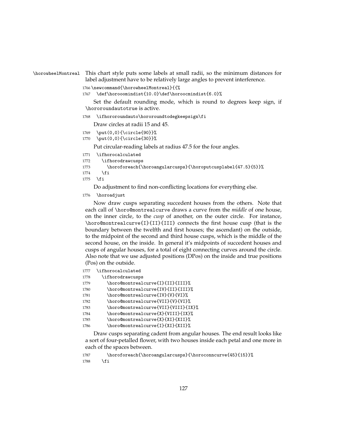#### \horowheelMontreal This chart style puts some labels at small radii, so the minimum distances for label adjustment have to be relatively large angles to prevent interference.

1766 \newcommand{\horowheelMontreal}{{%

1767 \def\horooomindist{10.0}\def\horoocmindist{6.0}%

Set the default rounding mode, which is round to degrees keep sign, if \hororoundautotrue is active.

1768 \ifhororoundauto\hororoundtodegkeepsign\fi

Draw circles at radii 15 and 45.

- 1769 \put(0,0){\circle{90}}%
- 1770 \put(0,0){\circle{30}}%

Put circular-reading labels at radius 47.5 for the four angles.

```
1771 \ifhorocalculated
1772 \ifhorodrawcusps
```

```
1773 \horoforeach{\horoangularcusps}{\horoputcusplabel{47.5}{5}}%
```
 $1774$  \fi

 $1775$  \fi

Do adjustment to find non-conflicting locations for everything else.

1776 \horoadjust

Now draw cusps separating succedent houses from the others. Note that each call of \horo@montrealcurve draws a curve from the *middle* of one house, on the inner circle, to the *cusp* of another, on the outer circle. For instance, \horo@montrealcurve{I}{II}{III} connects the first house cusp (that is the boundary between the twelfth and first houses; the ascendant) on the outside, to the midpoint of the second and third house cusps, which is the middle of the second house, on the inside. In general it's midpoints of succedent houses and cusps of angular houses, for a total of eight connecting curves around the circle. Also note that we use adjusted positions (DPos) on the inside and true positions (Pos) on the outside.

1777 \ifhorocalculated

| 1778 | \ifhorodrawcusps |
|------|------------------|
|------|------------------|

1779 \horo@montrealcurve{I}{II}{III}%

- 1780 \horo@montrealcurve{IV}{II}{III}%
- 1781 \horo@montrealcurve{IV}{V}{VI}%
- 1782 \horo@montrealcurve{VII}{V}{VI}%
- 1783 \horo@montrealcurve{VII}{VIII}{IX}%
- 1784 \horo@montrealcurve{X}{VIII}{IX}%
- 1785 \horo@montrealcurve{X}{XI}{XII}%
- 1786 \horo@montrealcurve{I}{XI}{XII}%

Draw cusps separating cadent from angular houses. The end result looks like a sort of four-petalled flower, with two houses inside each petal and one more in each of the spaces between.

```
1787 \horoforeach{\horoangularcusps}{\horoconncurve{45}{15}}%
1788 \fi
```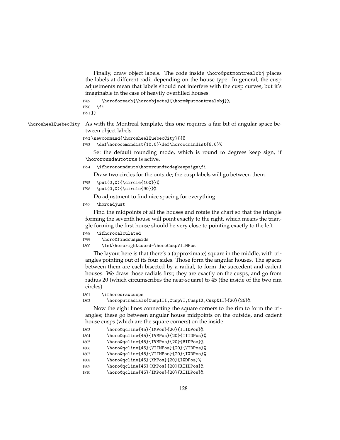Finally, draw object labels. The code inside \horo@putmontrealobj places the labels at different radii depending on the house type. In general, the cusp adjustments mean that labels should not interfere with the cusp curves, but it's imaginable in the case of heavily overfilled houses.

```
1789 \horoforeach{\horoobjects}{\horo@putmontrealobj}%
1790 \fi
1791 }}
```
\horowheelQuebecCity As with the Montreal template, this one requires a fair bit of angular space between object labels.

```
1792 \newcommand{\horowheelQuebecCity}{{%
```

```
1793 \def\horooomindist{10.0}\def\horoocmindist{6.0}%
```
Set the default rounding mode, which is round to degrees keep sign, if \hororoundautotrue is active.

1794 \ifhororoundauto\hororoundtodegkeepsign\fi

Draw two circles for the outside; the cusp labels will go between them.

```
1795 \put(0,0){\circle{100}}%
```
1796 \put(0,0){\circle{90}}%

Do adjustment to find nice spacing for everything.

1797 \horoadjust

Find the midpoints of all the houses and rotate the chart so that the triangle forming the seventh house will point exactly to the right, which means the triangle forming the first house should be very close to pointing exactly to the left.

```
1798 \ifhorocalculated
```

```
1799 \horo@findcuspmids
```

```
1800 \let\hororightcoord=\horoCuspVIIMPos
```
The layout here is that there's a (approximate) square in the middle, with triangles pointing out of its four sides. Those form the angular houses. The spaces between them are each bisected by a radial, to form the succedent and cadent houses. We draw those radials first; they are exactly on the cusps, and go from radius 20 (which circumscribes the near-square) to 45 (the inside of the two rim circles).

```
1801 \ifhorodrawcusps
```
1802 \horoputradials{CuspIII,CuspVI,CuspIX,CuspXII}{20}{25}%

Now the eight lines connecting the square corners to the rim to form the triangles; these go between angular house midpoints on the outside, and cadent house cusps (which are the square corners) on the inside.

| 1803 | \horo@qcline{45}{IMPos}{20}{IIIDPos}%  |
|------|----------------------------------------|
| 1804 | \horo@qcline{45}{IVMPos}{20}{IIIDPos}% |
| 1805 | \horo@qcline{45}{IVMPos}{20}{VIDPos}%  |
| 1806 | \horo@qcline{45}{VIIMPos}{20}{VIDPos}% |
| 1807 | \horo@qcline{45}{VIIMPos}{20}{IXDPos}% |
| 1808 | \horo@qcline{45}{XMPos}{20}{IXDPos}%   |
| 1809 | \horo@qcline{45}{XMPos}{20}{XIIDPos}%  |
| 1810 | \horo@qcline{45}{IMPos}{20}{XIIDPos}%  |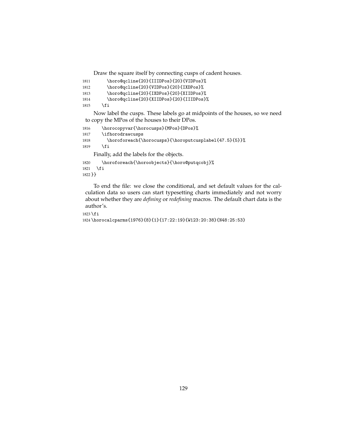Draw the square itself by connecting cusps of cadent houses.

```
1811 \horo@qcline{20}{IIIDPos}{20}{VIDPos}%
1812 \horo@qcline{20}{VIDPos}{20}{IXDPos}%
1813 \horo@qcline{20}{IXDPos}{20}{XIIDPos}%
1814 \horo@qcline{20}{XIIDPos}{20}{IIIDPos}%
1815 \fi
```
Now label the cusps. These labels go at midpoints of the houses, so we need to copy the MPos of the houses to their DPos.

```
1816 \horocopyvar{\horocusps}{MPos}{DPos}%
1817 \ifhorodrawcusps
1818 \horoforeach{\horocusps}{\horoputcusplabel{47.5}{5}}%
1819 \fi
    Finally, add the labels for the objects.
```
1820 \horoforeach{\horoobjects}{\horo@putqcobj}%

1821 \fi 1822 }}

To end the file: we close the conditional, and set default values for the calculation data so users can start typesetting charts immediately and not worry about whether they are *defining* or *redefining* macros. The default chart data is the author's.

```
1823 \fi
1824 \horocalcparms{1976}{8}{1}{17:22:19}{W123:20:38}{N48:25:53}
```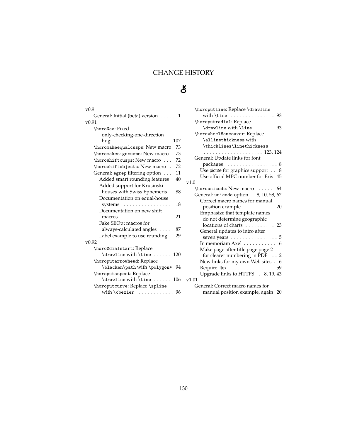# CHANGE HISTORY

# $\mathbf{R}$

| v <sub>0.9</sub>                                 |   |
|--------------------------------------------------|---|
| General: Initial (beta) version 1                |   |
| v0.91                                            |   |
| \horo@aa: Fixed                                  |   |
| only-checking-one-direction                      |   |
| 107                                              |   |
| \horomakeequalcusps: New macro<br>73             |   |
| 73<br>\horomakesigncusps: New macro              |   |
| 72<br>\horoshiftcusps: New macro                 |   |
| \horoshiftobjects: New macro .<br>72             |   |
| General: egrep filtering option<br>11            |   |
| Added smart rounding features<br>40              |   |
| Added support for Krusinski                      |   |
| houses with Swiss Ephemeris . 88                 |   |
| Documentation on equal-house                     |   |
| systems $\dots \dots \dots \dots \dots$<br>18    |   |
| Documentation on new shift                       |   |
| macros 21                                        |   |
| Fake SEOpt macros for                            |   |
| always-calculated angles<br>. . 87               |   |
| Label example to use rounding . 29               |   |
| $v$ 0.92                                         |   |
| \horo@dialstart: Replace                         |   |
| \drawline with \Line $\ldots$ . 120              |   |
| \horoputarrowhead: Replace                       |   |
| \blacken\path with \polygon* 94                  |   |
| \horoputaspect: Replace                          |   |
| $\d$ rawline with $\Line$<br>106                 | ٦ |
| \horoputcurve: Replace \spline                   |   |
| with $\text{cbezier} \dots \dots \dots \dots 96$ |   |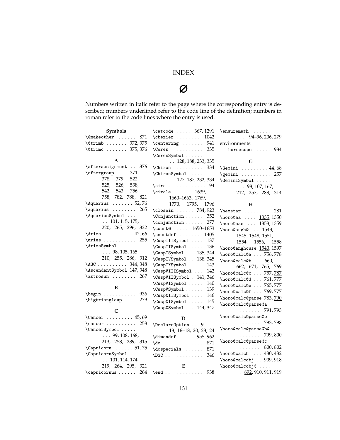# INDEX

# Ø

Numbers written in italic refer to the page where the corresponding entry is described; numbers underlined refer to the code line of the definition; numbers in roman refer to the code lines where the entry is used.

| Symbols                                                           | \catcode  367, 1291                           | $\text{t}$                     |
|-------------------------------------------------------------------|-----------------------------------------------|--------------------------------|
| $\{\mathbb{C} \text{makeother } \dots \dots \}$<br>871            | $\text{cbezier} \dots \dots \quad 1042$       | $\ldots$ 94-96, 206, 279       |
| $\text{Vert} \dots \dots \quad 372, 375$                          | $\centerdot \$ 941                            | environments:                  |
| $\text{Vctrinc}$ 375, 376                                         | $\text{Ceres}$ 335                            | horoscope $\ldots$ . $934$     |
|                                                                   | \CeresSymbol                                  |                                |
| A                                                                 | $\ldots$ 128, 188, 233, 335                   | G                              |
| \afterassignment  376                                             | $\text{Chiron} \ldots \ldots \quad 334$       | $\Gamma$ 44,68                 |
| \aftergroup  371,                                                 | $\verb \ChironSymbol $                        | $\gamma$ 257                   |
| 378, 379, 522,                                                    | $\ldots$ 127, 187, 232, 334                   | \GeminiSymbol                  |
| 525, 526,<br>538,                                                 | \circ  94                                     | $\ldots 98, 107, 167,$         |
| 542, 543,<br>756,                                                 | $\text{circle } \dots \dots \quad 1639,$      | 212, 257, 288, 314             |
| 758, 782, 788, 821                                                | 1660-1663, 1769,                              |                                |
| $\\quarius \ldots \ldots 52, 76$                                  | 1770, 1795, 1796                              | н                              |
| $\aquarius \ldots \ldots 265$                                     | $\text{closein} \dots 784,923$                | $\text{hexstar}$<br>281        |
| \AquariusSymbol                                                   | \Conjunction  352                             | \horo@aa  1335, 1350           |
| $\ldots$ 101, 115, 175,                                           | $\text{Conjunction} \dots 277$                | \horo@aas  1353, 1359          |
| 220, 265, 296, 322                                                | \count0 $1650-1653$                           | \horo@angh@  1543,             |
| $\lambda$ ies  42,66                                              | $\countdef$ 1405                              | 1545, 1548, 1551,              |
| \aries  255                                                       | \CuspIIISymbol  137                           | 1554, 1556, 1558               |
| \AriesSymbol                                                      | $\Upsilon$ uspIISymbol<br>136                 | \horo@anghouse 1540, 1597      |
| $\ldots 98, 105, 165,$                                            | \CuspISymbol  135, 344                        | \horo@calc@a $756,778$         |
| 210, 255, 286, 312<br>$\text{ASC}$ 344,348                        | \CuspIVSymbol  138, 345                       | $\hbox{horocalc@b} 660,$       |
| \AscendantSymbol 147,348                                          | \CuspIXSymbol<br>143                          | 662, 671, 765, 769             |
| $\text{astrosun} \ldots 267$                                      | \CuspVIIISymbol<br>142                        | \horo@calc@c  757,787          |
|                                                                   | \CuspVIISymbol . 141, 346                     | \horo@calc@d  761,777          |
| B                                                                 | \CuspVISymbol<br>140                          | \horo@calc@e  765,777          |
| $\begin{bmatrix} \text{begin} \dots & \text{array} \end{bmatrix}$ | \CuspVSymbol<br>139                           | \horo@calc@f  769,777          |
| \bigtriangleup  279                                               | \CuspXIISymbol<br>146<br>\CuspXISymbol<br>145 | \horo@calc@parse 783,790       |
|                                                                   | \CuspXSymbol  144, 347                        | \horo@calc@parse@a             |
| C                                                                 |                                               | . 791, 793                     |
| $\text{Cancer } \ldots \ldots \ldots 45,69$                       | D                                             | \horo@calc@parse@b             |
| $\text{Cancer} \dots \dots \quad 258$                             | \DeclareOption  9-                            | . 793, <u>798</u>              |
| \CancerSymbol                                                     | 13, 16-18, 20, 23, 24                         | \horo@calc@parse@b@            |
| $\ldots 99, 108, 168,$                                            | \dimendef  955-962                            | $\ldots \ldots \ldots$ 799,800 |
| 213, 258, 289, 315                                                | $\text{do}$<br>871                            | \horo@calc@parse@c             |
| $\Gamma \ldots 51, 75$                                            | 871<br>$\text{doespecials} \dots$             | . 800, <u>802</u>              |
| \CapricornSymbol                                                  | 346<br>$\triangle$ DSC                        | \horo@calch  430, 432          |
| $\ldots$ 101, 114, 174,                                           |                                               | \horo@calcobj  909,918         |
| 219, 264, 295, 321                                                | E                                             | \horo@calcobj@                 |
| \capricornus  264                                                 | $\end{array}$ 938                             | $\ldots$ 892, 910, 911, 919    |
|                                                                   |                                               |                                |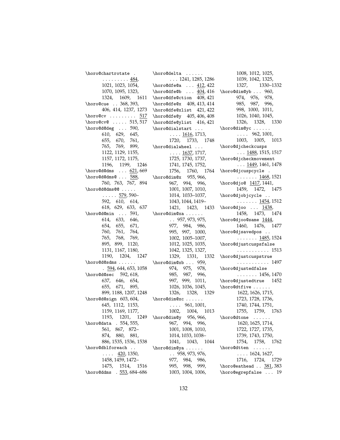\horo@chartrotate . . . . . . . . . <u>484</u>, 1021, 1023, 1054, 1070, 1095, 1323, 1324, 1609, 1611 \horo@cue . . 368, 393, 406, 414, 1237, 1273  $\hbox{horocov}$  . . . . . . . . . 517 \horo@cv@ ..... 515,517 \horo@d@deg . . . 590, 610, 629, 645, 655, 670, 761, 765, 769, 899, 1122, 1129, 1155, 1157, 1172, 1175, 1196, 1199, 1246  $\hbox{\tt horodedms} \ldots 621,669$  $\hbox{\tt horodedms0...}$  588, 760, 763, 767, 894 \horo@d@dms@@ .....  $\ldots$  . . 579, 590– 592, 610, 614, 618, 629, 633, 637 \horo@d@min . . . 591, 614, 633, 646, 654, 655, 671, 760, 761, 764, 765, 768, 769, 895, 899, 1120, 1131, 1167, 1180, 1190, 1204, 1247 \horo@d@sdms . . . . . .  $.594, 644, 653, 1058$ \horo@d@sec 592, 618, 637, 646, 654, 655, 671, 895, 899, 1188, 1207, 1248 \horo@d@sign 603, 604, 645, 1112, 1153, 1159, 1169, 1177, 1193, 1201, 1249 \horo@data . 554, 555, 561, 867, 872– 874, 880, 881, 886, 1535, 1536, 1538 \horo@dblforeach ..  $\ldots$  420, 1350, 1458, 1459, 1472– 1475, 1514, 1516 \horo@ddms . 553, 684–686 \horo@delta ......

. . . 1241, 1285, 1286 \horo@dfe@a ... 412,422  $\hbox{\tt horodfe@b} \ldots \underline{404}$ , 416 \horo@dfe@ction 408, 421 \horo@dfe@x 408, 413, 414 \horo@dfe@xlist 421, 422 \horo@dfe@y 405, 406, 408 \horo@dfe@ylist 416, 421 \horo@dialstart ...  $\ldots$  . 1616, 1713, 1720, 1733, 1748 \horo@dialwheel ...  $\ldots$  .  $\frac{1637}{1717}$ , 1725, 1730, 1737, 1741, 1745, 1752, 1756, 1760, 1764 \horo@dim@x 955, 966, 967, 994, 996, 1001, 1007, 1010, 1014, 1033–1037, 1043, 1044, 1419– 1421, 1423, 1433 \horo@dim@xa . . . . . . . . 957, 973, 975, 977, 984, 986, 995, 997, 1000, 1002, 1005–1007, 1012, 1025, 1035, 1042, 1325, 1327, 1329, 1331, 1332 \horo@dim@xb . . . 959, 974, 975, 978, 985, 987, 996, 997, 999, 1011, 1026, 1036, 1045, 1326, 1328, 1329 \horo@dim@xc . . . . . .  $\ldots$  . 961, 1001, 1002, 1004, 1013 \horo@dim@y 956, 966, 967, 994, 996, 1001, 1008, 1010, 1014, 1033, 1038– 1041, 1043, 1044 \horo@dim@ya . . . . . . . . 958, 973, 976, 977, 984, 986, 995, 998, 999, 1003, 1004, 1006,

1008, 1012, 1025, 1039, 1042, 1325, 1327, 1330–1332 \horo@dim@yb . . . 960, 974, 976, 978, 985, 987, 996, 998, 1000, 1011, 1026, 1040, 1045, 1326, 1328, 1330 \horo@dim@yc ......  $\ldots$  . 962, 1001, 1003, 1005, 1013 \horo@djcheckcusps  $\ldots$  1488, 1515, 1517 \horo@djcheckmovement  $\ldots$  1449, 1461, 1478 \horo@djcuspcycle . . . . . . . . 1468, 1521 \horo@djo@ 1417, 1441, 1459, 1472, 1475 \horo@djobjcycle . .  $\ldots \ldots \frac{1454}{1512}$  $\hbox{\tt horo@djoo} \ldots 1438,$ 1458, 1473, 1474 \horo@djoo@same 1444, 1460, 1476, 1477 \horo@djsavedpos . .  $\ldots \ldots \frac{1485}{1524}$ \horo@djustcuspsfalse . . . . . . . . . . . 1513 \horo@djustcuspstrue . . . . . . . . . . . 1497 \horo@djustedfalse  $\ldots \ldots 1456, 1470$ \horo@djustedtrue 1452 \horo@dtfive . . . . . . 1622, 1626, 1715, 1723, 1728, 1736, 1740, 1744, 1751, 1755, 1759, 1763 \horo@dtone ...... 1620, 1625, 1714, 1722, 1727, 1735, 1739, 1743, 1750, 1754, 1758, 1762 \horo@dtten . . . . . .  $\ldots$  . 1624, 1627, 1716, 1724, 1729 \horo@eathead . . 381, 383 \horo@egrepfalse . . . 19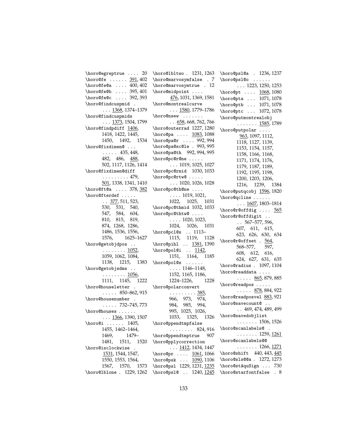```
\horo@egreptrue . . . . 20
\horo@fe ...... 391,402
\horo@fe@a . . . . 400, 402
\horo@fe@b .... 395,401
\horo@fe@c . . . . 392, 393
\horo@findcuspmid .
           . . . <u>1368</u>, 1374–1379
\horo@findcuspmids
          \ldots 1373, 1504, 1799
\horo@findpdiff 1406,
          1418, 1422, 1445,
          1450, 1492, 1534
\horo@fixdimen@ ...
          \ldots . 435, 448,
          482, 486, 488,
          502, 1117, 1126, 1414
\horo@fixdimen@diff
          . . . . . . . . . 479,
          501, 1338, 1341, 1410
\horo@ft@a . . . . 378, 382
\label{th:inco-ent} \begin{array}{ccc} \texttt{[t]} & \texttt{[t]} & \texttt{[t]} \\ \texttt{[t]} & \texttt{[t]} & \texttt{[t]} \\ \texttt{[t]} & \texttt{[t]} & \texttt{[t]} \\ \texttt{[t]} & \texttt{[t]} & \texttt{[t]} & \texttt{[t]} \\ \texttt{[t]} & \texttt{[t]} & \texttt{[t]} & \texttt{[t]} & \texttt{[t]} \\ \texttt{[t]} & \texttt{[t]} & \texttt{[t]} & \texttt{[t]} & \texttt{[t]} & \texttt{[t]} \\ \texttt{[t]} & \texttt\ldots 377, 511, 523,
          530, 531, 540,
          547, 584, 604,
          810, 815, 819,
          874, 1268, 1286,
          1486, 1536, 1556,
          1576, 1625–1627
\horo@getobjdpos . .
          . . . . . . . . 1052,
          1059, 1062, 1084,
          1138, 1215, 1383
\horo@getobjsdms . .
           . . . . . . . . <u>1056</u>,
          1111, 1145, 1222
\horo@houseletter .
          \ldots . 850–862, 915
\horo@housenumber .
          \ldots . 732–745, 773
\horo@houses . . . . . .
          \ldots 1366, 1390, 1507
\horo@i . . . . . . 1405,
          1455, 1462–1464,
          1469, 1479–
          1481, 1511, 1520
\horo@isclockwise .
           1531, 1544, 1547,
          1550, 1553, 1564,
          1567, 1570, 1573
\horo@lblone . 1229, 1262
```
\horo@lbltwo . 1231, 1263 \horo@marvosymfalse . 7 \horo@marvosymtrue . 12 \horo@midpoint . . . . 476, 1031, 1369, 1581 \horo@montrealcurve  $\ldots$  1580, 1779–1786 \horo@nsew .......  $\ldots$  658, 668, 762, 766 \horo@outerrad 1227, 1280 \horo@pa .... 1083, 1088 \horo@pa@r .... 992,994 \horo@pa@sc@le . 993, 995 \horo@pa@th 992, 994, 995 \horo@pc@r@ne ..... . . . 1019, 1025, 1027 \horo@pc@rmid 1030, 1033 \horo@pc@rtw@ . . . . . . . . 1020, 1026, 1028 \horo@pc@th@ne . . . . . . . . 1019, 1021, 1022, 1025, 1031 \horo@pc@thmid 1032, 1033 \horo@pc@thtw@ . . . .  $\ldots$  . 1020, 1023, 1024, 1026, 1031 \horo@pcl@s . . 1113– 1115, 1119, 1128 \horo@pihl .. <u>1381</u>, 1390 \horo@pol@i .. 1142, 1151, 1164, 1185 \horo@pol@s ......  $\ldots$  . 1146–1148, 1152, 1165, 1186, 1224–1226, 1228 \horo@polarconvert . . . . . . . . . <u>385</u> 966, 973, 974, 984, 985, 994, 995, 1025, 1026, 1033, 1325, 1326 \horo@ppendtmpfalse . . . . . . . . 824, 916 \horo@ppendtmptrue 907 \horo@pplycorrection  $\ldots$  1412, 1434, 1447 \horo@pr .... 1061, 1066 \horo@psk ... 1090, 1106 \horo@psl 1229, 1231, 1235 \horo@psl@ .. 1240, 1245

\horo@psl@a . 1236, 1237 \horo@psl@o . . . . . . . . . 1223, 1250, 1253 \horo@pt .... 1068, 1080 \horo@pta . . . 1071, 1078 \horo@ptb . . . 1071, 1078 \horo@ptc . . . 1072, 1078 \horo@putmontrealobj  $\ldots \ldots 1585, 1789$ \horo@putpolar . . . . 963, 1097, 1112, 1118, 1127, 1139, 1153, 1154, 1157, 1158, 1166, 1168, 1171, 1174, 1176, 1179, 1187, 1189, 1192, 1195, 1198, 1200, 1203, 1206, 1216, 1239, 1384 \horo@putqcobj 1596, 1820 \horo@qcline . . . . . .  $\ldots$  1607, 1803–1814  $\hbox{horo@r@offdig ...}$ \horo@r@offdigit . .  $\ldots 567 - 577,596$ 607, 611, 615, 623, 626, 630, 634 \horo@r@offset . 564, 568–577, 597, 608, 612, 616, 624, 627, 631, 635 \horo@radius . 1097, 1104 \horo@readdata . . . .  $\ldots$  . 865, 879, 885 \horo@readpos . . . . .  $\ldots$  . 878, 884, 922 \horo@readposvel 883, 921 \horo@savecount@ .. . . 469, 474, 489, 499 \horo@savedobjlist . . . . . . . 1506, 1526 \horo@scanlabels@ . . . . . . . . 1259, 1261 \horo@scanlabels@@ . . . . . . . 1266*,* <u>1271</u> \horo@shift 440, 443, 445 \horo@sls@@a . 1272, 1273 \horo@stAquSign . . . 730 \horo@starfontfalse . 8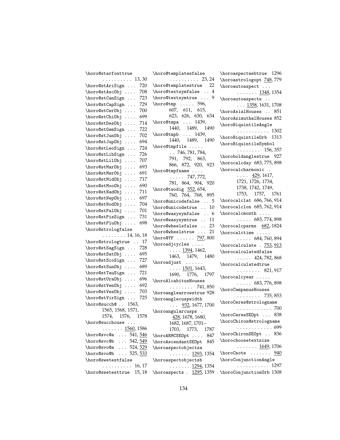| \horo@starfonttrue                                                                            |
|-----------------------------------------------------------------------------------------------|
| $\ldots \ldots \ldots 13,30$                                                                  |
| 720<br>\horo@stAriSign                                                                        |
| \horo@stAscObj<br>708                                                                         |
| \horo@stCanSign<br>723<br>$\ddot{\phantom{0}}$                                                |
| \horo@stCapSign<br>729                                                                        |
| \horo@stCerObj<br>700                                                                         |
| \horo@stChiObj<br>699<br>$\cdots$<br>$\ddot{\phantom{0}}$                                     |
| 714<br>\horo@stDesObj<br>$\sim 100$                                                           |
| \horo@stGemSign<br>722<br>$\sim$ .                                                            |
| \horo@stJun0bj<br>702<br>$\sim$ $\sim$ $\sim$                                                 |
| \horo@stJupObj<br>694<br>$\ddot{\phantom{0}}$<br>$\ddot{\phantom{0}}$<br>$\ddot{\phantom{0}}$ |
| \horo@stLeoSign<br>724<br>$\ddot{\phantom{a}}$                                                |
| \horo@stLibSign<br>726<br>$\ddot{\phantom{0}}$                                                |
| \horo@stLilObj<br>707<br>$\cdots$                                                             |
| \horo@stMarObj<br>693<br>$\cdots$                                                             |
| $\ddot{\phantom{0}}$<br>691<br>\horo@stMerObj                                                 |
| $\cdots$<br>717                                                                               |
| \horo@stMidObj<br>$\cdots$<br>690<br>\horo@stMooObj                                           |
| .<br>711<br>\horo@stNadObj                                                                    |
| И.<br>$\ddot{\phantom{0}}$<br>\horo@stNepObj<br>697                                           |
| $\cdots$                                                                                      |
| \horo@stNodObj<br>704<br>$\cdots$                                                             |
| \horo@stPalObj<br>701<br>.                                                                    |
| \horo@stPisSign<br>731                                                                        |
| 698<br>\horo@stPluObj<br>$\sim$ $\sim$ $\sim$ $\sim$                                          |
| \horo@strologfalse                                                                            |
| $\ldots \ldots \ldots 14, 16, 18$                                                             |
| \horo@strologtrue<br>17                                                                       |
| \horo@stSagSign<br>728                                                                        |
| \horo@stSat0bj<br>695<br>$\ddot{\phantom{0}}$                                                 |
| 727<br>\horo@stScoSign                                                                        |
| \horo@stSun0bj<br>689<br>$\sim$ $\sim$ $\sim$                                                 |
| 721<br>\horo@stTauSign<br>$\ddot{\phantom{0}}$                                                |
| $\hbox{\tt horo@stUr}abj$<br>696<br>$\Box$ .                                                  |
| \horo@stVenObj<br>692<br>$\sim$ $\sim$ $\sim$                                                 |
| \horo@stVes0bj<br>703<br>$\ldots$                                                             |
| \horo@stVirSign<br>725                                                                        |
| \horo@succh@ 1563,                                                                            |
| 1565, 1568, 1571,                                                                             |
| 1574, 1576,<br>1578                                                                           |
| \horo@succhouse                                                                               |
| . <u>1560</u> , 1586                                                                          |
| \horo@svc@a $\ldots$ 541, 546                                                                 |
| \horo@svc@b $542, \overline{549}$                                                             |
| \horo@svo@a $\ldots$ 524, 529                                                                 |
| \horo@svo@b  525, 533                                                                         |
| \horo@swetestfalse                                                                            |
| $\cdots \cdots \cdots 16, 17$                                                                 |
| \horo@swetesttrue 15,18                                                                       |

| \horo@templatesfalse                                        |
|-------------------------------------------------------------|
| . 23, 24                                                    |
| \horo@templatestrue 22                                      |
|                                                             |
| \horo@textsymfalse $\therefore$ 4                           |
| \horo@textsymtrue<br>-9                                     |
| $\hbox{horo@tmp} \ldots$ 596,                               |
| 607, 611, 615,                                              |
| 623, 626, 630, 634                                          |
| $\hbox{horo@tmpa  } 1439,$                                  |
|                                                             |
|                                                             |
|                                                             |
| $1440, 1489, 1490$<br>\horo@tmpb  1439,<br>1440, 1489, 1490 |
| \horo@tmpfile<br>746,781,784,                               |
|                                                             |
|                                                             |
| 791, 792, 863,<br>866, 872, 920, 923                        |
|                                                             |
| \horo@tmpfname                                              |
| $\ldots$ 747, 772,                                          |
| 781, 864, 904, 920                                          |
| \horo@twodig 552,654,                                       |
| 760, 764, 768, 895                                          |
| $\hbox{\tt horogunicodefalse}$ 5                            |
| .10                                                         |
| \horo@unicodetrue .                                         |
| $\hbox{\tt horo@wasysymfalse}$ 6                            |
| \horo@wasysymtrue  11                                       |
| \horo@wheelsfalse  23                                       |
|                                                             |
|                                                             |
| $\hbox{horo@wheelstrue} \ldots 21$                          |
|                                                             |
| \horo@YF  797,800<br>\horoadjcycles                         |
| $\ldots$ 1394, 1462,                                        |
| 1463, 1479, 1480                                            |
|                                                             |
| \horoadjust                                                 |
| $\ldots$ 1501, 1643,                                        |
| 1690, 1776, 1797                                            |
| \horoAlcabitusHouses                                        |
| $\ldots \ldots \ldots 741,850$                              |
| \horoanglearrowstrue 928                                    |
| \horoanglecuspwidth                                         |
|                                                             |
|                                                             |
| $\ldots$ 932, 1677, 1700<br>\horoangularcusps .             |
| 428, 1678, 1680,                                            |
| 1682, 1687, 1701-                                           |
| 1773, 1787<br>1703,                                         |
| \horoARMCSEOpt  847                                         |
| \horoAscendantSE0pt 845                                     |
|                                                             |
| \horoaspectobjectsa                                         |
| $\ldots \ldots 1293, 1354$                                  |
| \horoaspectobjectsb                                         |
| . <u>1294</u> , 1354<br>\horoaspects . $1295, 1359$         |

\horoaspectwebtrue 1296 \horoastrologopt 748,779 \horoautoaspect . . .  $\ldots \ldots$  1348, 1354 \horoautoaspects ..  $\ldots$  1358, 1631, 1708 \horoAxialHouses . . 851 \horoAzimuthalHouses 852 \horoBiquintileAngle . . . . . . . . . . . 1302 \horoBiquintileOrb 1313 \horoBiquintileSymbol . . . . . . . . 156, 357 \horoboldanglestrue 927 \horocalcday 683, 775, 898 \horocalcharmonic .  $\ldots$  429, 1617, 1721, 1726, 1734, 1738, 1742, 1749, 1753, 1757, 1761 \horocalclat 686, 766, 914 \horocalclon 685, 762, 914 \horocalcmonth . . . .  $\ldots$  . 683, 774, 898 \horocalcparms 682, 1824  $\hbox{\tt horocalctime} \dots$  $\ldots$  . 684, 760, 894 \horocalculate . 753, 913 \horocalculatedfalse  $\ldots$  . 424, 782, 868 \horocalculatedtrue . . . . . . . . 821, 917 \horocalcyear . . . . .  $\ldots$  . 683, 776, 898 \horoCampanusHouses . . . . . . . . 735, 853 \horoCeres@strologname . . . . . . . . . . . . 700 \horoCeresSEOpt ... 838 \horoChiron@strologname . . . . . . . . . . . . 699 \horoChironSEOpt . . 836 \horochoosetextsize  $\ldots \ldots \frac{1649}{1706}$  $\hbox{\tt horoCnote} \ldots \ldots \quad \frac{940}{1}$ \horoConjunctionAngle . . . . . . . . . . . 1297 \horoConjunctionOrb 1308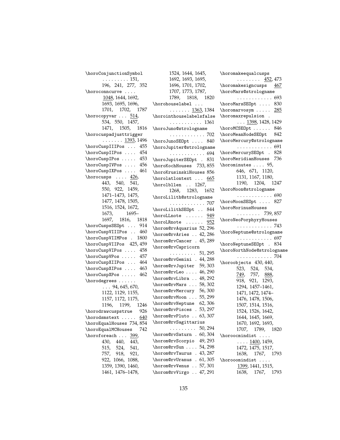| \horoConjunctionSymbol       | 1524, 1644, 1645,                       |
|------------------------------|-----------------------------------------|
| $\ldots \ldots \ldots 151,$  | 1692, 1693, 1695,                       |
| 196, 241, 277, 352           | 1696, 1701, 1702,                       |
| \horoconncurve               | 1707, 1773, 1787,                       |
| 1048, 1644, 1692,            | 1789, 1818, 18                          |
| 1693, 1695, 1696,            | $\hbox{\tt\char'1}$                     |
| 1701, 1702, 1787             | . <u>1363</u> , 13                      |
| $\hbox{horocopyvar}$ 514,    | \horointhouselabelsfa                   |
| 534, 550, 1457,              | . 13                                    |
| 1471, 1505, 1816             | \horoJuno@strologname                   |
| \horocuspadjusttrigger       | . 5                                     |
| . 1393, 1496                 | \horoJunoSEOpt  8                       |
| \horoCuspIIIPos  455         | \horoJupiter@strologn                   |
| \horoCuspIIPos  454          | . 6                                     |
| \horoCuspIPos  453           | \horoJupiterSE0pt . 8                   |
| \horoCuspIVPos  456          | \horoKochHouses 733,8                   |
| \horoCuspIXPos  461          | \horoKrusinskiHouses {                  |
| $\hbox{\rm\char'426}$ ,      | $\hbox{\tt\char'1}$ $\hbox{\tt\char'1}$ |
| $\overline{443}$ , 540, 541, | $\hbox{horollen} \dots 1267,$           |
| 550, 922, 1459,              | 1268, 1283, 16                          |
| 1471-1473, 1475,             | \horoLilith@strologna                   |
| 1477, 1478, 1505,            | . 5                                     |
| 1516, 1524, 1672,            |                                         |
| 1673, 1695-                  | \horoLilithSEOpt  8                     |
| 1697, 1816, 1818             | $\hbox{\tt \char'136}$                  |
| \horoCuspsSE0pt  914         | $\hbox{horoLRnote} \ldots \qquad$       |
| \horoCuspVIIIPos  460        | \horom@rvAquarius 52,2                  |
| \horoCuspVIIMPos . 1800      | \horom@rvAries  42,2                    |
| \horoCuspVIIPos 425,459      | \horom@rvCancer . 45,2                  |
| \horoCuspVIPos  458          | \horom@rvCapricorn                      |
| \horoCuspVPos  457           | . 51, 2                                 |
| \horoCuspXIIPos  464         | \horom@rvGemini . 44,2                  |
| \horoCuspXIPos  463          | \horom@rvJupiter 59,3                   |
| \horoCuspXPos  462           | \horom@rvLeo  46,2                      |
| \horodegrees                 | \horom@rvLibra  48,2                    |
| $\ldots$ 94, 645, 670,       | \horom@rvMars  58,3                     |
| 1122, 1129, 1155,            | \horom@rvMercury 56,                    |
| 1157, 1172, 1175,            | \horom@rvMoon  55,2                     |
| 1196, 1199, 1246             | \horom@rvNeptune 62,3                   |
| horodrawcuspstrue 926        | \horom@rvPisces . 53,2                  |
| \horodsmstext  640           | \horom@rvPluto 63,                      |
| \horoEqualHouses 734,854     | \horom@rvSagittarius                    |
| \horoEqualMCHouses 742       | 50, 2<br>.                              |
| \horoforeach<br>399,         | \horom@rvSaturn . 60,3                  |
| 430, 440, 443,               | \horom@rvScorpio 49,2                   |
| 515, 524, 541,               | \horom@rvSun  54,2                      |
| 757, 918, 921,               | \horom@rvTaurus . 43,2                  |
| 922, 1066, 1088,             | \horom@rvUranus . 61,3                  |
| 1359, 1390, 1460,            | \horom@rvVenus 57,3                     |
| 1461, 1476–1478,             | \horom@rvVirgo  47,2                    |
|                              |                                         |

818, 1820 1363, 1384 **belsfalse**  $\ldots$  1361  $\ldots$  . 702  $\ldots$  840  $:\negthinspace \texttt{rologname}$  $\ldots$  . 694  $\mathsf{pt}$  . 831 \horoKochHouses 733, 855  $\delta$ ouses  $856$  $\ldots$  665 83, 1652 \horoLilith@strologname  $\ldots$  . 707  $\texttt{t}$ . 844  $\ldots$  . 949  $\ldots$  952 us 52, 296  $\ldots$  42, 286  $.45, 289$  $. \t51, 295$  $.44, 288$  $\mathbf{r}$  59, 303  $\ldots 46, 290$  $\ldots\,48, 292$  $\ldots 58, 302$  $\mathbf{y} = 56, 300$  $\ldots 55, 299$  $\mathfrak{e}$  62, 306  $.53, 297$  $\ldots 63, 307$  $. \t50, 294$  $\,.\,60, 304$ \horom@rvScorpio 49, 293  $\ldots 54, 298$  $\ldots$  43, 287  $\,.\,61, 305$  $\ldots 57, 301$  $\ldots\ 47, 291$ \horomakeequalcusps  $\ldots \ldots \frac{452}{473}$ \horomakesigncusps 467 \horoMars@strologname . . . . . . . . . . . . 693 \horoMarsSEOpt .... 830 \horomarvosym ..... 285 \horomaxrepulsion .  $\ldots$  1398, 1428, 1429 \horoMCSEOpt ...... 846 \horoMeanNodeSEOpt 842 \horoMercury@strologname . . . . . . . . . . . . 691 \horoMercurySEOpt . 828 \horoMeridianHouses 736 \horominutes . . . . 95, 646, 671, 1120, 1131, 1167, 1180, 1190, 1204, 1247 \horoMoon@strologname . . . . . . . . . . . . 690 \horoMoonSEOpt .... 827 \horoMorinusHouses . . . . . . . . 739, 857 \horoNeoPorphyryHouses . . . . . . . . . . . . 743 \horoNeptune@strologname . . . . . . . . . . . . 697 \horoNeptuneSEOpt . 834 \horoNorthNode@strologname . . . . . . . . . . . . 704 \horoobjects 430, 440, 523, 524, 534, 749, 757, 888, 918, 921, 1293, 1294, 1457–1461, 1471, 1472, 1474– 1476, 1478, 1506, 1507, 1514, 1516, 1524, 1526, 1642, 1644, 1645, 1669, 1670, 1692, 1693, 1707, 1789, 1820 \horoocmindist ....  $\ldots$  . 1400, 1459, 1472, 1475, 1517, 1638, 1767, 1793 \horooomindist . . . . 1399, 1441, 1515, 1638, 1767, 1793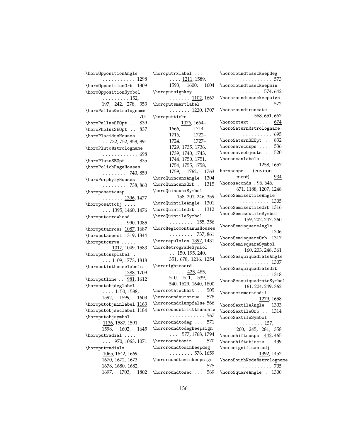| \horoOppositionAngle                                        |
|-------------------------------------------------------------|
| . 1298                                                      |
| \horo0pposition0rb 1309                                     |
| \horo0ppositionSymbol                                       |
|                                                             |
| $\cdots$ 152,<br>197, 242, 278, 353                         |
| \horoPallas@strologname                                     |
| . 701<br>.                                                  |
| \horoPallasSE0pt<br>839                                     |
| \horoPholusSE0pt<br>837<br>$\sim$ $\sim$                    |
| \horoPlacidusHouses                                         |
| .732, 752, 858, 891                                         |
| \horoPluto@strologname                                      |
| . 698                                                       |
| \horoPlutoSE0pt  835                                        |
| \horoPolichPageHouses                                       |
| $\ldots \ldots \ldots 740,859$                              |
| \horoPorphyryHouses                                         |
| $\ldots \ldots \ldots$ 738,860                              |
| $\hbox{\scriptsize\textsf{horopostt}cusp} \dots$            |
| $\cdots \cdots \frac{1396}{137}$                            |
| $\hbox{\tt horoposattobj} \dots$                            |
| $\ldots$ 1395, 1460, 1476                                   |
| \horoputarrowhead                                           |
| $\cdots \cdots \cdots \frac{990}{1085}$                     |
| \horoputarrows 1087, 1687                                   |
| \horoputaspect $\overline{\frac{1319}{1344}}$               |
| \horoputcurve                                               |
| $\ldots$ 1017, 1049, 1583                                   |
| \horoputcusplabel .                                         |
| $\ldots$ 1109, 1773, 1818                                   |
| \horoputinthouselabels                                      |
| . 1388, 1709                                                |
| \horoputline $\therefore$ 981, 1612                         |
| \horoputobjdeglabel                                         |
| $\ldots$ 1150, 1588,                                        |
| 1592, 1599, 1603                                            |
|                                                             |
| \horoputobjminlabel $1163$                                  |
| \horoputobjseclabel 1184                                    |
| \horoputobjsymbol                                           |
| 1136, 1587, 1591,                                           |
| 1598, 1602, 1645                                            |
| \horoputradial                                              |
| $\ldots$ 970, 1063, 1071                                    |
| \horoputradials<br>$\ddot{\phantom{0}}$                     |
| 1065, 1642, 1669,<br>1670, 1672, 1673,<br>1678, 1680, 1682, |
|                                                             |
| 1703,                                                       |
| 1697,<br>1802                                               |

| /noropucryraper<br>$\cdots$                     |     |
|-------------------------------------------------|-----|
| . 1211, 1589,                                   |     |
| 1593, 1600, 1604                                |     |
| \horoputsignkey                                 |     |
| $\cdots \cdots \frac{1102}{1667}$               |     |
| \horoputsmartlabel                              |     |
| . <u>1220</u> , 1707                            |     |
| \horoputticks                                   |     |
| $\ldots$ 1076, 1664–                            |     |
| 1666 <i>,</i><br>1716 <i>,</i><br>1714-         |     |
| 1722-                                           |     |
| $1727 -$<br>1724,                               |     |
| 1729, 1735, 1736,<br>1739, 1740, 1743,          |     |
|                                                 |     |
| 1744, 1750, 1751,                               |     |
| 1754, 1755, 1758,                               |     |
| 1759, 1762, 1763                                |     |
| \horoQuincunxAngle 1304                         |     |
| \horoQuincunx0rb . 1315                         |     |
| \horoQuincunxSymbol                             |     |
| $\ldots$ 158, 201, 246, 359                     |     |
| \horoQuintileAngle 1301                         |     |
| $\hbox{\tt horoQuintileOrb}$ . 1312             |     |
| \horoQuintileSymbol                             |     |
| $\cdots \cdots \cdots 155,356$                  |     |
| \horoRegiomontanusHouses                        |     |
| $\cdots \cdots 737,861$                         |     |
| \hororepulsion 1397, 1431                       |     |
| \horoRetrogradeSymbol                           |     |
| $\ldots$ 150, 195, 240,                         |     |
| 351, 678, 1216, 1254                            |     |
| \hororightcoord                                 |     |
| $\cdots$ $\frac{425}{485}$ ,                    |     |
| 510, 511, 539,                                  |     |
| 540, 1629, 1640, 1800                           |     |
|                                                 |     |
| \hororotatechart  505<br>\hororoundautotrue 578 |     |
| \hororoundclampfalse 566                        |     |
| \hororoundstricttruncate                        |     |
| $\cdots \cdots \cdots \cdots \cdot 567$         |     |
| \hororoundtodeg  571                            |     |
| \hororoundtodegkeepsign                         |     |
| 577, 1768, 1794<br>$\sim$ . $\sim$              |     |
| \hororoundtomin                                 | 570 |
| \hororoundtominkeepdeg                          |     |
| $\ldots \ldots 576, 1659$                       |     |
| \hororoundtominkeepsign                         |     |
| . 575                                           |     |
| \hororoundtosec                                 | 569 |
|                                                 |     |

 $\hbar$ oroputrylabel

\hororoundtoseckeepdeg . . . . . . . . . . . . 573 \hororoundtoseckeepmin  $\ldots \ldots 574,642$ \hororoundtoseckeepsign . . . . . . . . . . . . 572 \hororoundtruncate  $\ldots$  . 568, 651, 667  $\hbox{\tt \char'1}$  . . . . . . . . . 674 \horoSaturn@strologname . . . . . . . . . . . . 695 \horoSaturnSEOpt . . 832 \horosavecusps . . . . 536 \horosaveobjects . . 520 \horoscanlabels . . .  $\ldots \ldots 1258, 1657$ horoscope (environment) . . . . . . . 934 \horoseconds . 96, 646, 671, 1188, 1207, 1248 \horoSemisextileAngle . . . . . . . . . . . 1305 \horoSemisextileOrb 1316 \horoSemisextileSymbol  $\ldots$  159, 202, 247, 360 \horoSemisquareAngle . . . . . . . . . . . 1306 \horoSemisquareOrb 1317 \horoSemisquareSymbol  $\ldots$  160, 203, 248, 361 \horoSesquiquadrateAngle . . . . . . . . . . . 1307 \horoSesquiquadrateOrb . . . . . . . . . . . 1318 \horoSesquiquadrateSymbol  $\ldots$  161, 204, 249, 362 \horosetsmartradii  $\ldots \ldots 1279, 1658$ \horoSextileAngle 1303 \horoSextileOrb . . 1314 \horoSextileSymbol . . . . . . . . . 157, 200, 245, 281, 358 \horoshiftcusps 442, 465 \horoshiftobjects  $.439$ \horosignificantadj  $\ldots \ldots$  1392, 1452 \horoSouthNode@strologname . . . . . . . . . . . . 705 \horoSquareAngle . 1300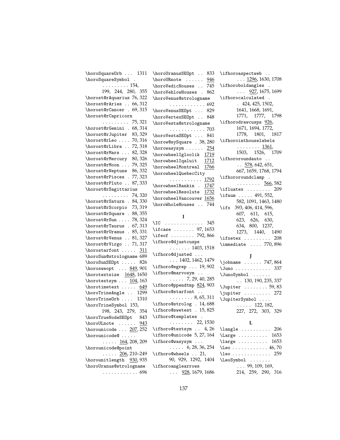| \horoSquareOrb  1311                         | \horoUranusSEOpt 833                           | \ifhoroaspectweb                                        |
|----------------------------------------------|------------------------------------------------|---------------------------------------------------------|
| \horoSquareSymbol.                           | \horoURnote<br>946                             | $\ldots$ 1296, 1630, 1708                               |
| $\ldots \ldots \ldots 154,$                  | \horoVedicHouses<br>745                        | \ifhoroboldangles .                                     |
| 199, 244, 280, 355                           | \horoVehlowHouses .<br>862                     | $\ldots$ 927, 1675, 1699                                |
| \horost@rAquarius 76,322                     | \horoVenus@strologname                         | \ifhorocalculated .                                     |
| \horost@rAries  66,312                       | . 692                                          | .424, 425, 1502,                                        |
| \horost@rCancer . 69,315                     | \horoVenusSEOpt  829                           | 1641, 1668, 1691,                                       |
| \horost@rCapricorn                           | \horoVertexSEOpt  848                          | 1771, 1777, 1798                                        |
| $\ldots \ldots \ldots$ 75, 321               | \horoVesta@strologname                         | \ifhorodrawcusps 926,                                   |
| \horost@rGemini . 68,314                     | . 703                                          | 1671, 1694, 1772,                                       |
| \horost@rJupiter 83,329                      | \horoVestaSEOpt  841                           | 1778, 1801, 1817                                        |
| $\hbox{horost@rLeo} \ldots$ 70,316           | \horow@sySquare . 38, 280                      | \ifhorointhouselabels                                   |
| \horost@rLibra  72,318                       | $\hbox{\tt\char'1}$ $\hbox{\tt\char'1}$<br>254 | $\ldots \ldots \ldots 1361,$                            |
| \horost@rMars  82,328                        | \horowheelIgloolik 1719                        | 1503, 1526, 1709                                        |
| \horost@rMercury 80,326                      |                                                | $\iint \text{horor}$ oundauto                           |
| \horost@rMoon  79,325                        | \horowheelIqaluit<br><u>1712</u>               | $\ldots$ 578, 642, 651,                                 |
| \horost@rNeptune 86,332                      | \horowheelMontreal 1766                        | 667, 1659, 1768, 1794                                   |
| \horost@rPisces . 77,323                     | \horowheelQuebecCity                           | \ifhororoundclamp .                                     |
| \horost@rPluto  87,333                       | . 1792                                         | $\ldots \ldots \frac{566}{582}$                         |
| \horost@rSagittarius                         | \horowheelRankin . 1747                        | $\left\{\text{ifluatex } \dots \dots \quad 209\right\}$ |
| $\ldots \ldots \ldots 74,320$                | \horowheelResolute<br>1732                     | \ifnum  491,552,                                        |
| \horost@rSaturn . 84,330                     | \horowheelVancouver 1656                       | 582, 1091, 1463, 1480                                   |
| \horost@rScorpio 73,319                      | \horoWholeHouses  744                          | \ifx 393, 406, 414, 596,                                |
| \horost@rSquare . 88,355                     |                                                | 607, 611, 615,                                          |
| \horost@rSun  78,324                         | $\bf{I}$                                       | 623, 626, 630,                                          |
| \horost@rTaurus . 67,313                     | $\setminus$ IC<br>345                          | 634, 800, 1237,                                         |
| \horost@rUranus . 85,331                     | $\iota$ if case  97, 1653                      | 1273, 1440, 1490                                        |
| \horost@rVenus  81,327                       | \ifeof  792,866                                | $\text{ifxetex} \dots \dots$<br>208                     |
| \horost@rVirgo  71,317                       | \ifhoro@djustcusps                             | $\{immediate \ldots 770,896\}$                          |
| $\hbox{\scriptsize\textsf{bort}} \ldots 311$ | $\ldots \ldots 1403, 1518$                     |                                                         |
| \horoSun@strologname 689                     | \ifhoro@djusted                                | J                                                       |
| \horoSunSE0pt  826                           | $\ldots$ 1402, 1462, 1479                      | \jobname  747,864                                       |
| \horosweopt  849,901                         | \ifhoro@egrep  19,902                          | \Juno 337                                               |
| \horotextsize 1648, 1650                     | $\iint horo@marvosym$                          | \JunoSymbol                                             |
| \horotextsym  104,163                        | $\ldots 7, 29, 40, 285$                        | $\ldots 130, 190, 235, 337$                             |
| \horotimetext $649$                          | \ifhoro@ppendtmp 824,903                       | $\Upsilon$ 59,83                                        |
| \horoTrineAngle  1299                        | \ifhoro@starfont                               | \jupiter  272                                           |
| \horoTrineOrb<br>1310                        | $\ldots \ldots 8, 65, 311$                     | \JupiterSymbol                                          |
| \horoTrineSymbol 153,                        | \ifhoro@strolog . 14,688                       | $\ldots$ 122, 182,                                      |
| 198, 243, 279, 354                           | \ifhoro@swetest . 15,825                       |                                                         |
| \horoTrueNodeSE0pt<br>843                    | \ifhoro@templates .                            | 227, 272, 303, 329                                      |
|                                              | $\cdots \cdots \cdots 22,1530$                 | L                                                       |
| $\hbox{\tt horoULnote} \ldots 943$           | \ifhoro@textsym  4,26                          | 206<br>$\langle$ langle                                 |
| \horounicode  207, 252                       | \ifhoro@unicode 5,27,164                       | 1653                                                    |
| \horounicode@                                |                                                | $\langle$ Large                                         |
| . 164, 208, 209                              | \ifhoro@wasysym                                | 1653<br>$\langle \text{large} \dots \dots \rangle$      |
| \horounicode@point                           | $\ldots$ 6, 28, 36, 254                        | $\text{Lee} \ldots \ldots \ldots 46,70$                 |
| $\ldots$ . 206, 210–249                      | \ifhoro@wheels  21,                            | $\lambda$ eo 259                                        |
| \horounitlength 930, 935                     | 90, 929, 1292, 1404                            | \LeoSymbol                                              |
| \horoUranus@strologname                      | \ifhoroanglearrows                             | $\ldots 99, 109, 169,$                                  |
| . 696                                        | $\ldots$ 928, 1679, 1686                       | 214, 259, 290, 316                                      |
|                                              |                                                |                                                         |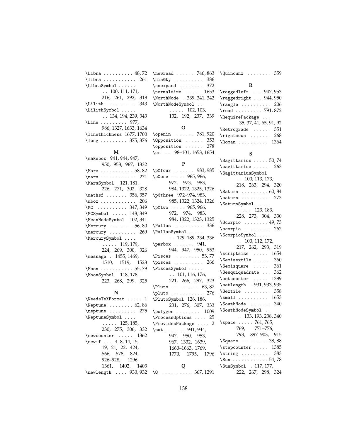| \Libra  48,72                                                                       |
|-------------------------------------------------------------------------------------|
| \libra  261                                                                         |
| \LibraSymbol                                                                        |
| $\ldots$ 100, 111, 171,                                                             |
| 216, 261, 292, 318                                                                  |
| \Lilith  343                                                                        |
| \LilithSymbol                                                                       |
| $\ldots$ 134, 194, 239, 343                                                         |
| \Line  977,                                                                         |
| 986, 1327, 1633, 1634                                                               |
| \linethickness 1677, 1700                                                           |
| $\lceil \log \ldots \ldots \ldots \rceil \rceil \rceil \rceil \rceil \rceil \rceil$ |

#### **M**

| \makebox 941, 944, 947,                |
|----------------------------------------|
| 950, 953, 967, 1332                    |
| \Mars  58,82                           |
| $\text{max}$ 271                       |
| \MarsSymbol 121,181,                   |
| 226, 271, 302, 328                     |
| $\mathcal{S}$ 556, 357                 |
| $\mbox{mbox} \ldots \ldots$ 206        |
| \MC 347, 349                           |
| \MCSymbol  148,349                     |
| \MeanNodeSymbol 102,341                |
| $\text{Mercury} \dots \dots 56, 80$    |
| $\text{mercury} \dots \dots \quad 269$ |
| \MercurySymbol                         |
| $\ldots$ . 119, 179,                   |
| 224, 269, 300, 326                     |
| \message . 1455, 1469,                 |
| 1510, 1519, 1523                       |
| \Moon  55 <i>,</i> 79                  |
| \MoonSymbol 118, 178,                  |
| 223, 268, 299, 325                     |

### **N**

| $\texttt{\textbackslash}$ NeedsTeXFormat $1$ |
|----------------------------------------------|
| $\N$ eptune $\ldots \ldots \ldots 62,86$     |
| $\n\begin{bmatrix}\n 275\n \end{bmatrix}$    |
| \NeptuneSymbol                               |
| $\ldots$ 125, 185,                           |
| 230, 275, 306, 332                           |
| \newcounter  1362                            |
| \newif $4-8, 14, 15,$                        |
| 19, 21, 22, 424,                             |
| 566, 578, 824,                               |
| 926-928, 1296,                               |
| 1361, 1402, 1403                             |
| \newlength  930,932                          |

| $\mu$ = $\mu$ = $\mu$ = $\mu$ = $\mu$ = $\mu$ = $\mu$ = $\mu$ = $\mu$ = $\mu$ = $\mu$ = $\mu$ = $\mu$ = $\mu$ = $\mu$ = $\mu$ = $\mu$ = $\mu$ = $\mu$ = $\mu$ = $\mu$ = $\mu$ = $\mu$ = $\mu$ = $\mu$ = $\mu$ = $\mu$ = $\mu$ = $\mu$ = $\mu$ = $\mu$ = $\mu$ |
|---------------------------------------------------------------------------------------------------------------------------------------------------------------------------------------------------------------------------------------------------------------|
| $\n\min$ <sup>0</sup> ty  386                                                                                                                                                                                                                                 |
| $\n\neq 372$                                                                                                                                                                                                                                                  |
| $\normal$ normalsize  1653                                                                                                                                                                                                                                    |
| \NorthNode . 339, 341, 342                                                                                                                                                                                                                                    |
| \NorthNodeSymbol                                                                                                                                                                                                                                              |
| $\ldots$ 102, 103,                                                                                                                                                                                                                                            |
| 132, 192, 237, 339                                                                                                                                                                                                                                            |
| O                                                                                                                                                                                                                                                             |
| \openin  781,920                                                                                                                                                                                                                                              |
| Opposition  353                                                                                                                                                                                                                                               |
|                                                                                                                                                                                                                                                               |

\opposition . . . . . . 278  $\sigma$  . . 98–101, 1653, 1654

### **P**

| \p@four  983,985                                    |  |
|-----------------------------------------------------|--|
| \p@one  965, 966,                                   |  |
| 972, 973, 983,                                      |  |
| 984, 1322, 1325, 1326                               |  |
| \p@three 972-974,983,                               |  |
| 985, 1322, 1324, 1326                               |  |
| \p@two  965,966,                                    |  |
| 972, 974, 983,                                      |  |
| 984, 1322, 1323, 1325                               |  |
| $\Delta$ $\ldots$ $\ldots$ 336                      |  |
| \PallasSymbol                                       |  |
| $\ldots$ 129, 189, 234, 336                         |  |
| $\partbox$ 941,                                     |  |
| 944, 947, 950, 953                                  |  |
| $\Psi$ : $\Omega$ 53,77                             |  |
| $\psi$ sces  266                                    |  |
| \PiscesSymbol                                       |  |
| $\ldots$ 101, 116, 176,                             |  |
| 221, 266, 297, 323                                  |  |
|                                                     |  |
| \pluto  276                                         |  |
| \PlutoSymbol 126, 186,                              |  |
| 231, 276, 307, 333                                  |  |
| $\pmb{\text{polygon}} \dots \dots \dots \quad 1009$ |  |
| \ProcessOptions  25                                 |  |
| \ProvidesPackage  2                                 |  |
| \put 941, 944,                                      |  |
| 947, 950, 953,                                      |  |
| 967, 1332, 1639,                                    |  |
| 1660-1663, 1769,                                    |  |
| 1770, 1795, 1796                                    |  |
| Q                                                   |  |
| $\sqrt{Q}$ 367, 1291                                |  |
|                                                     |  |

\newread . . . . . . 746, 863 \Quincunx . . . . . . . . 359

#### **R**

| $\ldots\ 947,953$<br>\raggedleft              |
|-----------------------------------------------|
| \raggedright  944,950                         |
| $\text{range} \dots \dots \dots 206$          |
| $\text{read} \dots \dots \dots \quad 791,872$ |
| \RequirePackage                               |
| 35, 37, 41, 65, 91, 92                        |
| $\lambda$ 351                                 |
| $\rightarrow \ldots$ 268                      |
| \Roman 1364                                   |

## **S**

| $\S$ agittarius  50,74                                     |
|------------------------------------------------------------|
| $\simeq$ \sagittarius  263                                 |
| \SagittariusSymbol                                         |
| $\ldots 100, 113, 173,$                                    |
| 218, 263, 294, 320                                         |
| $\text{Saturn} \ldots \ldots \ldots 60,84$                 |
| $\s$                                                       |
| \SaturnSymbol                                              |
| $\cdots$ 123, 183,                                         |
| 228, 273, 304, 330                                         |
| \Scorpio  49,73                                            |
| $\simeq 262$                                               |
| \ScorpioSymbol                                             |
| $\ldots$ 100, 112, 172,                                    |
| 217, 262, 293, 319                                         |
| $\scriptstyle\setminus$ scriptsize  1654                   |
| $\S$ emisextile  360                                       |
| $\S$ emisquare  361                                        |
| $\Sesquiquadratic \dots 362$                               |
| $\setminus$ setcounter  1389                               |
| \setlength . 931, 933, 935                                 |
| $\text{Sextile} \dots \dots \quad 358$                     |
| $\mathrm{small}$ 1653                                      |
| SouthNode  340                                             |
| \SouthNodeSymbol                                           |
| $\ldots 133, 193, 238, 340$                                |
| \space  761,765,                                           |
| 769,<br>771–776,                                           |
| 793, 897-903, 915                                          |
| \Square  38,88                                             |
| \stepcounter  1385                                         |
| $\left\{\text{string} \dots \dots \dots \quad 383\right\}$ |
|                                                            |
|                                                            |
| \SunSymbol . 117, 177,<br>222, 267, 298, 324               |
|                                                            |